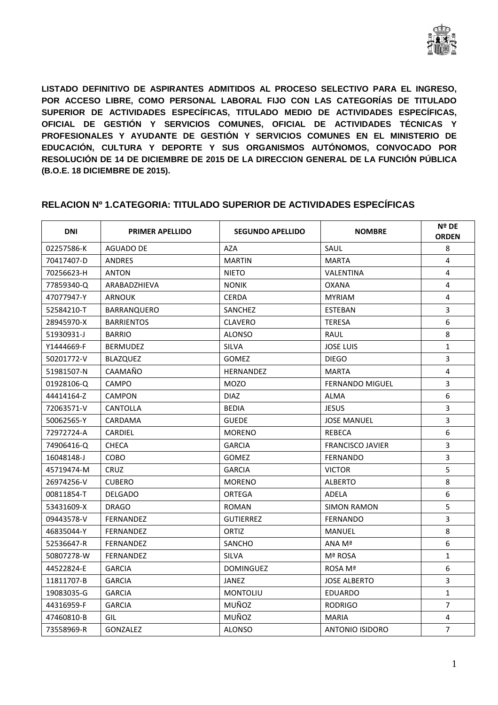

**LISTADO DEFINITIVO DE ASPIRANTES ADMITIDOS AL PROCESO SELECTIVO PARA EL INGRESO, POR ACCESO LIBRE, COMO PERSONAL LABORAL FIJO CON LAS CATEGORÍAS DE TITULADO SUPERIOR DE ACTIVIDADES ESPECÍFICAS, TITULADO MEDIO DE ACTIVIDADES ESPECÍFICAS, OFICIAL DE GESTIÓN Y SERVICIOS COMUNES, OFICIAL DE ACTIVIDADES TÉCNICAS Y PROFESIONALES Y AYUDANTE DE GESTIÓN Y SERVICIOS COMUNES EN EL MINISTERIO DE EDUCACIÓN, CULTURA Y DEPORTE Y SUS ORGANISMOS AUTÓNOMOS, CONVOCADO POR RESOLUCIÓN DE 14 DE DICIEMBRE DE 2015 DE LA DIRECCION GENERAL DE LA FUNCIÓN PÚBLICA (B.O.E. 18 DICIEMBRE DE 2015).** 

| DNI        | <b>PRIMER APELLIDO</b> | <b>SEGUNDO APELLIDO</b> | <b>NOMBRE</b>           | Nº DE<br><b>ORDEN</b> |
|------------|------------------------|-------------------------|-------------------------|-----------------------|
| 02257586-K | <b>AGUADO DE</b>       | <b>AZA</b>              | SAUL                    | 8                     |
| 70417407-D | ANDRES                 | <b>MARTIN</b>           | <b>MARTA</b>            | 4                     |
| 70256623-H | <b>ANTON</b>           | <b>NIETO</b>            | VALENTINA               | 4                     |
| 77859340-Q | ARABADZHIEVA           | <b>NONIK</b>            | <b>OXANA</b>            | 4                     |
| 47077947-Y | ARNOUK                 | <b>CERDA</b>            | <b>MYRIAM</b>           | 4                     |
| 52584210-T | BARRANQUERO            | SANCHEZ                 | <b>ESTEBAN</b>          | 3                     |
| 28945970-X | <b>BARRIENTOS</b>      | <b>CLAVERO</b>          | <b>TERESA</b>           | 6                     |
| 51930931-J | <b>BARRIO</b>          | <b>ALONSO</b>           | <b>RAUL</b>             | 8                     |
| Y1444669-F | <b>BERMUDEZ</b>        | <b>SILVA</b>            | <b>JOSE LUIS</b>        | $\mathbf{1}$          |
| 50201772-V | <b>BLAZQUEZ</b>        | <b>GOMEZ</b>            | <b>DIEGO</b>            | 3                     |
| 51981507-N | CAAMAÑO                | <b>HERNANDEZ</b>        | <b>MARTA</b>            | $\overline{4}$        |
| 01928106-Q | CAMPO                  | <b>MOZO</b>             | <b>FERNANDO MIGUEL</b>  | $\overline{3}$        |
| 44414164-Z | <b>CAMPON</b>          | <b>DIAZ</b>             | <b>ALMA</b>             | $\boldsymbol{6}$      |
| 72063571-V | CANTOLLA               | <b>BEDIA</b>            | <b>JESUS</b>            | 3                     |
| 50062565-Y | CARDAMA                | <b>GUEDE</b>            | <b>JOSE MANUEL</b>      | $\overline{3}$        |
| 72972724-A | <b>CARDIEL</b>         | <b>MORENO</b>           | <b>REBECA</b>           | 6                     |
| 74906416-Q | <b>CHECA</b>           | <b>GARCIA</b>           | <b>FRANCISCO JAVIER</b> | $\overline{3}$        |
| 16048148-J | COBO                   | <b>GOMEZ</b>            | <b>FERNANDO</b>         | $\overline{3}$        |
| 45719474-M | <b>CRUZ</b>            | <b>GARCIA</b>           | <b>VICTOR</b>           | 5                     |
| 26974256-V | <b>CUBERO</b>          | <b>MORENO</b>           | <b>ALBERTO</b>          | 8                     |
| 00811854-T | <b>DELGADO</b>         | <b>ORTEGA</b>           | ADELA                   | $6\,$                 |
| 53431609-X | <b>DRAGO</b>           | ROMAN                   | <b>SIMON RAMON</b>      | 5                     |
| 09443578-V | <b>FERNANDEZ</b>       | <b>GUTIERREZ</b>        | <b>FERNANDO</b>         | $\overline{3}$        |
| 46835044-Y | <b>FERNANDEZ</b>       | ORTIZ                   | <b>MANUEL</b>           | 8                     |
| 52536647-R | <b>FERNANDEZ</b>       | SANCHO                  | ANA Mª                  | 6                     |
| 50807278-W | FERNANDEZ              | <b>SILVA</b>            | Mª ROSA                 | $\mathbf{1}$          |
| 44522824-E | <b>GARCIA</b>          | <b>DOMINGUEZ</b>        | ROSA Mª                 | 6                     |
| 11811707-B | <b>GARCIA</b>          | JANEZ                   | <b>JOSE ALBERTO</b>     | $\overline{3}$        |
| 19083035-G | <b>GARCIA</b>          | <b>MONTOLIU</b>         | <b>EDUARDO</b>          | $\mathbf{1}$          |
| 44316959-F | <b>GARCIA</b>          | MUÑOZ                   | <b>RODRIGO</b>          | $\overline{7}$        |
| 47460810-B | GIL                    | MUÑOZ                   | <b>MARIA</b>            | 4                     |
| 73558969-R | <b>GONZALEZ</b>        | <b>ALONSO</b>           | <b>ANTONIO ISIDORO</b>  | $\overline{7}$        |

#### **RELACION Nº 1.CATEGORIA: TITULADO SUPERIOR DE ACTIVIDADES ESPECÍFICAS**

 $\blacksquare$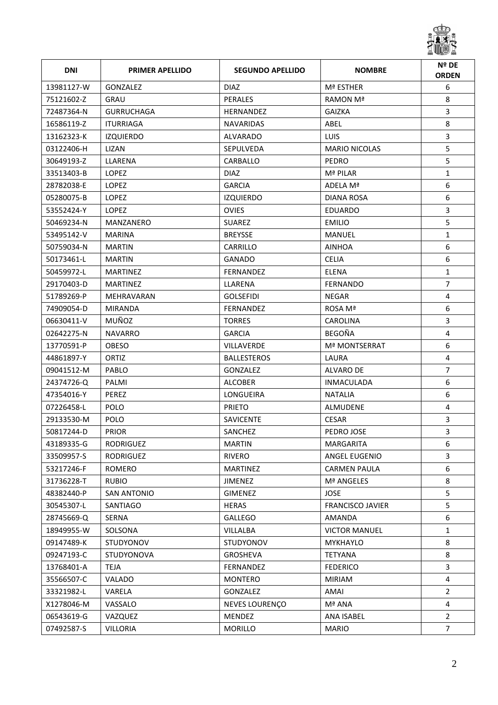

| <b>DNI</b> | <b>PRIMER APELLIDO</b> | <b>SEGUNDO APELLIDO</b> | <b>NOMBRE</b>           | Nº DE<br><b>ORDEN</b> |
|------------|------------------------|-------------------------|-------------------------|-----------------------|
| 13981127-W | <b>GONZALEZ</b>        | <b>DIAZ</b>             | Mª ESTHER               | 6                     |
| 75121602-Z | GRAU                   | <b>PERALES</b>          | <b>RAMON Mª</b>         | 8                     |
| 72487364-N | <b>GURRUCHAGA</b>      | <b>HERNANDEZ</b>        | GAIZKA                  | 3                     |
| 16586119-Z | <b>ITURRIAGA</b>       | <b>NAVARIDAS</b>        | ABEL                    | 8                     |
| 13162323-K | <b>IZQUIERDO</b>       | ALVARADO                | LUIS.                   | $\overline{3}$        |
| 03122406-H | LIZAN                  | <b>SEPULVEDA</b>        | <b>MARIO NICOLAS</b>    | 5                     |
| 30649193-Z | LLARENA                | CARBALLO                | PEDRO                   | 5                     |
| 33513403-B | LOPEZ                  | <b>DIAZ</b>             | Mª PILAR                | $\mathbf{1}$          |
| 28782038-E | <b>LOPEZ</b>           | <b>GARCIA</b>           | ADELA Mª                | 6                     |
| 05280075-B | <b>LOPEZ</b>           | <b>IZQUIERDO</b>        | DIANA ROSA              | 6                     |
| 53552424-Y | <b>LOPEZ</b>           | <b>OVIES</b>            | <b>EDUARDO</b>          | 3                     |
| 50469234-N | MANZANERO              | <b>SUAREZ</b>           | <b>EMILIO</b>           | 5                     |
| 53495142-V | MARINA                 | <b>BREYSSE</b>          | MANUEL                  | $\mathbf{1}$          |
| 50759034-N | <b>MARTIN</b>          | CARRILLO                | <b>AINHOA</b>           | 6                     |
| 50173461-L | <b>MARTIN</b>          | <b>GANADO</b>           | <b>CELIA</b>            | 6                     |
| 50459972-L | <b>MARTINEZ</b>        | FERNANDEZ               | ELENA                   | $\mathbf{1}$          |
| 29170403-D | <b>MARTINEZ</b>        | LLARENA                 | <b>FERNANDO</b>         | $\overline{7}$        |
| 51789269-P | MEHRAVARAN             | <b>GOLSEFIDI</b>        | <b>NEGAR</b>            | 4                     |
| 74909054-D | <b>MIRANDA</b>         | FERNANDEZ               | ROSA Mª                 | 6                     |
| 06630411-V | MUÑOZ                  | <b>TORRES</b>           | CAROLINA                | 3                     |
| 02642275-N | <b>NAVARRO</b>         | <b>GARCIA</b>           | <b>BEGOÑA</b>           | $\overline{4}$        |
| 13770591-P | <b>OBESO</b>           | <b>VILLAVERDE</b>       | <b>Mª MONTSERRAT</b>    | 6                     |
| 44861897-Y | ORTIZ                  | <b>BALLESTEROS</b>      | LAURA                   | 4                     |
| 09041512-M | PABLO                  | GONZALEZ                | ALVARO DE               | $\overline{7}$        |
| 24374726-Q | PALMI                  | <b>ALCOBER</b>          | INMACULADA              | 6                     |
| 47354016-Y | <b>PEREZ</b>           | LONGUEIRA               | <b>NATALIA</b>          | 6                     |
| 07226458-L | <b>POLO</b>            | <b>PRIETO</b>           | ALMUDENE                | 4                     |
| 29133530-M | POLO                   | <b>SAVICENTE</b>        | <b>CESAR</b>            | 3                     |
| 50817244-D | <b>PRIOR</b>           | SANCHEZ                 | PEDRO JOSE              | $\overline{3}$        |
| 43189335-G | RODRIGUEZ              | <b>MARTIN</b>           | <b>MARGARITA</b>        | 6                     |
| 33509957-S | RODRIGUEZ              | <b>RIVERO</b>           | <b>ANGEL EUGENIO</b>    | 3                     |
| 53217246-F | <b>ROMERO</b>          | <b>MARTINEZ</b>         | <b>CARMEN PAULA</b>     | 6                     |
| 31736228-T | <b>RUBIO</b>           | <b>JIMENEZ</b>          | Mª ANGELES              | 8                     |
| 48382440-P | <b>SAN ANTONIO</b>     | <b>GIMENEZ</b>          | <b>JOSE</b>             | 5                     |
| 30545307-L | SANTIAGO               | <b>HERAS</b>            | <b>FRANCISCO JAVIER</b> | 5                     |
| 28745669-Q | <b>SERNA</b>           | <b>GALLEGO</b>          | AMANDA                  | 6                     |
| 18949955-W | SOLSONA                | VILLALBA                | <b>VICTOR MANUEL</b>    | $\mathbf{1}$          |
| 09147489-K | <b>STUDYONOV</b>       | <b>STUDYONOV</b>        | <b>MYKHAYLO</b>         | 8                     |
| 09247193-C | STUDYONOVA             | <b>GROSHEVA</b>         | <b>TETYANA</b>          | 8                     |
| 13768401-A | <b>TEJA</b>            | FERNANDEZ               | <b>FEDERICO</b>         | 3                     |
| 35566507-C | VALADO                 | <b>MONTERO</b>          | <b>MIRIAM</b>           | $\overline{4}$        |
| 33321982-L | VARELA                 | GONZALEZ                | AMAI                    | $\overline{2}$        |
| X1278046-M | VASSALO                | NEVES LOURENÇO          | Mª ANA                  | 4                     |
| 06543619-G | VAZQUEZ                | MENDEZ                  | <b>ANA ISABEL</b>       | $\overline{2}$        |
| 07492587-S | <b>VILLORIA</b>        | <b>MORILLO</b>          | <b>MARIO</b>            | $7^{\circ}$           |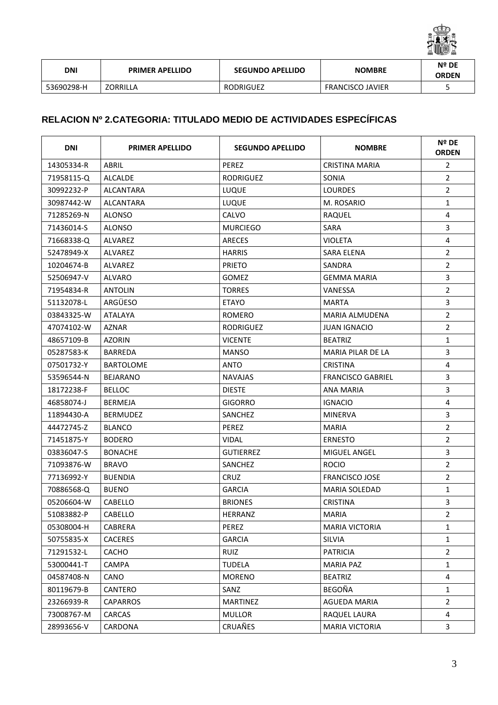

| DNI        | <b>PRIMER APELLIDO</b> | <b>SEGUNDO APELLIDO</b> | <b>NOMBRE</b>           | Nº DE<br><b>ORDEN</b> |
|------------|------------------------|-------------------------|-------------------------|-----------------------|
| 53690298-H | <b>ZORRILLA</b>        | <b>RODRIGUEZ</b>        | <b>FRANCISCO JAVIER</b> |                       |

## **RELACION Nº 2.CATEGORIA: TITULADO MEDIO DE ACTIVIDADES ESPECÍFICAS**

| <b>DNI</b> | <b>PRIMER APELLIDO</b> | <b>SEGUNDO APELLIDO</b> | <b>NOMBRE</b>            | Nº DE<br><b>ORDEN</b>   |
|------------|------------------------|-------------------------|--------------------------|-------------------------|
| 14305334-R | ABRIL                  | PEREZ                   | <b>CRISTINA MARIA</b>    | $\overline{2}$          |
| 71958115-Q | <b>ALCALDE</b>         | <b>RODRIGUEZ</b>        | SONIA                    | $\overline{2}$          |
| 30992232-P | ALCANTARA              | <b>LUQUE</b>            | <b>LOURDES</b>           | $\overline{2}$          |
| 30987442-W | ALCANTARA              | LUQUE                   | M. ROSARIO               | $\mathbf{1}$            |
| 71285269-N | <b>ALONSO</b>          | CALVO                   | RAQUEL                   | 4                       |
| 71436014-S | ALONSO                 | <b>MURCIEGO</b>         | SARA                     | $\overline{3}$          |
| 71668338-Q | <b>ALVAREZ</b>         | <b>ARECES</b>           | <b>VIOLETA</b>           | 4                       |
| 52478949-X | ALVAREZ                | <b>HARRIS</b>           | SARA ELENA               | $\overline{2}$          |
| 10204674-B | ALVAREZ                | <b>PRIETO</b>           | SANDRA                   | $\overline{2}$          |
| 52506947-V | ALVARO                 | GOMEZ                   | <b>GEMMA MARIA</b>       | $\overline{3}$          |
| 71954834-R | <b>ANTOLIN</b>         | <b>TORRES</b>           | VANESSA                  | $\overline{2}$          |
| 51132078-L | ARGÜESO                | <b>ETAYO</b>            | <b>MARTA</b>             | $\overline{3}$          |
| 03843325-W | <b>ATALAYA</b>         | ROMERO                  | <b>MARIA ALMUDENA</b>    | $\overline{2}$          |
| 47074102-W | AZNAR                  | <b>RODRIGUEZ</b>        | <b>JUAN IGNACIO</b>      | $\overline{2}$          |
| 48657109-B | <b>AZORIN</b>          | <b>VICENTE</b>          | <b>BEATRIZ</b>           | $\mathbf{1}$            |
| 05287583-K | <b>BARREDA</b>         | MANSO                   | <b>MARIA PILAR DE LA</b> | 3                       |
| 07501732-Y | <b>BARTOLOME</b>       | <b>ANTO</b>             | <b>CRISTINA</b>          | 4                       |
| 53596544-N | <b>BEJARANO</b>        | <b>NAVAJAS</b>          | <b>FRANCISCO GABRIEL</b> | 3                       |
| 18172238-F | <b>BELLOC</b>          | <b>DIESTE</b>           | ANA MARIA                | 3                       |
| 46858074-J | <b>BERMEJA</b>         | GIGORRO                 | <b>IGNACIO</b>           | $\overline{\mathbf{4}}$ |
| 11894430-A | <b>BERMUDEZ</b>        | SANCHEZ                 | <b>MINERVA</b>           | 3                       |
| 44472745-Z | <b>BLANCO</b>          | <b>PEREZ</b>            | <b>MARIA</b>             | $\overline{2}$          |
| 71451875-Y | <b>BODERO</b>          | VIDAL                   | <b>ERNESTO</b>           | $\overline{2}$          |
| 03836047-S | <b>BONACHE</b>         | GUTIERREZ               | <b>MIGUEL ANGEL</b>      | 3                       |
| 71093876-W | <b>BRAVO</b>           | SANCHEZ                 | <b>ROCIO</b>             | $\overline{2}$          |
| 77136992-Y | <b>BUENDIA</b>         | <b>CRUZ</b>             | <b>FRANCISCO JOSE</b>    | $\overline{2}$          |
| 70886568-Q | <b>BUENO</b>           | <b>GARCIA</b>           | <b>MARIA SOLEDAD</b>     | $\mathbf{1}$            |
| 05206604-W | CABELLO                | <b>BRIONES</b>          | <b>CRISTINA</b>          | 3                       |
| 51083882-P | CABELLO                | HERRANZ                 | <b>MARIA</b>             | 2                       |
| 05308004-H | CABRERA                | PEREZ                   | <b>MARIA VICTORIA</b>    | $\mathbf{1}$            |
| 50755835-X | <b>CACERES</b>         | <b>GARCIA</b>           | <b>SILVIA</b>            | $\mathbf{1}$            |
| 71291532-L | <b>CACHO</b>           | <b>RUIZ</b>             | <b>PATRICIA</b>          | $\overline{2}$          |
| 53000441-T | CAMPA                  | TUDELA                  | <b>MARIA PAZ</b>         | $\mathbf{1}$            |
| 04587408-N | CANO                   | <b>MORENO</b>           | <b>BEATRIZ</b>           | 4                       |
| 80119679-B | CANTERO                | SANZ                    | <b>BEGOÑA</b>            | $\mathbf{1}$            |
| 23266939-R | <b>CAPARROS</b>        | <b>MARTINEZ</b>         | AGUEDA MARIA             | $\overline{2}$          |
| 73008767-M | <b>CARCAS</b>          | <b>MULLOR</b>           | RAQUEL LAURA             | 4                       |
| 28993656-V | CARDONA                | <b>CRUAÑES</b>          | <b>MARIA VICTORIA</b>    | 3                       |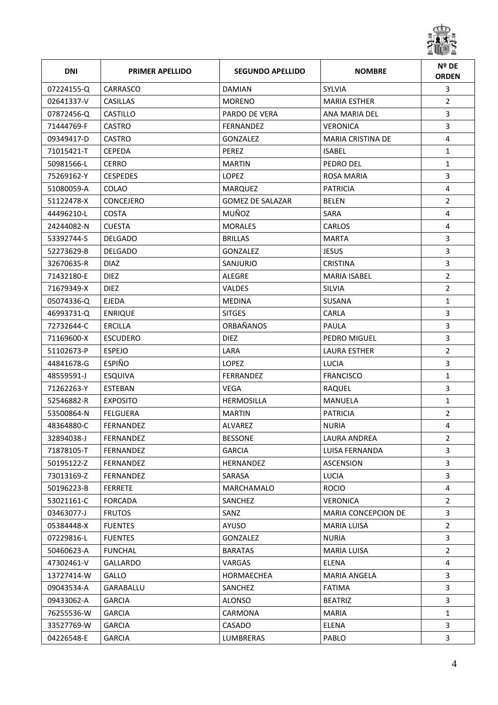

| <b>DNI</b> | <b>PRIMER APELLIDO</b> | <b>SEGUNDO APELLIDO</b> | <b>NOMBRE</b>            | Nº DE<br><b>ORDEN</b> |
|------------|------------------------|-------------------------|--------------------------|-----------------------|
| 07224155-Q | CARRASCO               | <b>DAMIAN</b>           | SYLVIA                   | 3                     |
| 02641337-V | <b>CASILLAS</b>        | <b>MORENO</b>           | <b>MARIA ESTHER</b>      | $\overline{2}$        |
| 07872456-Q | <b>CASTILLO</b>        | <b>PARDO DE VERA</b>    | ANA MARIA DEL            | 3                     |
| 71444769-F | <b>CASTRO</b>          | <b>FERNANDEZ</b>        | <b>VERONICA</b>          | 3                     |
| 09349417-D | <b>CASTRO</b>          | <b>GONZALEZ</b>         | <b>MARIA CRISTINA DE</b> | 4                     |
| 71015421-T | <b>CEPEDA</b>          | PEREZ                   | <b>ISABEL</b>            | $\mathbf{1}$          |
| 50981566-L | <b>CERRO</b>           | <b>MARTIN</b>           | PEDRO DEL                | $\mathbf{1}$          |
| 75269162-Y | <b>CESPEDES</b>        | <b>LOPEZ</b>            | ROSA MARIA               | 3                     |
| 51080059-A | COLAO                  | <b>MARQUEZ</b>          | <b>PATRICIA</b>          | 4                     |
| 51122478-X | <b>CONCEJERO</b>       | <b>GOMEZ DE SALAZAR</b> | <b>BELEN</b>             | $\overline{2}$        |
| 44496210-L | <b>COSTA</b>           | MUÑOZ                   | <b>SARA</b>              | 4                     |
| 24244082-N | <b>CUESTA</b>          | <b>MORALES</b>          | CARLOS                   | 4                     |
| 53392744-S | <b>DELGADO</b>         | <b>BRILLAS</b>          | <b>MARTA</b>             | 3                     |
| 52273629-B | <b>DELGADO</b>         | <b>GONZALEZ</b>         | <b>JESUS</b>             | 3                     |
| 32670635-R | <b>DIAZ</b>            | SANJURJO                | <b>CRISTINA</b>          | $\overline{3}$        |
| 71432180-E | <b>DIEZ</b>            | ALEGRE                  | <b>MARIA ISABEL</b>      | $\overline{2}$        |
| 71679349-X | <b>DIEZ</b>            | <b>VALDES</b>           | <b>SILVIA</b>            | $\overline{2}$        |
| 05074336-Q | <b>EJEDA</b>           | <b>MEDINA</b>           | SUSANA                   | $\mathbf{1}$          |
| 46993731-Q | <b>ENRIQUE</b>         | <b>SITGES</b>           | <b>CARLA</b>             | 3                     |
| 72732644-C | <b>ERCILLA</b>         | ORBAÑANOS               | <b>PAULA</b>             | 3                     |
| 71169600-X | <b>ESCUDERO</b>        | <b>DIEZ</b>             | PEDRO MIGUEL             | 3                     |
| 51102673-P | <b>ESPEJO</b>          | LARA                    | <b>LAURA ESTHER</b>      | $\overline{2}$        |
| 44841678-G | <b>ESPIÑO</b>          | <b>LOPEZ</b>            | LUCIA                    | 3                     |
| 48559591-J | <b>ESQUIVA</b>         | <b>FERRANDEZ</b>        | <b>FRANCISCO</b>         | $\mathbf{1}$          |
| 71262263-Y | <b>ESTEBAN</b>         | <b>VEGA</b>             | RAQUEL                   | 3                     |
| 52546882-R | <b>EXPOSITO</b>        | <b>HERMOSILLA</b>       | <b>MANUELA</b>           | $\mathbf{1}$          |
| 53500864-N | <b>FELGUERA</b>        | <b>MARTIN</b>           | <b>PATRICIA</b>          | $\overline{2}$        |
| 48364880-C | FERNANDEZ              | <b>ALVAREZ</b>          | <b>NURIA</b>             | 4                     |
| 32894038-J | FERNANDEZ              | <b>BESSONE</b>          | LAURA ANDREA             | 2                     |
| 71878105-T | FERNANDEZ              | <b>GARCIA</b>           | LUISA FERNANDA           | 3                     |
| 50195122-Z | FERNANDEZ              | <b>HERNANDEZ</b>        | <b>ASCENSION</b>         | 3                     |
| 73013169-Z | FERNANDEZ              | SARASA                  | LUCIA                    | 3                     |
| 50196223-B | <b>FERRETE</b>         | MARCHAMALO              | <b>ROCIO</b>             | $\overline{4}$        |
| 53021161-C | FORCADA                | SANCHEZ                 | <b>VERONICA</b>          | $\overline{2}$        |
| 03463077-J | <b>FRUTOS</b>          | SANZ                    | MARIA CONCEPCION DE      | 3                     |
| 05384448-X | <b>FUENTES</b>         | AYUSO                   | <b>MARIA LUISA</b>       | $\overline{2}$        |
| 07229816-L | <b>FUENTES</b>         | GONZALEZ                | <b>NURIA</b>             | 3                     |
| 50460623-A | <b>FUNCHAL</b>         | <b>BARATAS</b>          | <b>MARIA LUISA</b>       | $\overline{2}$        |
| 47302461-V | GALLARDO               | VARGAS                  | ELENA                    | 4                     |
| 13727414-W | GALLO                  | HORMAECHEA              | <b>MARIA ANGELA</b>      | $\mathbf{3}$          |
| 09043534-A | GARABALLU              | SANCHEZ                 | <b>FATIMA</b>            | 3                     |
| 09433062-A | <b>GARCIA</b>          | ALONSO                  | <b>BEATRIZ</b>           | 3                     |
| 76255536-W | <b>GARCIA</b>          | CARMONA                 | MARIA                    | $\mathbf{1}$          |
| 33527769-W | <b>GARCIA</b>          | CASADO                  | ELENA                    | 3                     |
| 04226548-E | <b>GARCIA</b>          | LUMBRERAS               | PABLO                    | $\mathbf{3}$          |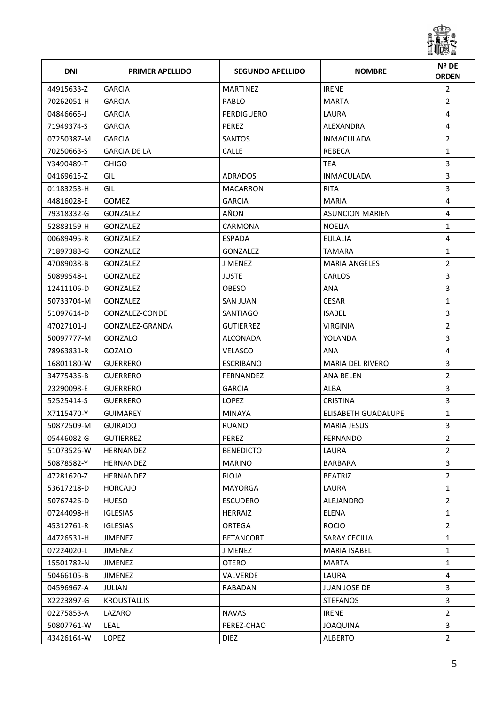

| <b>DNI</b> | <b>PRIMER APELLIDO</b> | <b>SEGUNDO APELLIDO</b> | <b>NOMBRE</b>           | Nº DE<br><b>ORDEN</b> |
|------------|------------------------|-------------------------|-------------------------|-----------------------|
| 44915633-Z | <b>GARCIA</b>          | <b>MARTINEZ</b>         | <b>IRENE</b>            | $\overline{2}$        |
| 70262051-H | <b>GARCIA</b>          | PABLO                   | <b>MARTA</b>            | $\overline{2}$        |
| 04846665-J | <b>GARCIA</b>          | <b>PERDIGUERO</b>       | LAURA                   | 4                     |
| 71949374-S | <b>GARCIA</b>          | PEREZ                   | ALEXANDRA               | 4                     |
| 07250387-M | <b>GARCIA</b>          | <b>SANTOS</b>           | <b>INMACULADA</b>       | $\overline{2}$        |
| 70250663-S | <b>GARCIA DE LA</b>    | <b>CALLE</b>            | REBECA                  | $\mathbf{1}$          |
| Y3490489-T | <b>GHIGO</b>           |                         | TEA                     | 3                     |
| 04169615-Z | <b>GIL</b>             | <b>ADRADOS</b>          | <b>INMACULADA</b>       | $\overline{3}$        |
| 01183253-H | GIL.                   | <b>MACARRON</b>         | <b>RITA</b>             | 3                     |
| 44816028-E | <b>GOMEZ</b>           | <b>GARCIA</b>           | <b>MARIA</b>            | $\overline{4}$        |
| 79318332-G | <b>GONZALEZ</b>        | AÑON                    | <b>ASUNCION MARIEN</b>  | 4                     |
| 52883159-H | GONZALEZ               | CARMONA                 | <b>NOELIA</b>           | $\mathbf{1}$          |
| 00689495-R | <b>GONZALEZ</b>        | <b>ESPADA</b>           | <b>EULALIA</b>          | 4                     |
| 71897383-G | <b>GONZALEZ</b>        | <b>GONZALEZ</b>         | <b>TAMARA</b>           | $\mathbf{1}$          |
| 47089038-B | <b>GONZALEZ</b>        | <b>JIMENEZ</b>          | <b>MARIA ANGELES</b>    | $\overline{2}$        |
| 50899548-L | <b>GONZALEZ</b>        | <b>JUSTE</b>            | <b>CARLOS</b>           | 3                     |
| 12411106-D | <b>GONZALEZ</b>        | <b>OBESO</b>            | <b>ANA</b>              | 3                     |
| 50733704-M | <b>GONZALEZ</b>        | <b>SAN JUAN</b>         | <b>CESAR</b>            | $\mathbf{1}$          |
| 51097614-D | GONZALEZ-CONDE         | <b>SANTIAGO</b>         | <b>ISABEL</b>           | 3                     |
| 47027101-J | GONZALEZ-GRANDA        | <b>GUTIERREZ</b>        | <b>VIRGINIA</b>         | $\overline{2}$        |
| 50097777-M | GONZALO                | <b>ALCONADA</b>         | YOLANDA                 | 3                     |
| 78963831-R | GOZALO                 | <b>VELASCO</b>          | ANA                     | 4                     |
| 16801180-W | <b>GUERRERO</b>        | ESCRIBANO               | <b>MARIA DEL RIVERO</b> | 3                     |
| 34775436-B | <b>GUERRERO</b>        | <b>FERNANDEZ</b>        | ANA BELEN               | $\overline{2}$        |
| 23290098-E | <b>GUERRERO</b>        | <b>GARCIA</b>           | ALBA                    | 3                     |
| 52525414-S | <b>GUERRERO</b>        | <b>LOPEZ</b>            | <b>CRISTINA</b>         | 3                     |
| X7115470-Y | <b>GUIMAREY</b>        | <b>MINAYA</b>           | ELISABETH GUADALUPE     | $\mathbf{1}$          |
| 50872509-M | <b>GUIRADO</b>         | <b>RUANO</b>            | <b>MARIA JESUS</b>      | 3                     |
| 05446082-G | <b>GUTIERREZ</b>       | <b>PEREZ</b>            | FERNANDO                | 2                     |
| 51073526-W | HERNANDEZ              | <b>BENEDICTO</b>        | LAURA                   | $\overline{2}$        |
| 50878582-Y | HERNANDEZ              | <b>MARINO</b>           | <b>BARBARA</b>          | 3                     |
| 47281620-Z | HERNANDEZ              | <b>RIOJA</b>            | <b>BEATRIZ</b>          | $\overline{2}$        |
| 53617218-D | <b>HORCAJO</b>         | MAYORGA                 | LAURA                   | $\mathbf{1}$          |
| 50767426-D | <b>HUESO</b>           | <b>ESCUDERO</b>         | ALEJANDRO               | $\overline{2}$        |
| 07244098-H | <b>IGLESIAS</b>        | <b>HERRAIZ</b>          | <b>ELENA</b>            | $\mathbf{1}$          |
| 45312761-R | <b>IGLESIAS</b>        | ORTEGA                  | <b>ROCIO</b>            | $\overline{2}$        |
| 44726531-H | <b>JIMENEZ</b>         | <b>BETANCORT</b>        | <b>SARAY CECILIA</b>    | $\mathbf{1}$          |
| 07224020-L | <b>JIMENEZ</b>         | <b>JIMENEZ</b>          | <b>MARIA ISABEL</b>     | $\mathbf{1}$          |
| 15501782-N | <b>JIMENEZ</b>         | <b>OTERO</b>            | <b>MARTA</b>            | $\mathbf{1}$          |
| 50466105-B | <b>JIMENEZ</b>         | VALVERDE                | LAURA                   | 4                     |
| 04596967-A | JULIAN                 | RABADAN                 | <b>JUAN JOSE DE</b>     | 3                     |
| X2223897-G | <b>KROUSTALLIS</b>     |                         | <b>STEFANOS</b>         | $\mathbf{3}$          |
| 02275853-A | LAZARO                 | <b>NAVAS</b>            | <b>IRENE</b>            | $\overline{2}$        |
| 50807761-W | LEAL                   | PEREZ-CHAO              | <b>JOAQUINA</b>         | 3                     |
| 43426164-W | LOPEZ                  | <b>DIEZ</b>             | <b>ALBERTO</b>          | $\overline{2}$        |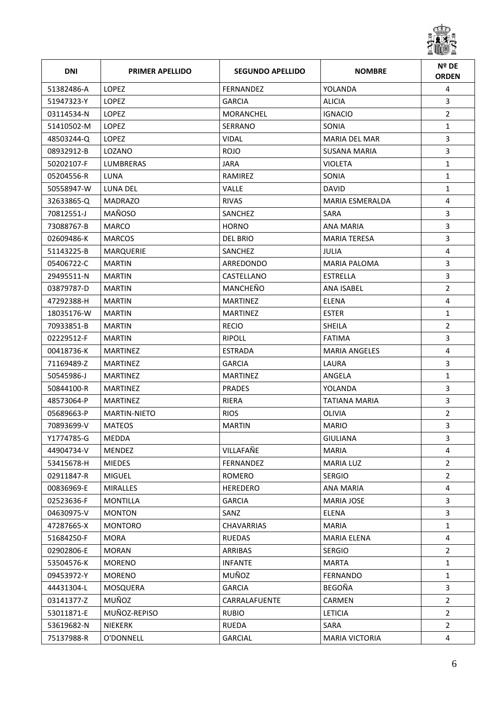

| <b>DNI</b> | <b>PRIMER APELLIDO</b> | <b>SEGUNDO APELLIDO</b> | <b>NOMBRE</b>         | Nº DE<br><b>ORDEN</b> |
|------------|------------------------|-------------------------|-----------------------|-----------------------|
| 51382486-A | <b>LOPEZ</b>           | FERNANDEZ               | YOLANDA               | 4                     |
| 51947323-Y | <b>LOPEZ</b>           | <b>GARCIA</b>           | <b>ALICIA</b>         | 3                     |
| 03114534-N | <b>LOPEZ</b>           | <b>MORANCHEL</b>        | <b>IGNACIO</b>        | $\overline{2}$        |
| 51410502-M | <b>LOPEZ</b>           | SERRANO                 | SONIA                 | $\mathbf{1}$          |
| 48503244-Q | LOPEZ                  | <b>VIDAL</b>            | <b>MARIA DEL MAR</b>  | 3                     |
| 08932912-B | LOZANO                 | <b>ROJO</b>             | SUSANA MARIA          | 3                     |
| 50202107-F | <b>LUMBRERAS</b>       | <b>JARA</b>             | <b>VIOLETA</b>        | $\mathbf{1}$          |
| 05204556-R | LUNA                   | RAMIREZ                 | SONIA                 | $\mathbf{1}$          |
| 50558947-W | LUNA DEL               | <b>VALLE</b>            | <b>DAVID</b>          | 1                     |
| 32633865-Q | <b>MADRAZO</b>         | <b>RIVAS</b>            | MARIA ESMERALDA       | $\overline{4}$        |
| 70812551-J | MAÑOSO                 | SANCHEZ                 | <b>SARA</b>           | 3                     |
| 73088767-B | <b>MARCO</b>           | <b>HORNO</b>            | <b>ANA MARIA</b>      | 3                     |
| 02609486-K | <b>MARCOS</b>          | <b>DEL BRIO</b>         | <b>MARIA TERESA</b>   | 3                     |
| 51143225-B | <b>MARQUERIE</b>       | SANCHEZ                 | JULIA                 | $\overline{4}$        |
| 05406722-C | <b>MARTIN</b>          | ARREDONDO               | <b>MARIA PALOMA</b>   | 3                     |
| 29495511-N | <b>MARTIN</b>          | CASTELLANO              | ESTRELLA              | 3                     |
| 03879787-D | <b>MARTIN</b>          | MANCHEÑO                | ANA ISABEL            | $\overline{2}$        |
| 47292388-H | <b>MARTIN</b>          | <b>MARTINEZ</b>         | <b>ELENA</b>          | 4                     |
| 18035176-W | <b>MARTIN</b>          | <b>MARTINEZ</b>         | <b>ESTER</b>          | $\mathbf{1}$          |
| 70933851-B | <b>MARTIN</b>          | <b>RECIO</b>            | <b>SHEILA</b>         | $\overline{2}$        |
| 02229512-F | <b>MARTIN</b>          | <b>RIPOLL</b>           | <b>FATIMA</b>         | 3                     |
| 00418736-K | <b>MARTINEZ</b>        | <b>ESTRADA</b>          | <b>MARIA ANGELES</b>  | 4                     |
| 71169489-Z | <b>MARTINEZ</b>        | <b>GARCIA</b>           | LAURA                 | 3                     |
| 50545986-J | <b>MARTINEZ</b>        | <b>MARTINEZ</b>         | ANGELA                | $\mathbf{1}$          |
| 50844100-R | <b>MARTINEZ</b>        | <b>PRADES</b>           | YOLANDA               | 3                     |
| 48573064-P | <b>MARTINEZ</b>        | RIERA                   | <b>TATIANA MARIA</b>  | 3                     |
| 05689663-P | <b>MARTIN-NIETO</b>    | <b>RIOS</b>             | OLIVIA                | $\overline{2}$        |
| 70893699-V | <b>MATEOS</b>          | <b>MARTIN</b>           | <b>MARIO</b>          | 3                     |
| Y1774785-G | MEDDA                  |                         | GIULIANA              | 3                     |
| 44904734-V | <b>MENDEZ</b>          | VILLAFAÑE               | <b>MARIA</b>          | 4                     |
| 53415678-H | <b>MIEDES</b>          | FERNANDEZ               | <b>MARIA LUZ</b>      | $\overline{2}$        |
| 02911847-R | <b>MIGUEL</b>          | ROMERO                  | <b>SERGIO</b>         | $\overline{2}$        |
| 00836969-E | <b>MIRALLES</b>        | <b>HEREDERO</b>         | <b>ANA MARIA</b>      | 4                     |
| 02523636-F | <b>MONTILLA</b>        | <b>GARCIA</b>           | <b>MARIA JOSE</b>     | 3                     |
| 04630975-V | <b>MONTON</b>          | SANZ                    | ELENA                 | 3                     |
| 47287665-X | <b>MONTORO</b>         | CHAVARRIAS              | <b>MARIA</b>          | $\mathbf{1}$          |
| 51684250-F | MORA                   | <b>RUEDAS</b>           | <b>MARIA ELENA</b>    | 4                     |
| 02902806-E | <b>MORAN</b>           | ARRIBAS                 | <b>SERGIO</b>         | $\overline{2}$        |
| 53504576-K | <b>MORENO</b>          | <b>INFANTE</b>          | <b>MARTA</b>          | $\mathbf{1}$          |
| 09453972-Y | <b>MORENO</b>          | MUÑOZ                   | <b>FERNANDO</b>       | $\mathbf{1}$          |
| 44431304-L | MOSQUERA               | <b>GARCIA</b>           | BEGOÑA                | $\overline{3}$        |
| 03141377-Z | MUÑOZ                  | CARRALAFUENTE           | CARMEN                | $\overline{2}$        |
| 53011871-E | MUÑOZ-REPISO           | <b>RUBIO</b>            | <b>LETICIA</b>        | $\overline{2}$        |
| 53619682-N | NIEKERK                | RUEDA                   | SARA                  | $\overline{2}$        |
| 75137988-R | O'DONNELL              | GARCIAL                 | <b>MARIA VICTORIA</b> | $\overline{4}$        |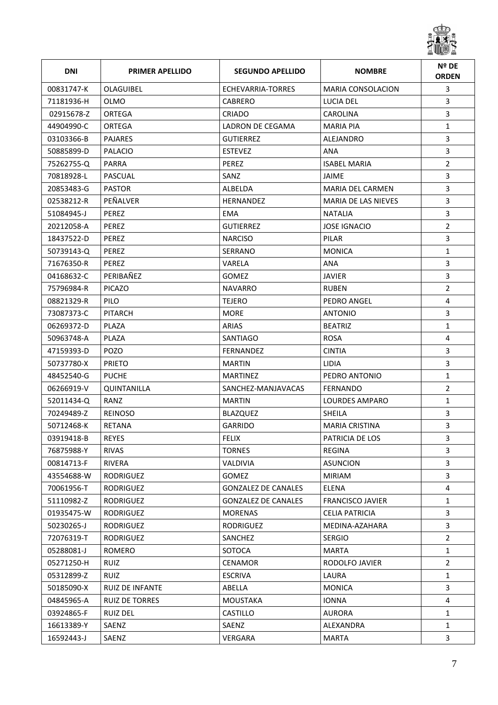

| <b>DNI</b> | <b>PRIMER APELLIDO</b> | <b>SEGUNDO APELLIDO</b>    | <b>NOMBRE</b>              | Nº DE<br><b>ORDEN</b> |
|------------|------------------------|----------------------------|----------------------------|-----------------------|
| 00831747-K | OLAGUIBEL              | ECHEVARRIA-TORRES          | <b>MARIA CONSOLACION</b>   | 3                     |
| 71181936-H | <b>OLMO</b>            | <b>CABRERO</b>             | LUCIA DEL                  | 3                     |
| 02915678-Z | <b>ORTEGA</b>          | <b>CRIADO</b>              | <b>CAROLINA</b>            | 3                     |
| 44904990-C | ORTEGA                 | LADRON DE CEGAMA           | <b>MARIA PIA</b>           | $\mathbf{1}$          |
| 03103366-B | <b>PAJARES</b>         | <b>GUTIERREZ</b>           | ALEJANDRO                  | 3                     |
| 50885899-D | <b>PALACIO</b>         | <b>ESTEVEZ</b>             | ANA                        | 3                     |
| 75262755-Q | <b>PARRA</b>           | PEREZ                      | <b>ISABEL MARIA</b>        | $\overline{2}$        |
| 70818928-L | PASCUAL                | SANZ                       | <b>JAIME</b>               | 3                     |
| 20853483-G | <b>PASTOR</b>          | ALBELDA                    | <b>MARIA DEL CARMEN</b>    | 3                     |
| 02538212-R | PEÑALVER               | <b>HERNANDEZ</b>           | <b>MARIA DE LAS NIEVES</b> | 3                     |
| 51084945-J | PEREZ                  | <b>EMA</b>                 | NATALIA                    | 3                     |
| 20212058-A | PEREZ                  | <b>GUTIERREZ</b>           | <b>JOSE IGNACIO</b>        | $\overline{2}$        |
| 18437522-D | PEREZ                  | <b>NARCISO</b>             | PILAR                      | 3                     |
| 50739143-0 | PEREZ                  | SERRANO                    | <b>MONICA</b>              | $\mathbf 1$           |
| 71676350-R | <b>PEREZ</b>           | VARELA                     | <b>ANA</b>                 | 3                     |
| 04168632-C | PERIBAÑEZ              | <b>GOMEZ</b>               | <b>JAVIER</b>              | 3                     |
| 75796984-R | <b>PICAZO</b>          | <b>NAVARRO</b>             | <b>RUBEN</b>               | $\overline{2}$        |
| 08821329-R | <b>PILO</b>            | <b>TEJERO</b>              | PFDRO ANGFL                | 4                     |
| 73087373-C | <b>PITARCH</b>         | <b>MORE</b>                | <b>ANTONIO</b>             | 3                     |
| 06269372-D | PLAZA                  | ARIAS                      | <b>BEATRIZ</b>             | $\mathbf{1}$          |
| 50963748-A | PLAZA                  | SANTIAGO                   | <b>ROSA</b>                | 4                     |
| 47159393-D | <b>POZO</b>            | <b>FERNANDEZ</b>           | <b>CINTIA</b>              | 3                     |
| 50737780-X | <b>PRIETO</b>          | <b>MARTIN</b>              | LIDIA                      | 3                     |
| 48452540-G | <b>PUCHE</b>           | <b>MARTINEZ</b>            | PEDRO ANTONIO              | $\mathbf{1}$          |
| 06266919-V | <b>QUINTANILLA</b>     | SANCHEZ-MANJAVACAS         | FERNANDO                   | $\overline{2}$        |
| 52011434-Q | RANZ                   | <b>MARTIN</b>              | LOURDES AMPARO             | $\mathbf{1}$          |
| 70249489-Z | <b>REINOSO</b>         | <b>BLAZQUEZ</b>            | <b>SHEILA</b>              | 3                     |
| 50712468-K | RETANA                 | <b>GARRIDO</b>             | <b>MARIA CRISTINA</b>      | 3                     |
| 03919418-B | <b>REYES</b>           | <b>FELIX</b>               | PATRICIA DE LOS            | 3                     |
| 76875988-Y | <b>RIVAS</b>           | <b>TORNES</b>              | <b>REGINA</b>              | 3                     |
| 00814713-F | <b>RIVERA</b>          | <b>VALDIVIA</b>            | <b>ASUNCION</b>            | 3                     |
| 43554688-W | <b>RODRIGUEZ</b>       | <b>GOMEZ</b>               | <b>MIRIAM</b>              | 3                     |
| 70061956-T | RODRIGUEZ              | <b>GONZALEZ DE CANALES</b> | ELENA                      | 4                     |
| 51110982-Z | <b>RODRIGUEZ</b>       | <b>GONZALEZ DE CANALES</b> | <b>FRANCISCO JAVIER</b>    | $\mathbf{1}$          |
| 01935475-W | RODRIGUEZ              | <b>MORENAS</b>             | <b>CELIA PATRICIA</b>      | 3                     |
| 50230265-J | RODRIGUEZ              | <b>RODRIGUEZ</b>           | MEDINA-AZAHARA             | 3                     |
| 72076319-T | <b>RODRIGUEZ</b>       | SANCHEZ                    | <b>SERGIO</b>              | $\overline{2}$        |
| 05288081-J | <b>ROMERO</b>          | SOTOCA                     | <b>MARTA</b>               | $\mathbf{1}$          |
| 05271250-H | <b>RUIZ</b>            | <b>CENAMOR</b>             | RODOLFO JAVIER             | $\overline{2}$        |
| 05312899-Z | <b>RUIZ</b>            | <b>ESCRIVA</b>             | LAURA                      | 1                     |
| 50185090-X | <b>RUIZ DE INFANTE</b> | ABELLA                     | <b>MONICA</b>              | 3                     |
| 04845965-A | <b>RUIZ DE TORRES</b>  | <b>MOUSTAKA</b>            | <b>IONNA</b>               | 4                     |
| 03924865-F | <b>RUIZ DEL</b>        | <b>CASTILLO</b>            | <b>AURORA</b>              | $\mathbf{1}$          |
| 16613389-Y | SAENZ                  | SAENZ                      | ALEXANDRA                  | $\mathbf{1}$          |
| 16592443-J | SAENZ                  | VERGARA                    | <b>MARTA</b>               | $\mathbf{3}$          |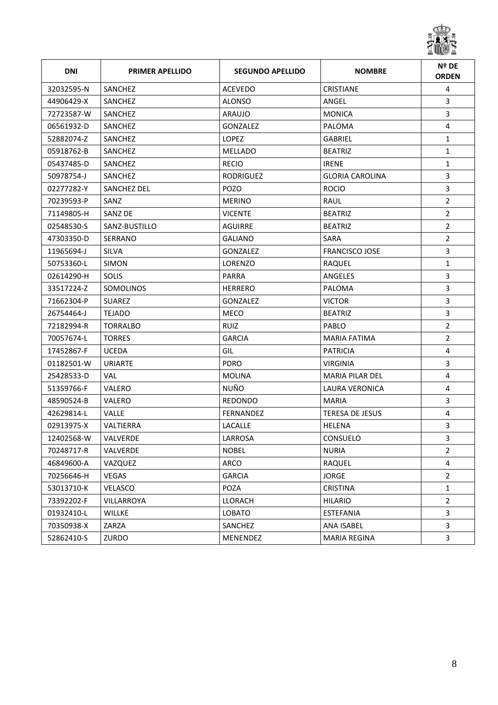

| <b>DNI</b> | <b>PRIMER APELLIDO</b> | <b>SEGUNDO APELLIDO</b> | <b>NOMBRE</b>          | Nº DE<br><b>ORDEN</b> |
|------------|------------------------|-------------------------|------------------------|-----------------------|
| 32032595-N | SANCHEZ                | <b>ACEVEDO</b>          | <b>CRISTIANE</b>       | 4                     |
| 44906429-X | SANCHEZ                | <b>ALONSO</b>           | ANGEL                  | 3                     |
| 72723587-W | SANCHEZ                | ARAUJO                  | <b>MONICA</b>          | 3                     |
| 06561932-D | SANCHEZ                | <b>GONZALEZ</b>         | PALOMA                 | 4                     |
| 52882074-Z | SANCHEZ                | <b>LOPEZ</b>            | <b>GABRIEL</b>         | 1                     |
| 05918762-B | SANCHEZ                | <b>MELLADO</b>          | <b>BEATRIZ</b>         | $\mathbf{1}$          |
| 05437485-D | SANCHEZ                | <b>RECIO</b>            | <b>IRENE</b>           | 1                     |
| 50978754-J | SANCHEZ                | <b>RODRIGUEZ</b>        | <b>GLORIA CAROLINA</b> | 3                     |
| 02277282-Y | <b>SANCHEZ DEL</b>     | POZO                    | <b>ROCIO</b>           | 3                     |
| 70239593-P | SANZ                   | <b>MERINO</b>           | RAUL                   | $\overline{2}$        |
| 71149805-H | SANZ DE                | <b>VICENTE</b>          | <b>BEATRIZ</b>         | $\overline{2}$        |
| 02548530-S | SANZ-BUSTILLO          | <b>AGUIRRE</b>          | <b>BEATRIZ</b>         | $\overline{2}$        |
| 47303350-D | SERRANO                | <b>GALIANO</b>          | <b>SARA</b>            | $\overline{2}$        |
| 11965694-J | <b>SILVA</b>           | GONZALEZ                | <b>FRANCISCO JOSE</b>  | 3                     |
| 50753360-L | <b>SIMON</b>           | <b>LORENZO</b>          | RAQUEL                 | $\mathbf{1}$          |
| 02614290-H | <b>SOLIS</b>           | <b>PARRA</b>            | ANGELES                | 3                     |
| 33517224-Z | <b>SOMOLINOS</b>       | <b>HERRERO</b>          | PALOMA                 | 3                     |
| 71662304-P | <b>SUAREZ</b>          | <b>GONZALEZ</b>         | <b>VICTOR</b>          | 3                     |
| 26754464-J | <b>TEJADO</b>          | <b>MECO</b>             | <b>BEATRIZ</b>         | 3                     |
| 72182994-R | <b>TORRALBO</b>        | <b>RUIZ</b>             | PABLO                  | $\overline{2}$        |
| 70057674-L | <b>TORRES</b>          | <b>GARCIA</b>           | <b>MARIA FATIMA</b>    | $\overline{2}$        |
| 17452867-F | <b>UCEDA</b>           | GIL                     | <b>PATRICIA</b>        | 4                     |
| 01182501-W | URIARTE                | <b>PDRO</b>             | <b>VIRGINIA</b>        | 3                     |
| 25428533-D | VAL                    | <b>MOLINA</b>           | <b>MARIA PILAR DEL</b> | 4                     |
| 51359766-F | VALERO                 | NUÑO                    | LAURA VERONICA         | 4                     |
| 48590524-B | VALERO                 | <b>REDONDO</b>          | MARIA                  | 3                     |
| 42629814-L | <b>VALLE</b>           | FERNANDEZ               | <b>TERESA DE JESUS</b> | 4                     |
| 02913975-X | <b>VALTIERRA</b>       | LACALLE                 | <b>HELENA</b>          | 3                     |
| 12402568-W | VALVERDE               | LARROSA                 | CONSUELO               | 3                     |
| 70248717-R | VALVERDE               | <b>NOBEL</b>            | <b>NURIA</b>           | $\overline{2}$        |
| 46849600-A | VAZQUEZ                | ARCO                    | RAQUEL                 | 4                     |
| 70256646-H | VEGAS                  | <b>GARCIA</b>           | <b>JORGE</b>           | $\overline{2}$        |
| 53013710-K | <b>VELASCO</b>         | POZA                    | <b>CRISTINA</b>        | $\mathbf{1}$          |
| 73392202-F | VILLARROYA             | LLORACH                 | <b>HILARIO</b>         | $\overline{2}$        |
| 01932410-L | <b>WILLKE</b>          | <b>LOBATO</b>           | ESTEFANIA              | $\overline{3}$        |
| 70350938-X | ZARZA                  | SANCHEZ                 | ANA ISABEL             | 3                     |
| 52862410-S | ZURDO                  | MENENDEZ                | <b>MARIA REGINA</b>    | $\mathbf{3}$          |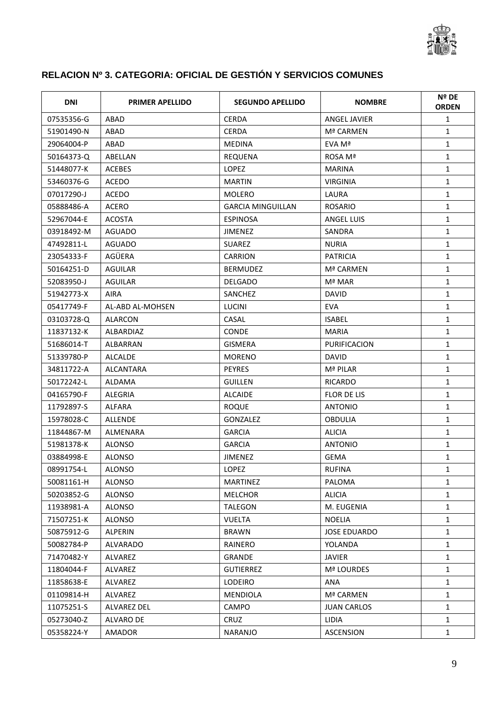

## **RELACION Nº 3. CATEGORIA: OFICIAL DE GESTIÓN Y SERVICIOS COMUNES**

| DNI        | <b>PRIMER APELLIDO</b> | <b>SEGUNDO APELLIDO</b>  | <b>NOMBRE</b>       | Nº DE<br><b>ORDEN</b> |
|------------|------------------------|--------------------------|---------------------|-----------------------|
| 07535356-G | ABAD                   | <b>CERDA</b>             | <b>ANGEL JAVIER</b> | 1                     |
| 51901490-N | ABAD                   | <b>CERDA</b>             | Mª CARMEN           | $\mathbf{1}$          |
| 29064004-P | ABAD                   | <b>MEDINA</b>            | EVA Mª              | $\mathbf{1}$          |
| 50164373-Q | ABELLAN                | <b>REQUENA</b>           | ROSA Mª             | $\mathbf{1}$          |
| 51448077-K | <b>ACEBES</b>          | <b>LOPEZ</b>             | <b>MARINA</b>       | $\mathbf{1}$          |
| 53460376-G | <b>ACEDO</b>           | <b>MARTIN</b>            | <b>VIRGINIA</b>     | $\mathbf{1}$          |
| 07017290-J | ACEDO                  | <b>MOLERO</b>            | LAURA               | $\mathbf{1}$          |
| 05888486-A | <b>ACERO</b>           | <b>GARCIA MINGUILLAN</b> | <b>ROSARIO</b>      | $\mathbf{1}$          |
| 52967044-E | <b>ACOSTA</b>          | <b>ESPINOSA</b>          | <b>ANGEL LUIS</b>   | $\mathbf{1}$          |
| 03918492-M | AGUADO                 | <b>JIMENEZ</b>           | SANDRA              | $\mathbf{1}$          |
| 47492811-L | <b>AGUADO</b>          | <b>SUAREZ</b>            | <b>NURIA</b>        | $\mathbf{1}$          |
| 23054333-F | AGÜERA                 | <b>CARRION</b>           | <b>PATRICIA</b>     | $\mathbf{1}$          |
| 50164251-D | <b>AGUILAR</b>         | <b>BERMUDEZ</b>          | Mª CARMEN           | $\mathbf{1}$          |
| 52083950-J | <b>AGUILAR</b>         | <b>DELGADO</b>           | Mª MAR              | $\mathbf{1}$          |
| 51942773-X | <b>AIRA</b>            | SANCHEZ                  | <b>DAVID</b>        | $\mathbf{1}$          |
| 05417749-F | AL-ABD AL-MOHSEN       | <b>LUCINI</b>            | EVA                 | $\mathbf{1}$          |
| 03103728-Q | ALARCON                | CASAL                    | <b>ISABEL</b>       | $\mathbf{1}$          |
| 11837132-K | ALBARDIAZ              | <b>CONDE</b>             | <b>MARIA</b>        | $\mathbf{1}$          |
| 51686014-T | <b>ALBARRAN</b>        | <b>GISMERA</b>           | <b>PURIFICACION</b> | $\mathbf{1}$          |
| 51339780-P | <b>ALCALDE</b>         | <b>MORENO</b>            | <b>DAVID</b>        | $\mathbf{1}$          |
| 34811722-A | <b>ALCANTARA</b>       | <b>PEYRES</b>            | Mª PILAR            | $\mathbf{1}$          |
| 50172242-L | ALDAMA                 | <b>GUILLEN</b>           | <b>RICARDO</b>      | 1                     |
| 04165790-F | <b>ALEGRIA</b>         | <b>ALCAIDE</b>           | <b>FLOR DE LIS</b>  | $\mathbf 1$           |
| 11792897-S | ALFARA                 | <b>ROQUE</b>             | <b>ANTONIO</b>      | 1                     |
| 15978028-C | <b>ALLENDE</b>         | GONZALEZ                 | <b>OBDULIA</b>      | 1                     |
| 11844867-M | <b>ALMENARA</b>        | <b>GARCIA</b>            | <b>ALICIA</b>       | $\mathbf 1$           |
| 51981378-K | <b>ALONSO</b>          | <b>GARCIA</b>            | <b>ANTONIO</b>      | $\mathbf{1}$          |
| 03884998-E | <b>ALONSO</b>          | <b>JIMENEZ</b>           | <b>GEMA</b>         | $\mathbf{1}$          |
| 08991754-L | ALONSO                 | <b>LOPEZ</b>             | <b>RUFINA</b>       | 1                     |
| 50081161-H | <b>ALONSO</b>          | <b>MARTINEZ</b>          | PALOMA              | $\mathbf{1}$          |
| 50203852-G | ALONSO                 | <b>MELCHOR</b>           | <b>ALICIA</b>       | $\mathbf{1}$          |
| 11938981-A | <b>ALONSO</b>          | TALEGON                  | M. EUGENIA          | $\mathbf{1}$          |
| 71507251-K | <b>ALONSO</b>          | <b>VUELTA</b>            | <b>NOELIA</b>       | $\mathbf{1}$          |
| 50875912-G | ALPERIN                | <b>BRAWN</b>             | <b>JOSE EDUARDO</b> | $\mathbf{1}$          |
| 50082784-P | ALVARADO               | RAINERO                  | YOLANDA             | 1                     |
| 71470482-Y | ALVAREZ                | GRANDE                   | <b>JAVIER</b>       | $\mathbf{1}$          |
| 11804044-F | ALVAREZ                | <b>GUTIERREZ</b>         | Mª LOURDES          | $\mathbf{1}$          |
| 11858638-E | ALVAREZ                | <b>LODEIRO</b>           | ANA                 | $\mathbf{1}$          |
| 01109814-H | ALVAREZ                | <b>MENDIOLA</b>          | Mª CARMEN           | $\mathbf{1}$          |
| 11075251-S | ALVAREZ DEL            | <b>CAMPO</b>             | <b>JUAN CARLOS</b>  | $\mathbf{1}$          |
| 05273040-Z | ALVARO DE              | <b>CRUZ</b>              | LIDIA               | $\mathbf{1}$          |
| 05358224-Y | AMADOR                 | <b>NARANJO</b>           | ASCENSION           | $\mathbf{1}$          |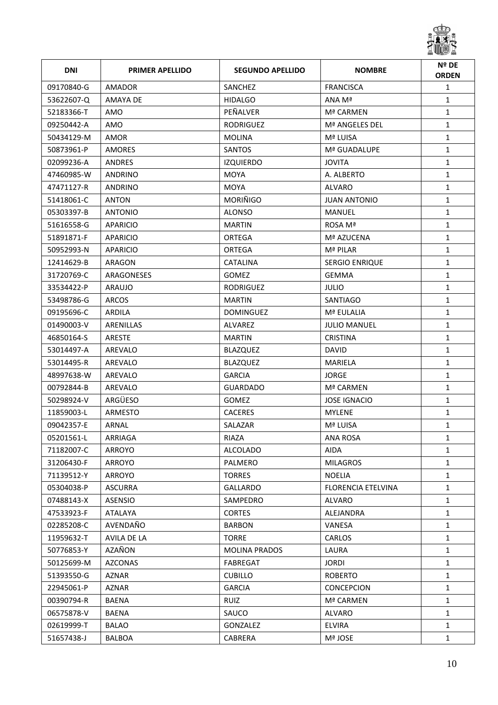

| <b>DNI</b> | <b>PRIMER APELLIDO</b> | <b>SEGUNDO APELLIDO</b> | <b>NOMBRE</b>         | Nº DE<br><b>ORDEN</b> |
|------------|------------------------|-------------------------|-----------------------|-----------------------|
| 09170840-G | <b>AMADOR</b>          | SANCHEZ                 | <b>FRANCISCA</b>      | $\mathbf{1}$          |
| 53622607-Q | AMAYA DE               | <b>HIDALGO</b>          | ANA Mª                | $\mathbf{1}$          |
| 52183366-T | AMO                    | PEÑALVER                | Mª CARMEN             | $\mathbf{1}$          |
| 09250442-A | AMO                    | <b>RODRIGUEZ</b>        | Mª ANGELES DEL        | $\mathbf{1}$          |
| 50434129-M | AMOR                   | <b>MOLINA</b>           | Mª LUISA              | $\mathbf{1}$          |
| 50873961-P | AMORES                 | SANTOS                  | Mª GUADALUPE          | $\mathbf{1}$          |
| 02099236-A | <b>ANDRES</b>          | <b>IZQUIERDO</b>        | <b>JOVITA</b>         | $\mathbf{1}$          |
| 47460985-W | <b>ANDRINO</b>         | <b>MOYA</b>             | A. ALBERTO            | $\mathbf{1}$          |
| 47471127-R | ANDRINO                | <b>MOYA</b>             | ALVARO                | $\mathbf{1}$          |
| 51418061-C | <b>ANTON</b>           | <b>MORIÑIGO</b>         | <b>JUAN ANTONIO</b>   | $\mathbf{1}$          |
| 05303397-B | <b>ANTONIO</b>         | <b>ALONSO</b>           | MANUEL                | $\mathbf{1}$          |
| 51616558-G | APARICIO               | <b>MARTIN</b>           | ROSA Mª               | $\mathbf{1}$          |
| 51891871-F | APARICIO               | ORTEGA                  | Mª AZUCENA            | $\mathbf{1}$          |
| 50952993-N | APARICIO               | ORTEGA                  | Mª PILAR              | $\mathbf{1}$          |
| 12414629-B | ARAGON                 | <b>CATALINA</b>         | <b>SERGIO ENRIQUE</b> | $\mathbf{1}$          |
| 31720769-C | ARAGONESES             | <b>GOMEZ</b>            | <b>GEMMA</b>          | $\mathbf{1}$          |
| 33534422-P | ARAUJO                 | <b>RODRIGUEZ</b>        | <b>JULIO</b>          | $\mathbf{1}$          |
| 53498786-G | <b>ARCOS</b>           | <b>MARTIN</b>           | <b>SANTIAGO</b>       | $\mathbf{1}$          |
| 09195696-C | ARDILA                 | <b>DOMINGUEZ</b>        | Mª EULALIA            | $\mathbf{1}$          |
| 01490003-V | ARENILLAS              | ALVAREZ                 | <b>JULIO MANUEL</b>   | $\mathbf{1}$          |
| 46850164-S | ARESTE                 | <b>MARTIN</b>           | <b>CRISTINA</b>       | $\mathbf{1}$          |
| 53014497-A | AREVALO                | <b>BLAZQUEZ</b>         | <b>DAVID</b>          | $\mathbf{1}$          |
| 53014495-R | AREVALO                | <b>BLAZQUEZ</b>         | MARIELA               | $\mathbf{1}$          |
| 48997638-W | AREVALO                | <b>GARCIA</b>           | <b>JORGE</b>          | $\mathbf{1}$          |
| 00792844-B | AREVALO                | <b>GUARDADO</b>         | Mª CARMEN             | $\mathbf{1}$          |
| 50298924-V | ARGÜESO                | <b>GOMEZ</b>            | <b>JOSE IGNACIO</b>   | 1                     |
| 11859003-L | ARMESTO                | <b>CACERES</b>          | <b>MYLENE</b>         | $\mathbf{1}$          |
| 09042357-E | ARNAL                  | SALAZAR                 | Mª LUISA              | $\mathbf{1}$          |
| 05201561-L | ARRIAGA                | RIAZA                   | ANA ROSA              | 1                     |
| 71182007-C | ARROYO                 | ALCOLADO                | <b>AIDA</b>           | 1                     |
| 31206430-F | ARROYO                 | PALMERO                 | <b>MILAGROS</b>       | $\mathbf{1}$          |
| 71139512-Y | ARROYO                 | <b>TORRES</b>           | <b>NOELIA</b>         | $\mathbf{1}$          |
| 05304038-P | <b>ASCURRA</b>         | GALLARDO                | FLORENCIA ETELVINA    | $\mathbf{1}$          |
| 07488143-X | ASENSIO                | SAMPEDRO                | ALVARO                | $\mathbf{1}$          |
| 47533923-F | ATALAYA                | <b>CORTES</b>           | ALEJANDRA             | $\mathbf{1}$          |
| 02285208-C | AVENDAÑO               | <b>BARBON</b>           | VANESA                | $\mathbf{1}$          |
| 11959632-T | <b>AVILA DE LA</b>     | <b>TORRE</b>            | <b>CARLOS</b>         | $\mathbf{1}$          |
| 50776853-Y | AZAÑON                 | <b>MOLINA PRADOS</b>    | LAURA                 | $\mathbf{1}$          |
| 50125699-M | AZCONAS                | FABREGAT                | <b>JORDI</b>          | $\mathbf{1}$          |
| 51393550-G | <b>AZNAR</b>           | <b>CUBILLO</b>          | <b>ROBERTO</b>        | $\mathbf{1}$          |
| 22945061-P | AZNAR                  | <b>GARCIA</b>           | <b>CONCEPCION</b>     | $\mathbf{1}$          |
| 00390794-R | <b>BAENA</b>           | <b>RUIZ</b>             | Mª CARMEN             | $\mathbf{1}$          |
| 06575878-V | BAENA                  | SAUCO                   | ALVARO                | $\mathbf{1}$          |
| 02619999-T | <b>BALAO</b>           | GONZALEZ                | <b>ELVIRA</b>         | $\mathbf{1}$          |
| 51657438-J | BALBOA                 | CABRERA                 | Mª JOSE               | $\mathbf{1}$          |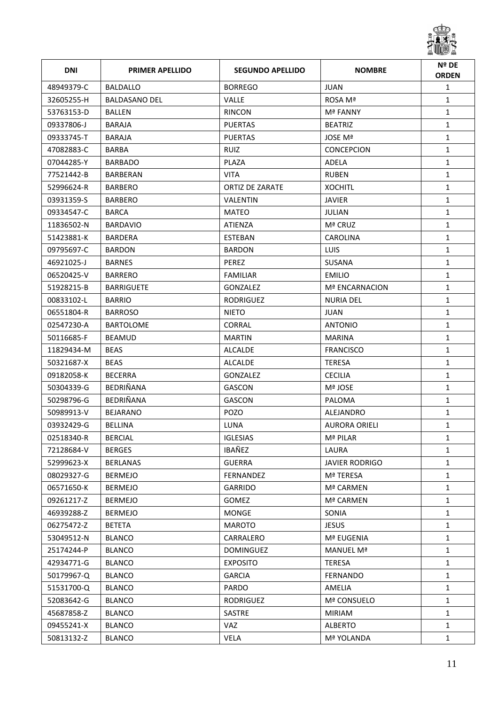

| <b>DNI</b> | <b>PRIMER APELLIDO</b> | <b>SEGUNDO APELLIDO</b> | <b>NOMBRE</b>         | Nº DE<br><b>ORDEN</b> |
|------------|------------------------|-------------------------|-----------------------|-----------------------|
| 48949379-C | <b>BALDALLO</b>        | <b>BORREGO</b>          | <b>JUAN</b>           | $\mathbf{1}$          |
| 32605255-H | <b>BALDASANO DEL</b>   | <b>VALLE</b>            | ROSA Mª               | $\mathbf{1}$          |
| 53763153-D | <b>BALLEN</b>          | <b>RINCON</b>           | <b>Mª FANNY</b>       | $\mathbf{1}$          |
| 09337806-J | <b>BARAJA</b>          | <b>PUERTAS</b>          | <b>BEATRIZ</b>        | $\mathbf{1}$          |
| 09333745-T | <b>BARAJA</b>          | <b>PUERTAS</b>          | JOSE Mª               | $\mathbf{1}$          |
| 47082883-C | BARBA                  | <b>RUIZ</b>             | <b>CONCEPCION</b>     | $\mathbf{1}$          |
| 07044285-Y | <b>BARBADO</b>         | PLAZA                   | ADELA                 | $\mathbf{1}$          |
| 77521442-B | BARBERAN               | <b>VITA</b>             | <b>RUBEN</b>          | $\mathbf{1}$          |
| 52996624-R | <b>BARBERO</b>         | ORTIZ DE ZARATE         | <b>XOCHITL</b>        | $\mathbf{1}$          |
| 03931359-S | BARBERO                | VALENTIN                | <b>JAVIER</b>         | $\mathbf{1}$          |
| 09334547-C | <b>BARCA</b>           | MATEO                   | JULIAN                | $\mathbf{1}$          |
| 11836502-N | <b>BARDAVIO</b>        | ATIENZA                 | Mª CRUZ               | $\mathbf{1}$          |
| 51423881-K | <b>BARDERA</b>         | <b>ESTEBAN</b>          | <b>CAROLINA</b>       | $\mathbf{1}$          |
| 09795697-C | <b>BARDON</b>          | <b>BARDON</b>           | <b>LUIS</b>           | $\mathbf{1}$          |
| 46921025-J | <b>BARNES</b>          | <b>PEREZ</b>            | <b>SUSANA</b>         | $\mathbf{1}$          |
| 06520425-V | <b>BARRERO</b>         | <b>FAMILIAR</b>         | <b>EMILIO</b>         | $\mathbf{1}$          |
| 51928215-B | <b>BARRIGUETE</b>      | GONZALEZ                | Mª ENCARNACION        | $\mathbf{1}$          |
| 00833102-L | <b>BARRIO</b>          | RODRIGUEZ               | <b>NURIA DEL</b>      | $\mathbf{1}$          |
| 06551804-R | <b>BARROSO</b>         | <b>NIETO</b>            | JUAN                  | $\mathbf{1}$          |
| 02547230-A | <b>BARTOLOME</b>       | CORRAL                  | <b>ANTONIO</b>        | $\mathbf{1}$          |
| 50116685-F | <b>BEAMUD</b>          | <b>MARTIN</b>           | <b>MARINA</b>         | $\mathbf{1}$          |
| 11829434-M | <b>BEAS</b>            | ALCALDE                 | <b>FRANCISCO</b>      | $\mathbf{1}$          |
| 50321687-X | <b>BEAS</b>            | ALCALDE                 | <b>TERESA</b>         | $\mathbf{1}$          |
| 09182058-K | <b>BECERRA</b>         | GONZALEZ                | <b>CECILIA</b>        | $\mathbf{1}$          |
| 50304339-G | BEDRIÑANA              | GASCON                  | Mª JOSE               | $\mathbf{1}$          |
| 50298796-G | BEDRIÑANA              | GASCON                  | PALOMA                | $\mathbf{1}$          |
| 50989913-V | <b>BEJARANO</b>        | <b>POZO</b>             | ALEJANDRO             | $\mathbf{1}$          |
| 03932429-G | <b>BELLINA</b>         | LUNA                    | <b>AURORA ORIELI</b>  | $\mathbf{1}$          |
| 02518340-R | <b>BERCIAL</b>         | <b>IGLESIAS</b>         | Mª PILAR              | 1                     |
| 72128684-V | <b>BERGES</b>          | IBAÑEZ                  | LAURA                 | $\mathbf{1}$          |
| 52999623-X | <b>BERLANAS</b>        | <b>GUERRA</b>           | <b>JAVIER RODRIGO</b> | $\mathbf{1}$          |
| 08029327-G | <b>BERMEJO</b>         | FERNANDEZ               | Mª TERESA             | $\mathbf{1}$          |
| 06571650-K | <b>BERMEJO</b>         | <b>GARRIDO</b>          | Mª CARMEN             | $\mathbf{1}$          |
| 09261217-Z | <b>BERMEJO</b>         | <b>GOMEZ</b>            | Mª CARMEN             | $\mathbf{1}$          |
| 46939288-Z | <b>BERMEJO</b>         | <b>MONGE</b>            | SONIA                 | $\mathbf{1}$          |
| 06275472-Z | <b>BETETA</b>          | <b>MAROTO</b>           | <b>JESUS</b>          | $\mathbf{1}$          |
| 53049512-N | <b>BLANCO</b>          | CARRALERO               | Mª EUGENIA            | 1                     |
| 25174244-P | <b>BLANCO</b>          | <b>DOMINGUEZ</b>        | MANUEL Mª             | $\mathbf{1}$          |
| 42934771-G | <b>BLANCO</b>          | <b>EXPOSITO</b>         | <b>TERESA</b>         | $\mathbf{1}$          |
| 50179967-Q | <b>BLANCO</b>          | <b>GARCIA</b>           | <b>FERNANDO</b>       | $\mathbf{1}$          |
| 51531700-Q | <b>BLANCO</b>          | PARDO                   | AMELIA                | $\mathbf{1}$          |
| 52083642-G | <b>BLANCO</b>          | RODRIGUEZ               | Mª CONSUELO           | $\mathbf{1}$          |
| 45687858-Z | <b>BLANCO</b>          | SASTRE                  | <b>MIRIAM</b>         | $\mathbf{1}$          |
| 09455241-X | <b>BLANCO</b>          | VAZ                     | <b>ALBERTO</b>        | $\mathbf{1}$          |
| 50813132-Z | <b>BLANCO</b>          | VELA                    | Mª YOLANDA            | $\mathbf{1}$          |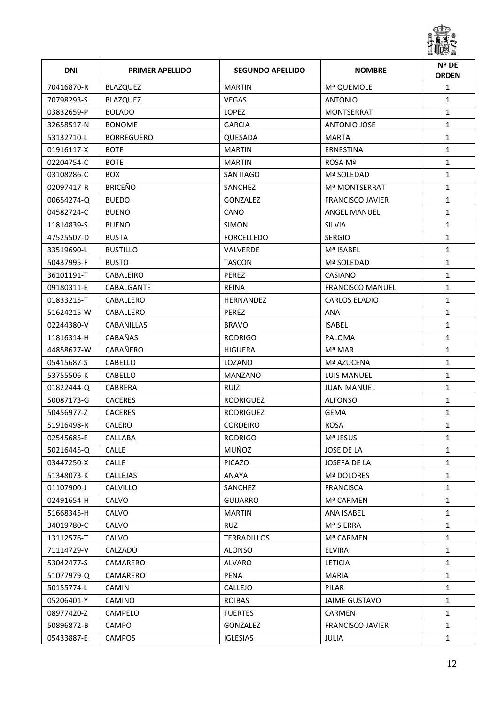

| <b>DNI</b> | <b>PRIMER APELLIDO</b> | <b>SEGUNDO APELLIDO</b> | <b>NOMBRE</b>           | Nº DE<br><b>ORDEN</b> |
|------------|------------------------|-------------------------|-------------------------|-----------------------|
| 70416870-R | <b>BLAZQUEZ</b>        | <b>MARTIN</b>           | Mª QUEMOLE              | $\mathbf{1}$          |
| 70798293-S | <b>BLAZQUEZ</b>        | <b>VEGAS</b>            | ANTONIO                 | $\mathbf{1}$          |
| 03832659-P | <b>BOLADO</b>          | <b>LOPEZ</b>            | <b>MONTSERRAT</b>       | $\mathbf{1}$          |
| 32658517-N | <b>BONOME</b>          | <b>GARCIA</b>           | ANTONIO JOSE            | $\mathbf{1}$          |
| 53132710-L | <b>BORREGUERO</b>      | QUESADA                 | <b>MARTA</b>            | $\mathbf{1}$          |
| 01916117-X | <b>BOTE</b>            | <b>MARTIN</b>           | ERNESTINA               | $\mathbf{1}$          |
| 02204754-C | <b>BOTE</b>            | <b>MARTIN</b>           | ROSA Mª                 | $\mathbf{1}$          |
| 03108286-C | <b>BOX</b>             | SANTIAGO                | Mª SOLEDAD              | $\mathbf{1}$          |
| 02097417-R | <b>BRICEÑO</b>         | SANCHEZ                 | <b>Mª MONTSERRAT</b>    | $\mathbf{1}$          |
| 00654274-Q | <b>BUEDO</b>           | <b>GONZALEZ</b>         | <b>FRANCISCO JAVIER</b> | $\mathbf{1}$          |
| 04582724-C | <b>BUENO</b>           | CANO                    | <b>ANGEL MANUEL</b>     | $\mathbf{1}$          |
| 11814839-S | <b>BUENO</b>           | <b>SIMON</b>            | <b>SILVIA</b>           | $\mathbf{1}$          |
| 47525507-D | <b>BUSTA</b>           | <b>FORCELLEDO</b>       | <b>SERGIO</b>           | 1                     |
| 33519690-L | <b>BUSTILLO</b>        | <b>VALVERDE</b>         | Mª ISABEL               | $\mathbf{1}$          |
| 50437995-F | <b>BUSTO</b>           | <b>TASCON</b>           | Mª SOLEDAD              | $\mathbf{1}$          |
| 36101191-T | CABALEIRO              | <b>PEREZ</b>            | <b>CASIANO</b>          | $\mathbf{1}$          |
| 09180311-E | CABALGANTE             | <b>REINA</b>            | <b>FRANCISCO MANUEL</b> | $\mathbf{1}$          |
| 01833215-T | CABALLERO              | <b>HERNANDEZ</b>        | <b>CARLOS ELADIO</b>    | $\mathbf{1}$          |
| 51624215-W | CABALLERO              | <b>PEREZ</b>            | ANA                     | $\mathbf{1}$          |
| 02244380-V | <b>CABANILLAS</b>      | <b>BRAVO</b>            | <b>ISABEL</b>           | $\mathbf{1}$          |
| 11816314-H | <b>CABAÑAS</b>         | <b>RODRIGO</b>          | PALOMA                  | $\mathbf{1}$          |
| 44858627-W | CABAÑERO               | <b>HIGUERA</b>          | Mª MAR                  | $\mathbf{1}$          |
| 05415687-S | <b>CABELLO</b>         | LOZANO                  | Mª AZUCENA              | $\mathbf{1}$          |
| 53755506-K | <b>CABELLO</b>         | <b>MANZANO</b>          | LUIS MANUEL             | $\mathbf{1}$          |
| 01822444-Q | <b>CABRERA</b>         | <b>RUIZ</b>             | <b>JUAN MANUEL</b>      | 1                     |
| 50087173-G | <b>CACERES</b>         | <b>RODRIGUEZ</b>        | <b>ALFONSO</b>          | $\mathbf{1}$          |
| 50456977-Z | <b>CACERES</b>         | <b>RODRIGUEZ</b>        | <b>GEMA</b>             | $\mathbf{1}$          |
| 51916498-R | CALERO                 | <b>CORDEIRO</b>         | <b>ROSA</b>             | $\mathbf{1}$          |
| 02545685-E | CALLABA                | <b>RODRIGO</b>          | Mª JESUS                | 1                     |
| 50216445-Q | <b>CALLE</b>           | MUÑOZ                   | JOSE DE LA              | $\mathbf{1}$          |
| 03447250-X | <b>CALLE</b>           | <b>PICAZO</b>           | JOSEFA DE LA            | 1                     |
| 51348073-K | CALLEJAS               | ANAYA                   | Mª DOLORES              | $\mathbf{1}$          |
| 01107900-J | <b>CALVILLO</b>        | SANCHEZ                 | <b>FRANCISCA</b>        | $\mathbf{1}$          |
| 02491654-H | CALVO                  | <b>GUIJARRO</b>         | Mª CARMEN               | $\mathbf{1}$          |
| 51668345-H | CALVO                  | <b>MARTIN</b>           | ANA ISABEL              | $\mathbf{1}$          |
| 34019780-C | CALVO                  | <b>RUZ</b>              | Mª SIERRA               | $\mathbf{1}$          |
| 13112576-T | CALVO                  | <b>TERRADILLOS</b>      | Mª CARMEN               | 1                     |
| 71114729-V | CALZADO                | <b>ALONSO</b>           | <b>ELVIRA</b>           | $\mathbf{1}$          |
| 53042477-S | CAMARERO               | <b>ALVARO</b>           | <b>LETICIA</b>          | $\mathbf{1}$          |
| 51077979-Q | CAMARERO               | PEÑA                    | <b>MARIA</b>            | 1                     |
| 50155774-L | <b>CAMIN</b>           | <b>CALLEJO</b>          | PILAR                   | 1                     |
| 05206401-Y | CAMINO                 | <b>ROIBAS</b>           | JAIME GUSTAVO           | $\mathbf{1}$          |
| 08977420-Z | CAMPELO                | <b>FUERTES</b>          | CARMEN                  | $\mathbf{1}$          |
| 50896872-B | <b>CAMPO</b>           | GONZALEZ                | <b>FRANCISCO JAVIER</b> | $\mathbf{1}$          |
| 05433887-E | CAMPOS                 | <b>IGLESIAS</b>         | JULIA                   | $\mathbf{1}$          |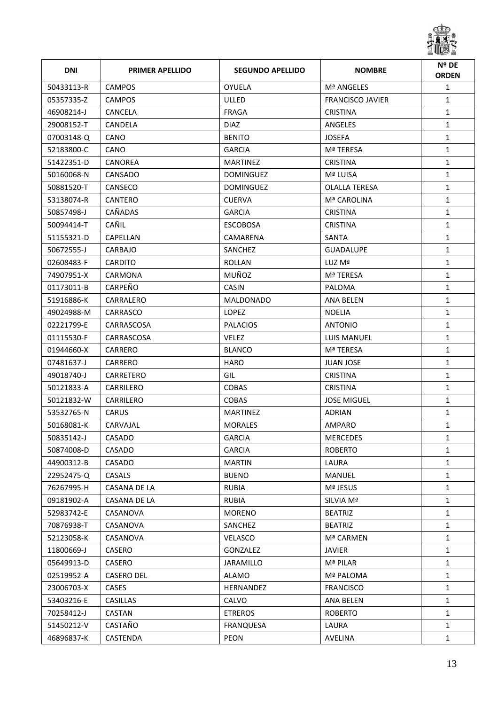

| <b>DNI</b> | <b>PRIMER APELLIDO</b> | <b>SEGUNDO APELLIDO</b> | <b>NOMBRE</b>           | Nº DE<br><b>ORDEN</b> |
|------------|------------------------|-------------------------|-------------------------|-----------------------|
| 50433113-R | <b>CAMPOS</b>          | <b>OYUELA</b>           | Mª ANGELES              | $\mathbf{1}$          |
| 05357335-Z | <b>CAMPOS</b>          | <b>ULLED</b>            | <b>FRANCISCO JAVIER</b> | $\mathbf{1}$          |
| 46908214-J | CANCELA                | FRAGA                   | <b>CRISTINA</b>         | $\mathbf{1}$          |
| 29008152-T | <b>CANDELA</b>         | <b>DIAZ</b>             | ANGELES                 | $\mathbf{1}$          |
| 07003148-Q | CANO                   | <b>BENITO</b>           | <b>JOSEFA</b>           | $\mathbf{1}$          |
| 52183800-C | CANO                   | <b>GARCIA</b>           | Mª TERESA               | $\mathbf{1}$          |
| 51422351-D | <b>CANOREA</b>         | <b>MARTINEZ</b>         | <b>CRISTINA</b>         | $\mathbf{1}$          |
| 50160068-N | CANSADO                | <b>DOMINGUEZ</b>        | Mª LUISA                | $\mathbf{1}$          |
| 50881520-T | CANSECO                | <b>DOMINGUEZ</b>        | <b>OLALLA TERESA</b>    | $\mathbf{1}$          |
| 53138074-R | CANTERO                | <b>CUERVA</b>           | Mª CAROLINA             | $\mathbf{1}$          |
| 50857498-J | CAÑADAS                | <b>GARCIA</b>           | <b>CRISTINA</b>         | $\mathbf{1}$          |
| 50094414-T | CAÑIL                  | <b>ESCOBOSA</b>         | <b>CRISTINA</b>         | $\mathbf{1}$          |
| 51155321-D | CAPELLAN               | CAMARENA                | <b>SANTA</b>            | $\mathbf{1}$          |
| 50672555-J | CARBAJO                | SANCHEZ                 | <b>GUADALUPE</b>        | $\mathbf{1}$          |
| 02608483-F | <b>CARDITO</b>         | <b>ROLLAN</b>           | LUZ Mª                  | $\mathbf{1}$          |
| 74907951-X | CARMONA                | MUÑOZ                   | Mª TERESA               | $\mathbf{1}$          |
| 01173011-B | CARPEÑO                | <b>CASIN</b>            | <b>PALOMA</b>           | $\mathbf{1}$          |
| 51916886-K | CARRALERO              | <b>MALDONADO</b>        | ANA BELEN               | $\mathbf{1}$          |
| 49024988-M | CARRASCO               | <b>LOPEZ</b>            | <b>NOELIA</b>           | $\mathbf{1}$          |
| 02221799-E | CARRASCOSA             | <b>PALACIOS</b>         | <b>ANTONIO</b>          | $\mathbf{1}$          |
| 01115530-F | CARRASCOSA             | <b>VELEZ</b>            | LUIS MANUEL             | $\mathbf{1}$          |
| 01944660-X | CARRERO                | <b>BLANCO</b>           | Mª TERESA               | $\mathbf{1}$          |
| 07481637-J | CARRERO                | <b>HARO</b>             | JUAN JOSE               | $\mathbf{1}$          |
| 49018740-J | CARRETERO              | GIL                     | <b>CRISTINA</b>         | $\mathbf{1}$          |
| 50121833-A | CARRILERO              | <b>COBAS</b>            | <b>CRISTINA</b>         | $\mathbf{1}$          |
| 50121832-W | CARRILERO              | <b>COBAS</b>            | <b>JOSE MIGUEL</b>      | $\mathbf{1}$          |
| 53532765-N | <b>CARUS</b>           | <b>MARTINEZ</b>         | <b>ADRIAN</b>           | $\mathbf{1}$          |
| 50168081-K | CARVAJAL               | <b>MORALES</b>          | AMPARO                  | $\mathbf{1}$          |
| 50835142-J | CASADO                 | GARCIA                  | <b>MERCEDES</b>         | 1                     |
| 50874008-D | CASADO                 | <b>GARCIA</b>           | <b>ROBERTO</b>          | $\mathbf{1}$          |
| 44900312-B | CASADO                 | <b>MARTIN</b>           | LAURA                   | $\mathbf{1}$          |
| 22952475-Q | <b>CASALS</b>          | <b>BUENO</b>            | MANUEL                  | $\mathbf{1}$          |
| 76267995-H | CASANA DE LA           | <b>RUBIA</b>            | Mª JESUS                | $\mathbf{1}$          |
| 09181902-A | CASANA DE LA           | <b>RUBIA</b>            | SILVIA Mª               | $\mathbf{1}$          |
| 52983742-E | CASANOVA               | <b>MORENO</b>           | <b>BEATRIZ</b>          | $\mathbf{1}$          |
| 70876938-T | CASANOVA               | SANCHEZ                 | <b>BEATRIZ</b>          | $\mathbf{1}$          |
| 52123058-K | CASANOVA               | <b>VELASCO</b>          | Mª CARMEN               | $\mathbf{1}$          |
| 11800669-J | CASERO                 | GONZALEZ                | <b>JAVIER</b>           | $\mathbf{1}$          |
| 05649913-D | <b>CASERO</b>          | <b>JARAMILLO</b>        | Mª PILAR                | $\mathbf{1}$          |
| 02519952-A | <b>CASERO DEL</b>      | ALAMO                   | <b>Mª PALOMA</b>        | $\mathbf{1}$          |
| 23006703-X | <b>CASES</b>           | HERNANDEZ               | <b>FRANCISCO</b>        | $\mathbf{1}$          |
| 53403216-E | CASILLAS               | CALVO                   | ANA BELEN               | $\mathbf{1}$          |
| 70258412-J | <b>CASTAN</b>          | <b>ETREROS</b>          | <b>ROBERTO</b>          | $\mathbf{1}$          |
| 51450212-V | CASTAÑO                | <b>FRANQUESA</b>        | LAURA                   | $\mathbf{1}$          |
| 46896837-K | CASTENDA               | PEON                    | AVELINA                 | $\mathbf{1}$          |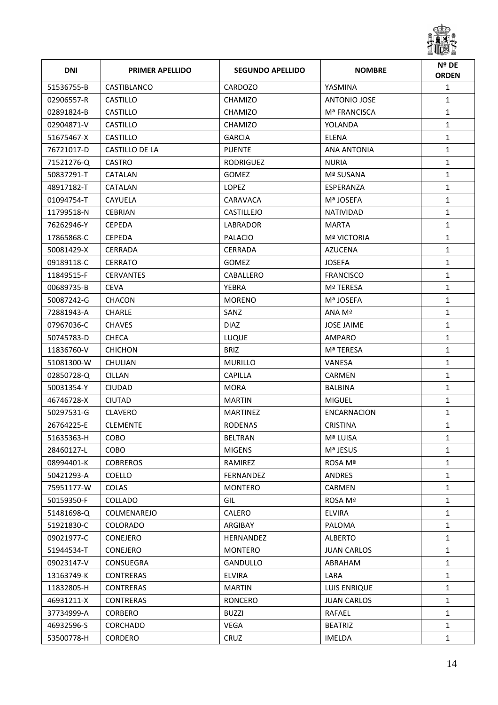

| <b>DNI</b> | <b>PRIMER APELLIDO</b> | <b>SEGUNDO APELLIDO</b> | <b>NOMBRE</b>       | Nº DE<br><b>ORDEN</b> |
|------------|------------------------|-------------------------|---------------------|-----------------------|
| 51536755-B | CASTIBLANCO            | <b>CARDOZO</b>          | YASMINA             | $\mathbf{1}$          |
| 02906557-R | <b>CASTILLO</b>        | CHAMIZO                 | <b>ANTONIO JOSE</b> | $\mathbf{1}$          |
| 02891824-B | <b>CASTILLO</b>        | <b>CHAMIZO</b>          | Mª FRANCISCA        | $\mathbf{1}$          |
| 02904871-V | <b>CASTILLO</b>        | CHAMIZO                 | YOLANDA             | $\mathbf{1}$          |
| 51675467-X | <b>CASTILLO</b>        | <b>GARCIA</b>           | <b>ELENA</b>        | $\mathbf{1}$          |
| 76721017-D | CASTILLO DE LA         | <b>PUENTE</b>           | <b>ANA ANTONIA</b>  | $\mathbf{1}$          |
| 71521276-Q | <b>CASTRO</b>          | <b>RODRIGUEZ</b>        | <b>NURIA</b>        | $\mathbf{1}$          |
| 50837291-T | CATALAN                | <b>GOMEZ</b>            | Mª SUSANA           | $\mathbf{1}$          |
| 48917182-T | CATALAN                | <b>LOPEZ</b>            | ESPERANZA           | $\mathbf{1}$          |
| 01094754-T | <b>CAYUELA</b>         | CARAVACA                | Mª JOSEFA           | $\mathbf{1}$          |
| 11799518-N | <b>CEBRIAN</b>         | <b>CASTILLEJO</b>       | <b>NATIVIDAD</b>    | $\mathbf{1}$          |
| 76262946-Y | <b>CEPEDA</b>          | LABRADOR                | <b>MARTA</b>        | $\mathbf{1}$          |
| 17865868-C | <b>CEPEDA</b>          | PALACIO                 | <b>Mª VICTORIA</b>  | $\mathbf{1}$          |
| 50081429-X | <b>CERRADA</b>         | <b>CERRADA</b>          | AZUCENA             | $\mathbf{1}$          |
| 09189118-C | <b>CERRATO</b>         | <b>GOMEZ</b>            | <b>JOSEFA</b>       | $\mathbf{1}$          |
| 11849515-F | <b>CERVANTES</b>       | CABALLERO               | <b>FRANCISCO</b>    | $\mathbf{1}$          |
| 00689735-B | <b>CEVA</b>            | <b>YEBRA</b>            | Mª TERESA           | $\mathbf{1}$          |
| 50087242-G | <b>CHACON</b>          | <b>MORENO</b>           | Mª JOSEFA           | $\mathbf{1}$          |
| 72881943-A | <b>CHARLE</b>          | SANZ                    | ANA Mª              | $\mathbf{1}$          |
| 07967036-C | <b>CHAVES</b>          | <b>DIAZ</b>             | <b>JOSE JAIME</b>   | $\mathbf{1}$          |
| 50745783-D | <b>CHECA</b>           | LUQUE                   | AMPARO              | $\mathbf{1}$          |
| 11836760-V | <b>CHICHON</b>         | <b>BRIZ</b>             | Mª TERESA           | $\mathbf{1}$          |
| 51081300-W | CHULIAN                | <b>MURILLO</b>          | VANESA              | $\mathbf{1}$          |
| 02850728-Q | <b>CILLAN</b>          | <b>CAPILLA</b>          | <b>CARMEN</b>       | $\mathbf{1}$          |
| 50031354-Y | <b>CIUDAD</b>          | <b>MORA</b>             | <b>BALBINA</b>      | $\mathbf{1}$          |
| 46746728-X | <b>CIUTAD</b>          | <b>MARTIN</b>           | <b>MIGUEL</b>       | $\mathbf{1}$          |
| 50297531-G | <b>CLAVERO</b>         | <b>MARTINEZ</b>         | ENCARNACION         | $\mathbf{1}$          |
| 26764225-E | <b>CLEMENTE</b>        | <b>RODENAS</b>          | <b>CRISTINA</b>     | $\mathbf{1}$          |
| 51635363-H | COBO                   | <b>BELTRAN</b>          | Mª LUISA            | 1                     |
| 28460127-L | COBO                   | <b>MIGENS</b>           | Mª JESUS            | $\mathbf{1}$          |
| 08994401-K | <b>COBREROS</b>        | RAMIREZ                 | ROSA Mª             | $\mathbf{1}$          |
| 50421293-A | <b>COELLO</b>          | FERNANDEZ               | ANDRES              | $\mathbf{1}$          |
| 75951177-W | <b>COLAS</b>           | MONTERO                 | CARMEN              | $\mathbf{1}$          |
| 50159350-F | COLLADO                | GIL                     | ROSA Mª             | $\mathbf{1}$          |
| 51481698-Q | COLMENAREJO            | CALERO                  | <b>ELVIRA</b>       | $\mathbf{1}$          |
| 51921830-C | <b>COLORADO</b>        | ARGIBAY                 | PALOMA              | $\mathbf{1}$          |
| 09021977-C | CONEJERO               | <b>HERNANDEZ</b>        | <b>ALBERTO</b>      | 1                     |
| 51944534-T | CONEJERO               | <b>MONTERO</b>          | <b>JUAN CARLOS</b>  | $\mathbf{1}$          |
| 09023147-V | <b>CONSUEGRA</b>       | <b>GANDULLO</b>         | ABRAHAM             | $\mathbf{1}$          |
| 13163749-K | <b>CONTRERAS</b>       | <b>ELVIRA</b>           | LARA                | $\mathbf{1}$          |
| 11832805-H | <b>CONTRERAS</b>       | <b>MARTIN</b>           | LUIS ENRIQUE        | $\mathbf{1}$          |
| 46931211-X | <b>CONTRERAS</b>       | <b>RONCERO</b>          | <b>JUAN CARLOS</b>  | $\mathbf{1}$          |
| 37734999-A | <b>CORBERO</b>         | <b>BUZZI</b>            | RAFAEL              | $\mathbf{1}$          |
| 46932596-S | CORCHADO               | VEGA                    | <b>BEATRIZ</b>      | $\mathbf{1}$          |
| 53500778-H | <b>CORDERO</b>         | CRUZ                    | IMELDA              | $\mathbf{1}$          |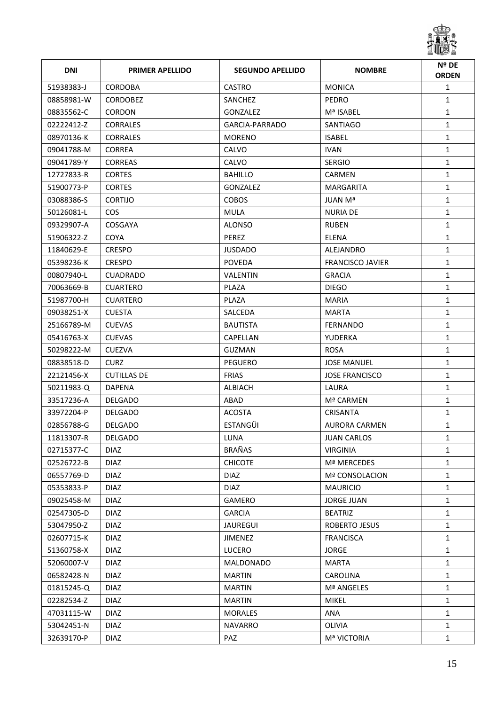

| <b>DNI</b> | <b>PRIMER APELLIDO</b> | <b>SEGUNDO APELLIDO</b> | <b>NOMBRE</b>           | Nº DE<br><b>ORDEN</b> |
|------------|------------------------|-------------------------|-------------------------|-----------------------|
| 51938383-J | CORDOBA                | CASTRO                  | <b>MONICA</b>           | $\mathbf{1}$          |
| 08858981-W | <b>CORDOBEZ</b>        | SANCHEZ                 | <b>PEDRO</b>            | $\mathbf{1}$          |
| 08835562-C | <b>CORDON</b>          | <b>GONZALEZ</b>         | Mª ISABEL               | $\mathbf{1}$          |
| 02222412-Z | <b>CORRALES</b>        | GARCIA-PARRADO          | SANTIAGO                | $\mathbf{1}$          |
| 08970136-K | <b>CORRALES</b>        | <b>MORENO</b>           | <b>ISABEL</b>           | $\mathbf{1}$          |
| 09041788-M | <b>CORREA</b>          | CALVO                   | <b>IVAN</b>             | $\mathbf{1}$          |
| 09041789-Y | <b>CORREAS</b>         | CALVO                   | <b>SERGIO</b>           | $\mathbf{1}$          |
| 12727833-R | <b>CORTES</b>          | <b>BAHILLO</b>          | <b>CARMEN</b>           | $\mathbf{1}$          |
| 51900773-P | <b>CORTES</b>          | GONZALEZ                | <b>MARGARITA</b>        | $\mathbf{1}$          |
| 03088386-S | <b>CORTIJO</b>         | <b>COBOS</b>            | JUAN Mª                 | $\mathbf{1}$          |
| 50126081-L | COS.                   | <b>MULA</b>             | <b>NURIA DE</b>         | $\mathbf{1}$          |
| 09329907-A | COSGAYA                | <b>ALONSO</b>           | <b>RUBEN</b>            | $\mathbf{1}$          |
| 51906322-Z | <b>COYA</b>            | PEREZ                   | <b>ELENA</b>            | $\mathbf{1}$          |
| 11840629-E | <b>CRESPO</b>          | <b>JUSDADO</b>          | ALEJANDRO               | $\mathbf{1}$          |
| 05398236-K | <b>CRESPO</b>          | <b>POVEDA</b>           | <b>FRANCISCO JAVIER</b> | $\mathbf{1}$          |
| 00807940-L | <b>CUADRADO</b>        | VALENTIN                | <b>GRACIA</b>           | $\mathbf{1}$          |
| 70063669-B | <b>CUARTERO</b>        | PLAZA                   | <b>DIEGO</b>            | $\mathbf{1}$          |
| 51987700-H | <b>CUARTERO</b>        | PLAZA                   | <b>MARIA</b>            | $\mathbf{1}$          |
| 09038251-X | <b>CUESTA</b>          | SALCEDA                 | <b>MARTA</b>            | $\mathbf{1}$          |
| 25166789-M | <b>CUEVAS</b>          | <b>BAUTISTA</b>         | <b>FERNANDO</b>         | $\mathbf{1}$          |
| 05416763-X | <b>CUEVAS</b>          | CAPELLAN                | YUDERKA                 | $\mathbf{1}$          |
| 50298222-M | <b>CUEZVA</b>          | <b>GUZMAN</b>           | <b>ROSA</b>             | $\mathbf{1}$          |
| 08838518-D | <b>CURZ</b>            | PEGUERO                 | <b>JOSE MANUEL</b>      | $\mathbf{1}$          |
| 22121456-X | <b>CUTILLAS DE</b>     | <b>FRIAS</b>            | <b>JOSE FRANCISCO</b>   | $\mathbf{1}$          |
| 50211983-Q | <b>DAPENA</b>          | ALBIACH                 | LAURA                   | $\mathbf{1}$          |
| 33517236-A | <b>DELGADO</b>         | ABAD                    | Mª CARMEN               | $\mathbf{1}$          |
| 33972204-P | <b>DELGADO</b>         | <b>ACOSTA</b>           | <b>CRISANTA</b>         | $\mathbf{1}$          |
| 02856788-G | <b>DELGADO</b>         | <b>ESTANGÜI</b>         | <b>AURORA CARMEN</b>    | $\mathbf{1}$          |
| 11813307-R | DELGADO                | LUNA                    | <b>JUAN CARLOS</b>      | 1                     |
| 02715377-C | <b>DIAZ</b>            | BRAÑAS                  | <b>VIRGINIA</b>         | $\mathbf{1}$          |
| 02526722-B | <b>DIAZ</b>            | <b>CHICOTE</b>          | Mª MERCEDES             | $\mathbf{1}$          |
| 06557769-D | <b>DIAZ</b>            | <b>DIAZ</b>             | Mª CONSOLACION          | $\mathbf{1}$          |
| 05353833-P | <b>DIAZ</b>            | <b>DIAZ</b>             | <b>MAURICIO</b>         | $\mathbf{1}$          |
| 09025458-M | <b>DIAZ</b>            | GAMERO                  | <b>JORGE JUAN</b>       | $\mathbf{1}$          |
| 02547305-D | <b>DIAZ</b>            | <b>GARCIA</b>           | <b>BEATRIZ</b>          | $\mathbf{1}$          |
| 53047950-Z | <b>DIAZ</b>            | <b>JAUREGUI</b>         | ROBERTO JESUS           | $\mathbf{1}$          |
| 02607715-K | <b>DIAZ</b>            | <b>JIMENEZ</b>          | <b>FRANCISCA</b>        | $\mathbf{1}$          |
| 51360758-X | <b>DIAZ</b>            | <b>LUCERO</b>           | <b>JORGE</b>            | $\mathbf{1}$          |
| 52060007-V | <b>DIAZ</b>            | MALDONADO               | <b>MARTA</b>            | $\mathbf{1}$          |
| 06582428-N | <b>DIAZ</b>            | <b>MARTIN</b>           | CAROLINA                | $\mathbf{1}$          |
| 01815245-Q | <b>DIAZ</b>            | <b>MARTIN</b>           | Mª ANGELES              | $\mathbf{1}$          |
| 02282534-Z | <b>DIAZ</b>            | <b>MARTIN</b>           | <b>MIKEL</b>            | $\mathbf{1}$          |
| 47031115-W | <b>DIAZ</b>            | <b>MORALES</b>          | ANA                     | $\mathbf{1}$          |
| 53042451-N | <b>DIAZ</b>            | <b>NAVARRO</b>          | OLIVIA                  | $\mathbf{1}$          |
| 32639170-P | <b>DIAZ</b>            | PAZ                     | <b>Mª VICTORIA</b>      | $\mathbf{1}$          |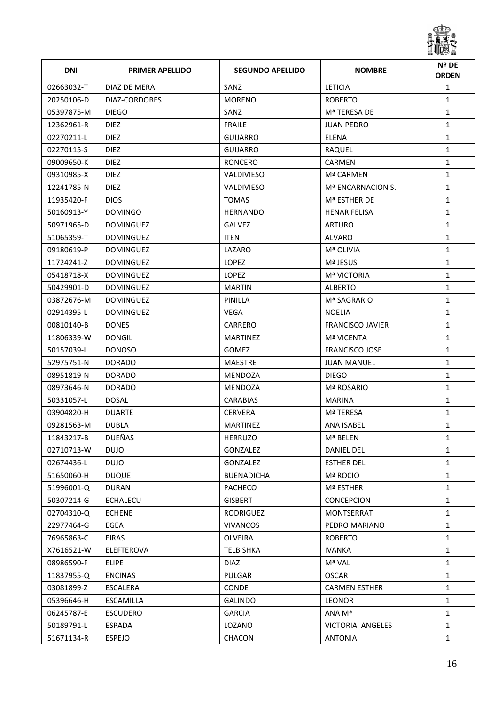

| <b>DNI</b> | <b>PRIMER APELLIDO</b> | <b>SEGUNDO APELLIDO</b> | <b>NOMBRE</b>           | Nº DE<br><b>ORDEN</b> |
|------------|------------------------|-------------------------|-------------------------|-----------------------|
| 02663032-T | DIAZ DE MERA           | SANZ                    | <b>LETICIA</b>          | $\mathbf{1}$          |
| 20250106-D | DIAZ-CORDOBES          | <b>MORENO</b>           | <b>ROBERTO</b>          | $\mathbf{1}$          |
| 05397875-M | <b>DIEGO</b>           | SANZ                    | Mª TERESA DE            | $\mathbf{1}$          |
| 12362961-R | <b>DIEZ</b>            | <b>FRAILE</b>           | <b>JUAN PEDRO</b>       | $\mathbf{1}$          |
| 02270211-L | <b>DIEZ</b>            | <b>GUIJARRO</b>         | <b>ELENA</b>            | $\mathbf{1}$          |
| 02270115-S | <b>DIEZ</b>            | <b>GUIJARRO</b>         | RAQUEL                  | $\mathbf{1}$          |
| 09009650-K | <b>DIEZ</b>            | <b>RONCERO</b>          | <b>CARMEN</b>           | $\mathbf{1}$          |
| 09310985-X | <b>DIEZ</b>            | <b>VALDIVIESO</b>       | Mª CARMEN               | $\mathbf{1}$          |
| 12241785-N | <b>DIEZ</b>            | VALDIVIESO              | Mª ENCARNACION S.       | $\mathbf{1}$          |
| 11935420-F | <b>DIOS</b>            | <b>TOMAS</b>            | Mª ESTHER DE            | $\mathbf{1}$          |
| 50160913-Y | <b>DOMINGO</b>         | <b>HERNANDO</b>         | <b>HENAR FELISA</b>     | $\mathbf{1}$          |
| 50971965-D | <b>DOMINGUEZ</b>       | <b>GALVEZ</b>           | <b>ARTURO</b>           | $\mathbf{1}$          |
| 51065359-T | <b>DOMINGUEZ</b>       | <b>ITEN</b>             | ALVARO                  | 1                     |
| 09180619-P | <b>DOMINGUEZ</b>       | LAZARO                  | Mª OLIVIA               | $\mathbf{1}$          |
| 11724241-Z | <b>DOMINGUEZ</b>       | <b>LOPEZ</b>            | Mª JESUS                | $\mathbf{1}$          |
| 05418718-X | <b>DOMINGUEZ</b>       | <b>LOPEZ</b>            | <b>Mª VICTORIA</b>      | $\mathbf{1}$          |
| 50429901-D | <b>DOMINGUEZ</b>       | <b>MARTIN</b>           | <b>ALBERTO</b>          | $\mathbf{1}$          |
| 03872676-M | <b>DOMINGUEZ</b>       | PINILLA                 | Mª SAGRARIO             | $\mathbf{1}$          |
| 02914395-L | <b>DOMINGUEZ</b>       | VEGA                    | <b>NOELIA</b>           | $\mathbf{1}$          |
| 00810140-B | <b>DONES</b>           | CARRERO                 | <b>FRANCISCO JAVIER</b> | $\mathbf{1}$          |
| 11806339-W | DONGIL                 | <b>MARTINEZ</b>         | Mª VICENTA              | $\mathbf{1}$          |
| 50157039-L | <b>DONOSO</b>          | <b>GOMEZ</b>            | <b>FRANCISCO JOSE</b>   | $\mathbf{1}$          |
| 52975751-N | <b>DORADO</b>          | <b>MAESTRE</b>          | JUAN MANUEL             | $\mathbf{1}$          |
| 08951819-N | <b>DORADO</b>          | MENDOZA                 | <b>DIEGO</b>            | $\mathbf{1}$          |
| 08973646-N | <b>DORADO</b>          | MENDOZA                 | Mª ROSARIO              | $\mathbf{1}$          |
| 50331057-L | <b>DOSAL</b>           | <b>CARABIAS</b>         | <b>MARINA</b>           | $\mathbf{1}$          |
| 03904820-H | <b>DUARTE</b>          | <b>CERVERA</b>          | Mª TERESA               | $\mathbf{1}$          |
| 09281563-M | <b>DUBLA</b>           | <b>MARTINEZ</b>         | ANA ISABEL              | $\mathbf{1}$          |
| 11843217-B | DUEÑAS                 | HERRUZO                 | Mª BELEN                | 1                     |
| 02710713-W | <b>DUJO</b>            | GONZALEZ                | <b>DANIEL DEL</b>       | $\mathbf{1}$          |
| 02674436-L | <b>DUJO</b>            | GONZALEZ                | <b>ESTHER DEL</b>       | $\mathbf{1}$          |
| 51650060-H | <b>DUQUE</b>           | <b>BUENADICHA</b>       | Mª ROCIO                | $\mathbf{1}$          |
| 51996001-Q | <b>DURAN</b>           | <b>PACHECO</b>          | Mª ESTHER               | $\mathbf{1}$          |
| 50307214-G | <b>ECHALECU</b>        | <b>GISBERT</b>          | <b>CONCEPCION</b>       | $\mathbf{1}$          |
| 02704310-Q | <b>ECHENE</b>          | RODRIGUEZ               | MONTSERRAT              | $\mathbf{1}$          |
| 22977464-G | EGEA                   | <b>VIVANCOS</b>         | PEDRO MARIANO           | $\mathbf{1}$          |
| 76965863-C | EIRAS                  | OLVEIRA                 | <b>ROBERTO</b>          | $\mathbf{1}$          |
| X7616521-W | ELEFTEROVA             | TELBISHKA               | <b>IVANKA</b>           | $\mathbf{1}$          |
| 08986590-F | <b>ELIPE</b>           | <b>DIAZ</b>             | Mª VAL                  | $\mathbf{1}$          |
| 11837955-Q | <b>ENCINAS</b>         | PULGAR                  | <b>OSCAR</b>            | $\mathbf{1}$          |
| 03081899-Z | <b>ESCALERA</b>        | <b>CONDE</b>            | <b>CARMEN ESTHER</b>    | $\mathbf{1}$          |
| 05396646-H | <b>ESCAMILLA</b>       | <b>GALINDO</b>          | <b>LEONOR</b>           | $\mathbf{1}$          |
| 06245787-E | <b>ESCUDERO</b>        | <b>GARCIA</b>           | ANA Mª                  | $\mathbf{1}$          |
| 50189791-L | <b>ESPADA</b>          | LOZANO                  | VICTORIA ANGELES        | $\mathbf{1}$          |
| 51671134-R | <b>ESPEJO</b>          | CHACON                  | <b>ANTONIA</b>          | $\mathbf{1}$          |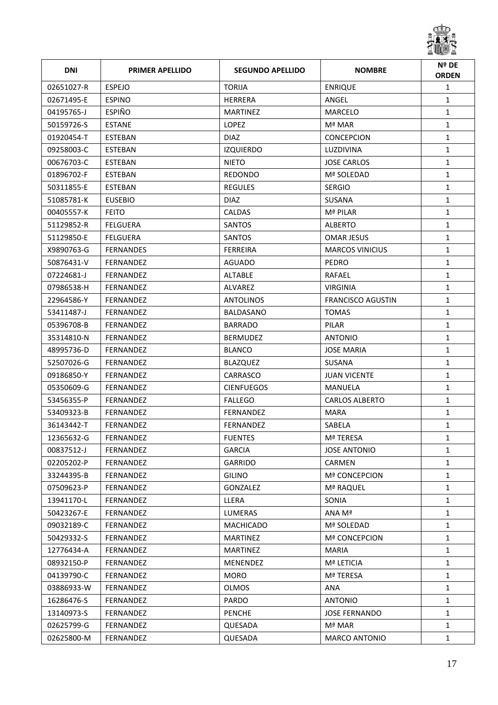

| <b>DNI</b> | <b>PRIMER APELLIDO</b> | <b>SEGUNDO APELLIDO</b> | <b>NOMBRE</b>            | Nº DE<br><b>ORDEN</b> |
|------------|------------------------|-------------------------|--------------------------|-----------------------|
| 02651027-R | <b>ESPEJO</b>          | <b>TORIJA</b>           | <b>ENRIQUE</b>           | $\mathbf{1}$          |
| 02671495-E | <b>ESPINO</b>          | <b>HERRERA</b>          | ANGEL                    | $\mathbf{1}$          |
| 04195765-J | <b>ESPIÑO</b>          | <b>MARTINEZ</b>         | <b>MARCELO</b>           | $\mathbf{1}$          |
| 50159726-S | <b>ESTANE</b>          | LOPEZ                   | Mª MAR                   | $\mathbf{1}$          |
| 01920454-T | <b>ESTEBAN</b>         | <b>DIAZ</b>             | <b>CONCEPCION</b>        | $\mathbf{1}$          |
| 09258003-C | <b>ESTEBAN</b>         | <b>IZQUIERDO</b>        | LUZDIVINA                | $\mathbf{1}$          |
| 00676703-C | <b>ESTEBAN</b>         | <b>NIETO</b>            | <b>JOSE CARLOS</b>       | $\mathbf{1}$          |
| 01896702-F | <b>ESTEBAN</b>         | <b>REDONDO</b>          | Mª SOLEDAD               | $\mathbf{1}$          |
| 50311855-E | <b>ESTEBAN</b>         | <b>REGULES</b>          | <b>SERGIO</b>            | $\mathbf{1}$          |
| 51085781-K | <b>EUSEBIO</b>         | <b>DIAZ</b>             | SUSANA                   | $\mathbf{1}$          |
| 00405557-K | <b>FEITO</b>           | <b>CALDAS</b>           | Mª PILAR                 | $\mathbf{1}$          |
| 51129852-R | <b>FELGUERA</b>        | SANTOS                  | <b>ALBERTO</b>           | $\mathbf{1}$          |
| 51129850-E | <b>FELGUERA</b>        | SANTOS                  | <b>OMAR JESUS</b>        | $\mathbf{1}$          |
| X9890763-G | <b>FERNANDES</b>       | <b>FERREIRA</b>         | <b>MARCOS VINICIUS</b>   | $\mathbf{1}$          |
| 50876431-V | <b>FERNANDEZ</b>       | <b>AGUADO</b>           | <b>PEDRO</b>             | $\mathbf{1}$          |
| 07224681-J | <b>FERNANDEZ</b>       | ALTABLE                 | RAFAEL                   | $\mathbf{1}$          |
| 07986538-H | <b>FERNANDEZ</b>       | <b>ALVAREZ</b>          | <b>VIRGINIA</b>          | $\mathbf{1}$          |
| 22964586-Y | <b>FERNANDEZ</b>       | <b>ANTOLINOS</b>        | <b>FRANCISCO AGUSTIN</b> | $\mathbf{1}$          |
| 53411487-J | <b>FERNANDEZ</b>       | BALDASANO               | <b>TOMAS</b>             | $\mathbf{1}$          |
| 05396708-B | <b>FERNANDEZ</b>       | <b>BARRADO</b>          | PILAR                    | $\mathbf{1}$          |
| 35314810-N | <b>FERNANDEZ</b>       | <b>BERMUDEZ</b>         | <b>ANTONIO</b>           | $\mathbf{1}$          |
| 48995736-D | <b>FERNANDEZ</b>       | <b>BLANCO</b>           | <b>JOSE MARIA</b>        | $\mathbf{1}$          |
| 52507026-G | FERNANDEZ              | BLAZQUEZ                | <b>SUSANA</b>            | $\mathbf{1}$          |
| 09186850-Y | <b>FERNANDEZ</b>       | CARRASCO                | <b>JUAN VICENTE</b>      | $\mathbf{1}$          |
| 05350609-G | <b>FERNANDEZ</b>       | <b>CIENFUEGOS</b>       | MANUELA                  | $\mathbf{1}$          |
| 53456355-P | FERNANDEZ              | <b>FALLEGO</b>          | <b>CARLOS ALBERTO</b>    | $\mathbf{1}$          |
| 53409323-B | <b>FERNANDEZ</b>       | <b>FERNANDEZ</b>        | MARA                     | 1                     |
| 36143442-T | FERNANDEZ              | FERNANDEZ               | SABELA                   | $\mathbf{1}$          |
| 12365632-G | FERNANDEZ              | <b>FUENTES</b>          | Mª TERESA                | 1                     |
| 00837512-J | FERNANDEZ              | <b>GARCIA</b>           | <b>JOSE ANTONIO</b>      | $\mathbf{1}$          |
| 02205202-P | FERNANDEZ              | <b>GARRIDO</b>          | CARMEN                   | $\mathbf{1}$          |
| 33244395-B | FERNANDEZ              | <b>GILINO</b>           | <b>Mª CONCEPCION</b>     | $\mathbf{1}$          |
| 07509623-P | FERNANDEZ              | <b>GONZALEZ</b>         | Mª RAQUEL                | $\mathbf{1}$          |
| 13941170-L | FERNANDEZ              | LLERA                   | SONIA                    | $\mathbf{1}$          |
| 50423267-E | <b>FERNANDEZ</b>       | <b>LUMERAS</b>          | ANA Mª                   | $\mathbf{1}$          |
| 09032189-C | FERNANDEZ              | <b>MACHICADO</b>        | Mª SOLEDAD               | $\mathbf{1}$          |
| 50429332-S | FERNANDEZ              | <b>MARTINEZ</b>         | <b>Mª CONCEPCION</b>     | $\mathbf{1}$          |
| 12776434-A | FERNANDEZ              | <b>MARTINEZ</b>         | <b>MARIA</b>             | $\mathbf{1}$          |
| 08932150-P | FERNANDEZ              | MENENDEZ                | Mª LETICIA               | $\mathbf{1}$          |
| 04139790-C | FERNANDEZ              | <b>MORO</b>             | Mª TERESA                | $\mathbf{1}$          |
| 03886933-W | FERNANDEZ              | <b>OLMOS</b>            | ANA                      | $\mathbf{1}$          |
| 16286476-S | FERNANDEZ              | PARDO                   | <b>ANTONIO</b>           | $\mathbf{1}$          |
| 13140973-S | FERNANDEZ              | <b>PENCHE</b>           | <b>JOSE FERNANDO</b>     | $\mathbf{1}$          |
| 02625799-G | FERNANDEZ              | QUESADA                 | Mª MAR                   | $\mathbf{1}$          |
| 02625800-M | FERNANDEZ              | QUESADA                 | <b>MARCO ANTONIO</b>     | $\mathbf{1}$          |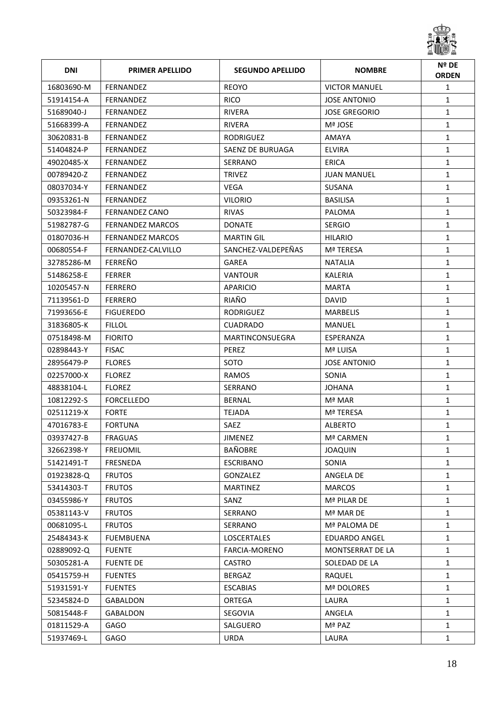

| <b>DNI</b> | <b>PRIMER APELLIDO</b>  | <b>SEGUNDO APELLIDO</b> | <b>NOMBRE</b>        | Nº DE<br><b>ORDEN</b> |
|------------|-------------------------|-------------------------|----------------------|-----------------------|
| 16803690-M | <b>FERNANDEZ</b>        | <b>REOYO</b>            | <b>VICTOR MANUEL</b> | $\mathbf{1}$          |
| 51914154-A | FERNANDEZ               | <b>RICO</b>             | <b>JOSE ANTONIO</b>  | $\mathbf{1}$          |
| 51689040-J | <b>FERNANDEZ</b>        | <b>RIVERA</b>           | <b>JOSE GREGORIO</b> | $\mathbf{1}$          |
| 51668399-A | <b>FERNANDEZ</b>        | <b>RIVERA</b>           | Mª JOSE              | $\mathbf{1}$          |
| 30620831-B | <b>FERNANDEZ</b>        | <b>RODRIGUEZ</b>        | AMAYA                | $\mathbf{1}$          |
| 51404824-P | FERNANDEZ               | SAENZ DE BURUAGA        | <b>ELVIRA</b>        | $\mathbf{1}$          |
| 49020485-X | <b>FERNANDEZ</b>        | SERRANO                 | ERICA                | $\mathbf{1}$          |
| 00789420-Z | <b>FERNANDEZ</b>        | <b>TRIVEZ</b>           | <b>JUAN MANUEL</b>   | $\mathbf{1}$          |
| 08037034-Y | <b>FERNANDEZ</b>        | <b>VEGA</b>             | SUSANA               | $\mathbf{1}$          |
| 09353261-N | FERNANDEZ               | <b>VILORIO</b>          | <b>BASILISA</b>      | $\mathbf{1}$          |
| 50323984-F | FERNANDEZ CANO          | <b>RIVAS</b>            | PALOMA               | $\mathbf{1}$          |
| 51982787-G | <b>FERNANDEZ MARCOS</b> | <b>DONATE</b>           | <b>SERGIO</b>        | $\mathbf{1}$          |
| 01807036-H | <b>FERNANDEZ MARCOS</b> | <b>MARTIN GIL</b>       | <b>HILARIO</b>       | $\mathbf{1}$          |
| 00680554-F | FERNANDEZ-CALVILLO      | SANCHEZ-VALDEPEÑAS      | Mª TERESA            | $\mathbf{1}$          |
| 32785286-M | <b>FERREÑO</b>          | GAREA                   | <b>NATALIA</b>       | $\mathbf{1}$          |
| 51486258-E | <b>FERRER</b>           | <b>VANTOUR</b>          | KALERIA              | $\mathbf{1}$          |
| 10205457-N | <b>FERRERO</b>          | APARICIO                | <b>MARTA</b>         | $\mathbf{1}$          |
| 71139561-D | <b>FERRERO</b>          | RIAÑO                   | <b>DAVID</b>         | $\mathbf{1}$          |
| 71993656-E | <b>FIGUEREDO</b>        | <b>RODRIGUEZ</b>        | <b>MARBELIS</b>      | $\mathbf{1}$          |
| 31836805-K | <b>FILLOL</b>           | <b>CUADRADO</b>         | MANUEL               | $\mathbf{1}$          |
| 07518498-M | <b>FIORITO</b>          | MARTINCONSUEGRA         | ESPERANZA            | $\mathbf{1}$          |
| 02898443-Y | <b>FISAC</b>            | PEREZ                   | Mª LUISA             | $\mathbf{1}$          |
| 28956479-P | <b>FLORES</b>           | SOTO                    | JOSE ANTONIO         | $\mathbf{1}$          |
| 02257000-X | <b>FLOREZ</b>           | RAMOS                   | SONIA                | $\mathbf{1}$          |
| 48838104-L | <b>FLOREZ</b>           | SERRANO                 | <b>JOHANA</b>        | $\mathbf{1}$          |
| 10812292-S | <b>FORCELLEDO</b>       | <b>BERNAL</b>           | Mª MAR               | $\mathbf{1}$          |
| 02511219-X | <b>FORTE</b>            | <b>TEJADA</b>           | Mª TERESA            | $\mathbf{1}$          |
| 47016783-E | <b>FORTUNA</b>          | SAEZ                    | <b>ALBERTO</b>       | $\mathbf{1}$          |
| 03937427-B | FRAGUAS                 | JIMENEZ                 | Mª CARMEN            | 1                     |
| 32662398-Y | <b>FREIJOMIL</b>        | BAÑOBRE                 | <b>JOAQUIN</b>       | $\mathbf{1}$          |
| 51421491-T | FRESNEDA                | <b>ESCRIBANO</b>        | SONIA                | $\mathbf{1}$          |
| 01923828-Q | <b>FRUTOS</b>           | GONZALEZ                | ANGELA DE            | $\mathbf{1}$          |
| 53414303-T | <b>FRUTOS</b>           | <b>MARTINEZ</b>         | <b>MARCOS</b>        | $\mathbf{1}$          |
| 03455986-Y | <b>FRUTOS</b>           | SANZ                    | Mª PILAR DE          | $\mathbf{1}$          |
| 05381143-V | <b>FRUTOS</b>           | <b>SERRANO</b>          | Mª MAR DE            | $\mathbf{1}$          |
| 00681095-L | <b>FRUTOS</b>           | SERRANO                 | Mª PALOMA DE         | $\mathbf{1}$          |
| 25484343-K | <b>FUEMBUENA</b>        | <b>LOSCERTALES</b>      | <b>EDUARDO ANGEL</b> | 1                     |
| 02889092-Q | <b>FUENTE</b>           | FARCIA-MORENO           | MONTSERRAT DE LA     | $\mathbf{1}$          |
| 50305281-A | <b>FUENTE DE</b>        | <b>CASTRO</b>           | SOLEDAD DE LA        | $\mathbf{1}$          |
| 05415759-H | <b>FUENTES</b>          | <b>BERGAZ</b>           | RAQUEL               | $\mathbf{1}$          |
| 51931591-Y | <b>FUENTES</b>          | <b>ESCABIAS</b>         | Mª DOLORES           | 1                     |
| 52345824-D | GABALDON                | ORTEGA                  | LAURA                | $\mathbf{1}$          |
| 50815448-F | GABALDON                | SEGOVIA                 | ANGELA               | $\mathbf{1}$          |
| 01811529-A | <b>GAGO</b>             | SALGUERO                | Mª PAZ               | $\mathbf{1}$          |
| 51937469-L | GAGO                    | <b>URDA</b>             | LAURA                | $\mathbf{1}$          |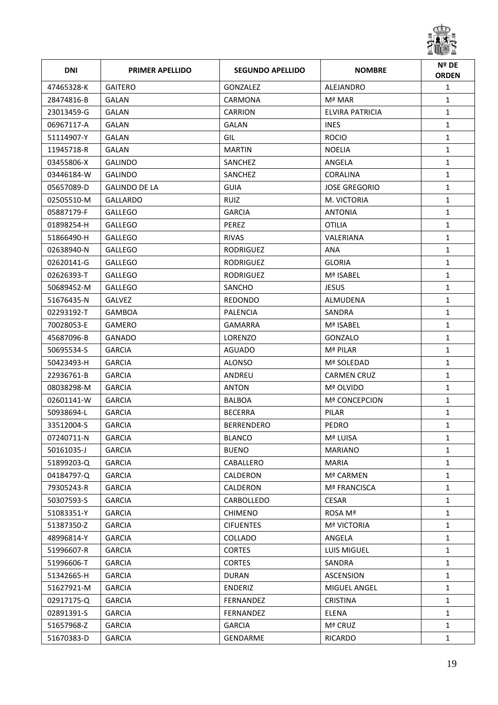

| <b>DNI</b> | <b>PRIMER APELLIDO</b> | <b>SEGUNDO APELLIDO</b> | <b>NOMBRE</b>        | Nº DE<br><b>ORDEN</b> |
|------------|------------------------|-------------------------|----------------------|-----------------------|
| 47465328-K | <b>GAITERO</b>         | <b>GONZALEZ</b>         | ALEJANDRO            | $\mathbf{1}$          |
| 28474816-B | GALAN                  | <b>CARMONA</b>          | Mª MAR               | $\mathbf{1}$          |
| 23013459-G | GALAN                  | <b>CARRION</b>          | ELVIRA PATRICIA      | $\mathbf{1}$          |
| 06967117-A | GALAN                  | GALAN                   | <b>INES</b>          | $\mathbf{1}$          |
| 51114907-Y | GALAN                  | GIL                     | <b>ROCIO</b>         | $\mathbf{1}$          |
| 11945718-R | GALAN                  | <b>MARTIN</b>           | NOELIA               | $\mathbf{1}$          |
| 03455806-X | <b>GALINDO</b>         | SANCHEZ                 | ANGELA               | $\mathbf{1}$          |
| 03446184-W | <b>GALINDO</b>         | SANCHEZ                 | <b>CORALINA</b>      | $\mathbf{1}$          |
| 05657089-D | <b>GALINDO DE LA</b>   | <b>GUIA</b>             | <b>JOSE GREGORIO</b> | $\mathbf{1}$          |
| 02505510-M | <b>GALLARDO</b>        | <b>RUIZ</b>             | M. VICTORIA          | $\mathbf{1}$          |
| 05887179-F | <b>GALLEGO</b>         | <b>GARCIA</b>           | <b>ANTONIA</b>       | $\mathbf{1}$          |
| 01898254-H | <b>GALLEGO</b>         | PEREZ                   | <b>OTILIA</b>        | $\mathbf{1}$          |
| 51866490-H | <b>GALLEGO</b>         | RIVAS                   | VALERIANA            | $\mathbf{1}$          |
| 02638940-N | <b>GALLEGO</b>         | RODRIGUEZ               | <b>ANA</b>           | $\mathbf{1}$          |
| 02620141-G | <b>GALLEGO</b>         | <b>RODRIGUEZ</b>        | <b>GLORIA</b>        | $\mathbf{1}$          |
| 02626393-T | <b>GALLEGO</b>         | <b>RODRIGUEZ</b>        | Mª ISABEL            | $\mathbf{1}$          |
| 50689452-M | <b>GALLEGO</b>         | SANCHO                  | <b>JESUS</b>         | $\mathbf{1}$          |
| 51676435-N | <b>GALVEZ</b>          | REDONDO                 | ALMUDENA             | $\mathbf{1}$          |
| 02293192-T | GAMBOA                 | PALENCIA                | SANDRA               | $\mathbf{1}$          |
| 70028053-E | <b>GAMERO</b>          | <b>GAMARRA</b>          | Mª ISABEL            | $\mathbf{1}$          |
| 45687096-B | <b>GANADO</b>          | LORENZO                 | GONZALO              | $\mathbf{1}$          |
| 50695534-S | <b>GARCIA</b>          | <b>AGUADO</b>           | Mª PILAR             | $\mathbf{1}$          |
| 50423493-H | <b>GARCIA</b>          | <b>ALONSO</b>           | Mª SOLEDAD           | $\mathbf{1}$          |
| 22936761-B | <b>GARCIA</b>          | ANDREU                  | <b>CARMEN CRUZ</b>   | $\mathbf{1}$          |
| 08038298-M | <b>GARCIA</b>          | <b>ANTON</b>            | Mª OLVIDO            | $\mathbf{1}$          |
| 02601141-W | <b>GARCIA</b>          | <b>BALBOA</b>           | <b>Mª CONCEPCION</b> | $\mathbf{1}$          |
| 50938694-L | <b>GARCIA</b>          | <b>BECERRA</b>          | PILAR                | $\mathbf{1}$          |
| 33512004-S | <b>GARCIA</b>          | <b>BERRENDERO</b>       | <b>PEDRO</b>         | $\mathbf{1}$          |
| 07240711-N | GARCIA                 | <b>BLANCO</b>           | Mª LUISA             | 1                     |
| 50161035-J | <b>GARCIA</b>          | <b>BUENO</b>            | <b>MARIANO</b>       | $\mathbf{1}$          |
| 51899203-Q | <b>GARCIA</b>          | CABALLERO               | <b>MARIA</b>         | $\mathbf{1}$          |
| 04184797-Q | <b>GARCIA</b>          | CALDERON                | Mª CARMEN            | $\mathbf{1}$          |
| 79305243-R | <b>GARCIA</b>          | CALDERON                | Mª FRANCISCA         | $\mathbf{1}$          |
| 50307593-S | <b>GARCIA</b>          | CARBOLLEDO              | <b>CESAR</b>         | $\mathbf{1}$          |
| 51083351-Y | <b>GARCIA</b>          | <b>CHIMENO</b>          | ROSA Mª              | $\mathbf{1}$          |
| 51387350-Z | <b>GARCIA</b>          | <b>CIFUENTES</b>        | <b>Mª VICTORIA</b>   | $\mathbf{1}$          |
| 48996814-Y | <b>GARCIA</b>          | COLLADO                 | ANGELA               | 1                     |
| 51996607-R | <b>GARCIA</b>          | <b>CORTES</b>           | LUIS MIGUEL          | $\mathbf{1}$          |
| 51996606-T | <b>GARCIA</b>          | <b>CORTES</b>           | SANDRA               | $\mathbf{1}$          |
| 51342665-H | <b>GARCIA</b>          | <b>DURAN</b>            | <b>ASCENSION</b>     | $\mathbf{1}$          |
| 51627921-M | <b>GARCIA</b>          | ENDERIZ                 | MIGUEL ANGEL         | $\mathbf{1}$          |
| 02917175-Q | <b>GARCIA</b>          | FERNANDEZ               | <b>CRISTINA</b>      | $\mathbf{1}$          |
| 02891391-S | <b>GARCIA</b>          | FERNANDEZ               | <b>ELENA</b>         | $\mathbf{1}$          |
| 51657968-Z | <b>GARCIA</b>          | <b>GARCIA</b>           | Mª CRUZ              | $\mathbf{1}$          |
| 51670383-D | <b>GARCIA</b>          | GENDARME                | RICARDO              | $\mathbf{1}$          |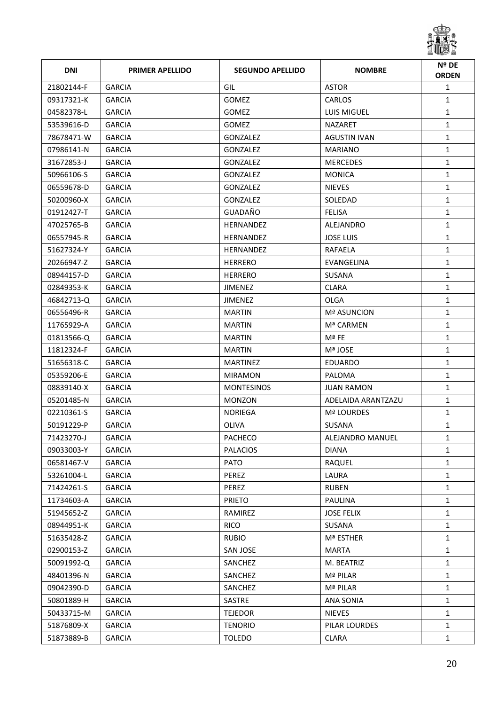

| <b>DNI</b> | <b>PRIMER APELLIDO</b> | <b>SEGUNDO APELLIDO</b> | <b>NOMBRE</b>       | Nº DE<br><b>ORDEN</b> |
|------------|------------------------|-------------------------|---------------------|-----------------------|
| 21802144-F | <b>GARCIA</b>          | GIL                     | <b>ASTOR</b>        | $\mathbf{1}$          |
| 09317321-K | <b>GARCIA</b>          | GOMEZ                   | CARLOS              | $\mathbf{1}$          |
| 04582378-L | <b>GARCIA</b>          | GOMEZ                   | <b>LUIS MIGUEL</b>  | $\mathbf{1}$          |
| 53539616-D | <b>GARCIA</b>          | <b>GOMEZ</b>            | <b>NAZARET</b>      | $\mathbf{1}$          |
| 78678471-W | <b>GARCIA</b>          | GONZALEZ                | <b>AGUSTIN IVAN</b> | $\mathbf{1}$          |
| 07986141-N | <b>GARCIA</b>          | GONZALEZ                | <b>MARIANO</b>      | $\mathbf{1}$          |
| 31672853-J | <b>GARCIA</b>          | GONZALEZ                | <b>MERCEDES</b>     | $\mathbf{1}$          |
| 50966106-S | <b>GARCIA</b>          | GONZALEZ                | <b>MONICA</b>       | $\mathbf{1}$          |
| 06559678-D | <b>GARCIA</b>          | GONZALEZ                | <b>NIEVES</b>       | $\mathbf{1}$          |
| 50200960-X | <b>GARCIA</b>          | GONZALEZ                | SOLEDAD             | $\mathbf{1}$          |
| 01912427-T | <b>GARCIA</b>          | GUADAÑO                 | <b>FELISA</b>       | $\mathbf{1}$          |
| 47025765-B | <b>GARCIA</b>          | <b>HERNANDEZ</b>        | ALEJANDRO           | $\mathbf{1}$          |
| 06557945-R | <b>GARCIA</b>          | <b>HERNANDEZ</b>        | <b>JOSE LUIS</b>    | $\mathbf{1}$          |
| 51627324-Y | <b>GARCIA</b>          | HERNANDEZ               | RAFAELA             | $\mathbf{1}$          |
| 20266947-Z | <b>GARCIA</b>          | <b>HERRERO</b>          | EVANGELINA          | $\mathbf{1}$          |
| 08944157-D | <b>GARCIA</b>          | <b>HERRERO</b>          | <b>SUSANA</b>       | $\mathbf{1}$          |
| 02849353-K | <b>GARCIA</b>          | <b>JIMENEZ</b>          | <b>CLARA</b>        | $\mathbf{1}$          |
| 46842713-Q | <b>GARCIA</b>          | <b>JIMENEZ</b>          | <b>OLGA</b>         | $\mathbf{1}$          |
| 06556496-R | <b>GARCIA</b>          | <b>MARTIN</b>           | <b>Mª ASUNCION</b>  | $\mathbf{1}$          |
| 11765929-A | <b>GARCIA</b>          | <b>MARTIN</b>           | Mª CARMEN           | $\mathbf{1}$          |
| 01813566-Q | <b>GARCIA</b>          | <b>MARTIN</b>           | Mª FE               | $\mathbf{1}$          |
| 11812324-F | <b>GARCIA</b>          | <b>MARTIN</b>           | Mª JOSE             | $\mathbf{1}$          |
| 51656318-C | <b>GARCIA</b>          | <b>MARTINEZ</b>         | EDUARDO             | $\mathbf{1}$          |
| 05359206-E | <b>GARCIA</b>          | <b>MIRAMON</b>          | <b>PALOMA</b>       | $\mathbf{1}$          |
| 08839140-X | <b>GARCIA</b>          | <b>MONTESINOS</b>       | <b>JUAN RAMON</b>   | $\mathbf{1}$          |
| 05201485-N | <b>GARCIA</b>          | <b>MONZON</b>           | ADELAIDA ARANTZAZU  | $\mathbf{1}$          |
| 02210361-S | <b>GARCIA</b>          | NORIEGA                 | <b>Mª LOURDES</b>   | $\mathbf{1}$          |
| 50191229-P | <b>GARCIA</b>          | <b>OLIVA</b>            | <b>SUSANA</b>       | $\mathbf{1}$          |
| 71423270-J | <b>GARCIA</b>          | PACHECO                 | ALEJANDRO MANUEL    | 1                     |
| 09033003-Y | <b>GARCIA</b>          | <b>PALACIOS</b>         | <b>DIANA</b>        | $\mathbf{1}$          |
| 06581467-V | <b>GARCIA</b>          | <b>PATO</b>             | RAQUEL              | $\mathbf{1}$          |
| 53261004-L | <b>GARCIA</b>          | PEREZ                   | LAURA               | $\mathbf{1}$          |
| 71424261-S | <b>GARCIA</b>          | PEREZ                   | <b>RUBEN</b>        | $\mathbf{1}$          |
| 11734603-A | <b>GARCIA</b>          | <b>PRIETO</b>           | <b>PAULINA</b>      | $\mathbf{1}$          |
| 51945652-Z | <b>GARCIA</b>          | RAMIREZ                 | <b>JOSE FELIX</b>   | $\mathbf{1}$          |
| 08944951-K | <b>GARCIA</b>          | <b>RICO</b>             | SUSANA              | $\mathbf{1}$          |
| 51635428-Z | <b>GARCIA</b>          | <b>RUBIO</b>            | Mª ESTHER           | $\mathbf{1}$          |
| 02900153-Z | <b>GARCIA</b>          | SAN JOSE                | <b>MARTA</b>        | $\mathbf{1}$          |
| 50091992-Q | <b>GARCIA</b>          | SANCHEZ                 | M. BEATRIZ          | $\mathbf{1}$          |
| 48401396-N | <b>GARCIA</b>          | SANCHEZ                 | Mª PILAR            | $\mathbf{1}$          |
| 09042390-D | <b>GARCIA</b>          | SANCHEZ                 | Mª PILAR            | $\mathbf{1}$          |
| 50801889-H | <b>GARCIA</b>          | SASTRE                  | <b>ANA SONIA</b>    | $\mathbf{1}$          |
| 50433715-M | <b>GARCIA</b>          | <b>TEJEDOR</b>          | <b>NIEVES</b>       | $\mathbf{1}$          |
| 51876809-X | <b>GARCIA</b>          | <b>TENORIO</b>          | PILAR LOURDES       | $\mathbf{1}$          |
| 51873889-B | <b>GARCIA</b>          | <b>TOLEDO</b>           | <b>CLARA</b>        | $\mathbf{1}$          |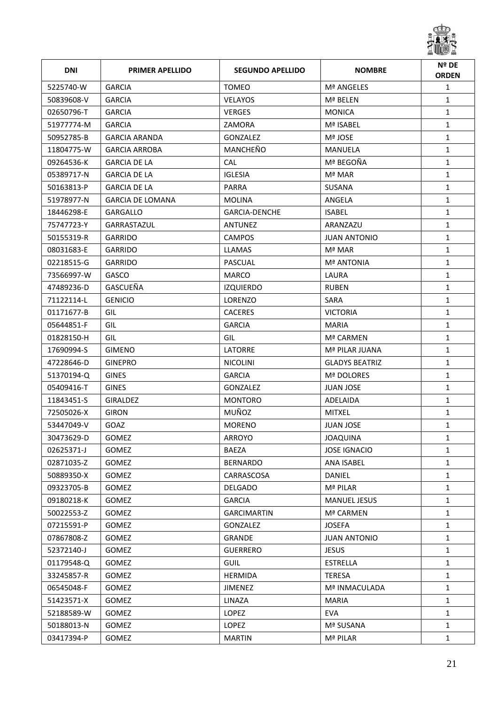

| <b>DNI</b> | <b>PRIMER APELLIDO</b>  | <b>SEGUNDO APELLIDO</b> | <b>NOMBRE</b>         | Nº DE<br><b>ORDEN</b> |
|------------|-------------------------|-------------------------|-----------------------|-----------------------|
| 5225740-W  | <b>GARCIA</b>           | <b>TOMEO</b>            | Mª ANGELES            | $\mathbf{1}$          |
| 50839608-V | <b>GARCIA</b>           | <b>VELAYOS</b>          | Mª BELEN              | $\mathbf{1}$          |
| 02650796-T | <b>GARCIA</b>           | <b>VERGES</b>           | <b>MONICA</b>         | $\mathbf{1}$          |
| 51977774-M | <b>GARCIA</b>           | ZAMORA                  | Mª ISABEL             | $\mathbf{1}$          |
| 50952785-B | <b>GARCIA ARANDA</b>    | GONZALEZ                | Mª JOSE               | $\mathbf{1}$          |
| 11804775-W | <b>GARCIA ARROBA</b>    | MANCHEÑO                | MANUELA               | $\mathbf{1}$          |
| 09264536-K | <b>GARCIA DE LA</b>     | <b>CAL</b>              | Mª BEGOÑA             | $\mathbf{1}$          |
| 05389717-N | <b>GARCIA DE LA</b>     | <b>IGLESIA</b>          | Mª MAR                | $\mathbf{1}$          |
| 50163813-P | <b>GARCIA DE LA</b>     | PARRA                   | SUSANA                | $\mathbf{1}$          |
| 51978977-N | <b>GARCIA DE LOMANA</b> | MOLINA                  | ANGELA                | $\mathbf{1}$          |
| 18446298-E | GARGALLO                | <b>GARCIA-DENCHE</b>    | <b>ISABEL</b>         | $\mathbf{1}$          |
| 75747723-Y | GARRASTAZUL             | ANTUNEZ                 | ARANZAZU              | $\mathbf{1}$          |
| 50155319-R | <b>GARRIDO</b>          | <b>CAMPOS</b>           | <b>JUAN ANTONIO</b>   | $\mathbf{1}$          |
| 08031683-E | <b>GARRIDO</b>          | LLAMAS                  | Mª MAR                | $\mathbf{1}$          |
| 02218515-G | <b>GARRIDO</b>          | PASCUAL                 | <b>Mª ANTONIA</b>     | $\mathbf{1}$          |
| 73566997-W | GASCO                   | <b>MARCO</b>            | LAURA                 | $\mathbf{1}$          |
| 47489236-D | GASCUEÑA                | <b>IZQUIERDO</b>        | <b>RUBEN</b>          | $\mathbf{1}$          |
| 71122114-L | <b>GENICIO</b>          | <b>LORENZO</b>          | SARA                  | $\mathbf{1}$          |
| 01171677-B | GIL                     | <b>CACERES</b>          | <b>VICTORIA</b>       | $\mathbf{1}$          |
| 05644851-F | GIL                     | <b>GARCIA</b>           | <b>MARIA</b>          | $\mathbf{1}$          |
| 01828150-H | GIL                     | GIL                     | Mª CARMEN             | $\mathbf{1}$          |
| 17690994-S | <b>GIMENO</b>           | LATORRE                 | Mª PILAR JUANA        | $\mathbf{1}$          |
| 47228646-D | <b>GINEPRO</b>          | <b>NICOLINI</b>         | <b>GLADYS BEATRIZ</b> | $\mathbf{1}$          |
| 51370194-Q | <b>GINES</b>            | <b>GARCIA</b>           | Mª DOLORES            | $\mathbf{1}$          |
| 05409416-T | <b>GINES</b>            | <b>GONZALEZ</b>         | <b>JUAN JOSE</b>      | $\mathbf{1}$          |
| 11843451-S | <b>GIRALDEZ</b>         | <b>MONTORO</b>          | ADELAIDA              | $\mathbf{1}$          |
| 72505026-X | <b>GIRON</b>            | MUÑOZ                   | <b>MITXEL</b>         | $\mathbf{1}$          |
| 53447049-V | GOAZ                    | <b>MORENO</b>           | <b>JUAN JOSE</b>      | $\mathbf{1}$          |
| 30473629-D | <b>GOMEZ</b>            | ARROYO                  | JOAQUINA              | 1                     |
| 02625371-J | <b>GOMEZ</b>            | <b>BAEZA</b>            | <b>JOSE IGNACIO</b>   | $\mathbf{1}$          |
| 02871035-Z | <b>GOMEZ</b>            | <b>BERNARDO</b>         | ANA ISABEL            | $\mathbf{1}$          |
| 50889350-X | <b>GOMEZ</b>            | CARRASCOSA              | DANIEL                | $\mathbf{1}$          |
| 09323705-B | <b>GOMEZ</b>            | <b>DELGADO</b>          | Mª PILAR              | $\mathbf{1}$          |
| 09180218-K | <b>GOMEZ</b>            | <b>GARCIA</b>           | <b>MANUEL JESUS</b>   | $\mathbf{1}$          |
| 50022553-Z | <b>GOMEZ</b>            | <b>GARCIMARTIN</b>      | Mª CARMEN             | $\mathbf{1}$          |
| 07215591-P | <b>GOMEZ</b>            | GONZALEZ                | <b>JOSEFA</b>         | $\mathbf{1}$          |
| 07867808-Z | <b>GOMEZ</b>            | GRANDE                  | <b>JUAN ANTONIO</b>   | $\mathbf{1}$          |
| 52372140-J | GOMEZ                   | <b>GUERRERO</b>         | <b>JESUS</b>          | $\mathbf{1}$          |
| 01179548-Q | <b>GOMEZ</b>            | <b>GUIL</b>             | <b>ESTRELLA</b>       | $\mathbf{1}$          |
| 33245857-R | <b>GOMEZ</b>            | <b>HERMIDA</b>          | <b>TERESA</b>         | $\mathbf{1}$          |
| 06545048-F | <b>GOMEZ</b>            | <b>JIMENEZ</b>          | Mª INMACULADA         | $\mathbf{1}$          |
| 51423571-X | GOMEZ                   | LINAZA                  | <b>MARIA</b>          | $\mathbf{1}$          |
| 52188589-W | <b>GOMEZ</b>            | LOPEZ                   | <b>EVA</b>            | $\mathbf{1}$          |
| 50188013-N | <b>GOMEZ</b>            | LOPEZ                   | Mª SUSANA             | $\mathbf{1}$          |
| 03417394-P | <b>GOMEZ</b>            | <b>MARTIN</b>           | Mª PILAR              | $\mathbf{1}$          |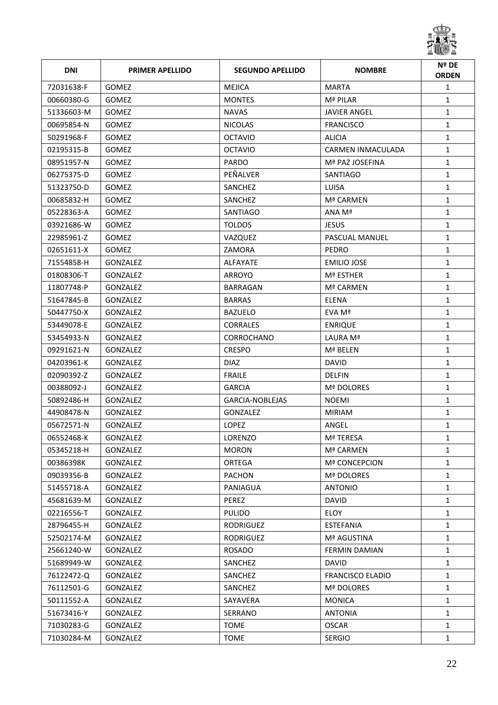

| <b>DNI</b> | <b>PRIMER APELLIDO</b> | <b>SEGUNDO APELLIDO</b> | <b>NOMBRE</b>           | Nº DE<br><b>ORDEN</b> |
|------------|------------------------|-------------------------|-------------------------|-----------------------|
| 72031638-F | <b>GOMEZ</b>           | <b>MEJICA</b>           | <b>MARTA</b>            | $\mathbf{1}$          |
| 00660380-G | <b>GOMEZ</b>           | <b>MONTES</b>           | Mª PILAR                | $\mathbf{1}$          |
| 51336603-M | <b>GOMEZ</b>           | <b>NAVAS</b>            | <b>JAVIER ANGEL</b>     | $\mathbf{1}$          |
| 00695854-N | <b>GOMEZ</b>           | <b>NICOLAS</b>          | <b>FRANCISCO</b>        | $\mathbf{1}$          |
| 50291968-F | <b>GOMEZ</b>           | <b>OCTAVIO</b>          | <b>ALICIA</b>           | $\mathbf{1}$          |
| 02195315-B | <b>GOMEZ</b>           | <b>OCTAVIO</b>          | CARMEN INMACULADA       | $\mathbf{1}$          |
| 08951957-N | <b>GOMEZ</b>           | <b>PARDO</b>            | Mª PAZ JOSEFINA         | $\mathbf{1}$          |
| 06275375-D | <b>GOMEZ</b>           | PEÑALVER                | SANTIAGO                | $\mathbf{1}$          |
| 51323750-D | <b>GOMEZ</b>           | SANCHEZ                 | LUISA                   | $\mathbf{1}$          |
| 00685832-H | <b>GOMEZ</b>           | SANCHEZ                 | Mª CARMEN               | $\mathbf{1}$          |
| 05228363-A | <b>GOMEZ</b>           | SANTIAGO                | ANA Mª                  | $\mathbf{1}$          |
| 03921686-W | <b>GOMEZ</b>           | <b>TOLDOS</b>           | <b>JESUS</b>            | $\mathbf{1}$          |
| 22985961-Z | <b>GOMEZ</b>           | VAZQUEZ                 | <b>PASCUAL MANUEL</b>   | $\mathbf{1}$          |
| 02651611-X | <b>GOMEZ</b>           | ZAMORA                  | PEDRO                   | $\mathbf{1}$          |
| 71554858-H | <b>GONZALEZ</b>        | <b>ALFAYATE</b>         | <b>EMILIO JOSE</b>      | $\mathbf{1}$          |
| 01808306-T | <b>GONZALEZ</b>        | ARROYO                  | Mª ESTHER               | $\mathbf{1}$          |
| 11807748-P | <b>GONZALEZ</b>        | BARRAGAN                | Mª CARMEN               | $\mathbf{1}$          |
| 51647845-B | <b>GONZALEZ</b>        | <b>BARRAS</b>           | <b>ELENA</b>            | $\mathbf{1}$          |
| 50447750-X | <b>GONZALEZ</b>        | <b>BAZUELO</b>          | EVA Mª                  | $\mathbf{1}$          |
| 53449078-E | <b>GONZALEZ</b>        | <b>CORRALES</b>         | <b>ENRIQUE</b>          | $\mathbf{1}$          |
| 53454933-N | <b>GONZALEZ</b>        | <b>CORROCHANO</b>       | LAURA Mª                | $\mathbf{1}$          |
| 09291621-N | GONZALEZ               | <b>CRESPO</b>           | Mª BELEN                | $\mathbf{1}$          |
| 04203961-K | <b>GONZALEZ</b>        | <b>DIAZ</b>             | <b>DAVID</b>            | $\mathbf{1}$          |
| 02090392-Z | <b>GONZALEZ</b>        | <b>FRAILE</b>           | <b>DELFIN</b>           | $\mathbf{1}$          |
| 00388092-J | <b>GONZALEZ</b>        | <b>GARCIA</b>           | Mª DOLORES              | 1                     |
| 50892486-H | <b>GONZALEZ</b>        | GARCIA-NOBLEJAS         | <b>NOEMI</b>            | $\mathbf{1}$          |
| 44908478-N | <b>GONZALEZ</b>        | <b>GONZALEZ</b>         | <b>MIRIAM</b>           | $\mathbf{1}$          |
| 05672571-N | GONZALEZ               | <b>LOPEZ</b>            | ANGEL                   | $\mathbf{1}$          |
| 06552468-K | GONZALEZ               | LORENZO                 | Mª TERESA               | 1                     |
| 05345218-H | GONZALEZ               | <b>MORON</b>            | Mª CARMEN               | $\mathbf{1}$          |
| 00386398K  | <b>GONZALEZ</b>        | ORTEGA                  | Mª CONCEPCION           | $\mathbf{1}$          |
| 09039356-B | GONZALEZ               | <b>PACHON</b>           | Mª DOLORES              | $\mathbf{1}$          |
| 51455718-A | GONZALEZ               | PANIAGUA                | <b>ANTONIO</b>          | $\mathbf{1}$          |
| 45681639-M | GONZALEZ               | PEREZ                   | <b>DAVID</b>            | $\mathbf{1}$          |
| 02216556-T | GONZALEZ               | <b>PULIDO</b>           | ELOY                    | $\mathbf{1}$          |
| 28796455-H | GONZALEZ               | RODRIGUEZ               | <b>ESTEFANIA</b>        | $\mathbf{1}$          |
| 52502174-M | GONZALEZ               | RODRIGUEZ               | Mª AGUSTINA             | 1                     |
| 25661240-W | GONZALEZ               | ROSADO                  | FERMIN DAMIAN           | $\mathbf{1}$          |
| 51689949-W | GONZALEZ               | SANCHEZ                 | <b>DAVID</b>            | $\mathbf{1}$          |
| 76122472-Q | GONZALEZ               | SANCHEZ                 | <b>FRANCISCO ELADIO</b> | 1                     |
| 76112501-G | <b>GONZALEZ</b>        | SANCHEZ                 | Mª DOLORES              | 1                     |
| 50111552-A | GONZALEZ               | SAYAVERA                | <b>MONICA</b>           | $\mathbf{1}$          |
| 51673416-Y | GONZALEZ               | SERRANO                 | <b>ANTONIA</b>          | $\mathbf{1}$          |
| 71030283-G | <b>GONZALEZ</b>        | <b>TOME</b>             | <b>OSCAR</b>            | $\mathbf{1}$          |
| 71030284-M | GONZALEZ               | TOME                    | <b>SERGIO</b>           | $\mathbf{1}$          |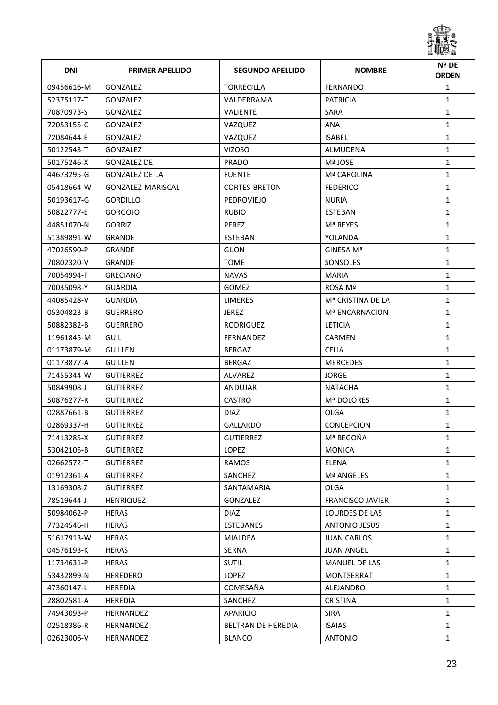

| <b>DNI</b> | <b>PRIMER APELLIDO</b> | <b>SEGUNDO APELLIDO</b> | <b>NOMBRE</b>           | Nº DE<br><b>ORDEN</b> |
|------------|------------------------|-------------------------|-------------------------|-----------------------|
| 09456616-M | GONZALEZ               | <b>TORRECILLA</b>       | <b>FERNANDO</b>         | $\mathbf{1}$          |
| 52375117-T | GONZALEZ               | VALDERRAMA              | <b>PATRICIA</b>         | $\mathbf{1}$          |
| 70870973-S | <b>GONZALEZ</b>        | <b>VALIENTE</b>         | SARA                    | $\mathbf{1}$          |
| 72053155-C | <b>GONZALEZ</b>        | VAZQUEZ                 | ANA                     | $\mathbf{1}$          |
| 72084644-E | GONZALEZ               | VAZQUEZ                 | <b>ISABEL</b>           | $\mathbf{1}$          |
| 50122543-T | GONZALEZ               | <b>VIZOSO</b>           | ALMUDENA                | $\mathbf{1}$          |
| 50175246-X | <b>GONZALEZ DE</b>     | <b>PRADO</b>            | Mª JOSE                 | $\mathbf{1}$          |
| 44673295-G | <b>GONZALEZ DE LA</b>  | <b>FUENTE</b>           | Mª CAROLINA             | $\mathbf{1}$          |
| 05418664-W | GONZALEZ-MARISCAL      | <b>CORTES-BRETON</b>    | <b>FEDERICO</b>         | $\mathbf{1}$          |
| 50193617-G | <b>GORDILLO</b>        | PEDROVIEJO              | <b>NURIA</b>            | $\mathbf{1}$          |
| 50822777-E | <b>GORGOJO</b>         | <b>RUBIO</b>            | <b>ESTEBAN</b>          | $\mathbf{1}$          |
| 44851070-N | <b>GORRIZ</b>          | PEREZ                   | Mª REYES                | $\mathbf{1}$          |
| 51389891-W | <b>GRANDE</b>          | <b>ESTEBAN</b>          | YOLANDA                 | $\mathbf{1}$          |
| 47026590-P | <b>GRANDE</b>          | <b>GIJON</b>            | GINESA Mª               | $\mathbf{1}$          |
| 70802320-V | <b>GRANDE</b>          | <b>TOME</b>             | SONSOLES                | $\mathbf{1}$          |
| 70054994-F | <b>GRECIANO</b>        | <b>NAVAS</b>            | <b>MARIA</b>            | $\mathbf{1}$          |
| 70035098-Y | <b>GUARDIA</b>         | <b>GOMEZ</b>            | ROSA Mª                 | $\mathbf{1}$          |
| 44085428-V | <b>GUARDIA</b>         | <b>LIMERES</b>          | Mª CRISTINA DE LA       | $\mathbf{1}$          |
| 05304823-B | <b>GUERRERO</b>        | <b>JEREZ</b>            | Mª ENCARNACION          | $\mathbf{1}$          |
| 50882382-B | <b>GUERRERO</b>        | <b>RODRIGUEZ</b>        | <b>LETICIA</b>          | $\mathbf{1}$          |
| 11961845-M | <b>GUIL</b>            | <b>FERNANDEZ</b>        | <b>CARMEN</b>           | $\mathbf{1}$          |
| 01173879-M | <b>GUILLEN</b>         | <b>BERGAZ</b>           | <b>CELIA</b>            | $\mathbf{1}$          |
| 01173877-A | <b>GUILLEN</b>         | <b>BERGAZ</b>           | <b>MERCEDES</b>         | $\mathbf{1}$          |
| 71455344-W | <b>GUTIERREZ</b>       | <b>ALVAREZ</b>          | JORGE                   | $\mathbf{1}$          |
| 50849908-J | <b>GUTIERREZ</b>       | ANDUJAR                 | <b>NATACHA</b>          | $\mathbf{1}$          |
| 50876277-R | <b>GUTIERREZ</b>       | <b>CASTRO</b>           | Mª DOLORES              | $\mathbf{1}$          |
| 02887661-B | <b>GUTIERREZ</b>       | <b>DIAZ</b>             | OLGA                    | $\mathbf{1}$          |
| 02869337-H | <b>GUTIERREZ</b>       | <b>GALLARDO</b>         | <b>CONCEPCION</b>       | $\mathbf{1}$          |
| 71413285-X | <b>GUTIERREZ</b>       | <b>GUTIERREZ</b>        | Mª BEGOÑA               | 1                     |
| 53042105-B | <b>GUTIERREZ</b>       | LOPEZ                   | <b>MONICA</b>           | $\mathbf{1}$          |
| 02662572-T | <b>GUTIERREZ</b>       | RAMOS                   | ELENA                   | $\mathbf{1}$          |
| 01912361-A | <b>GUTIERREZ</b>       | SANCHEZ                 | Mª ANGELES              | $\mathbf{1}$          |
| 13169308-Z | <b>GUTIERREZ</b>       | SANTAMARIA              | <b>OLGA</b>             | $\mathbf{1}$          |
| 78519644-J | <b>HENRIQUEZ</b>       | GONZALEZ                | <b>FRANCISCO JAVIER</b> | $\mathbf{1}$          |
| 50984062-P | <b>HERAS</b>           | DIAZ.                   | LOURDES DE LAS          | $\mathbf{1}$          |
| 77324546-H | <b>HERAS</b>           | <b>ESTEBANES</b>        | <b>ANTONIO JESUS</b>    | $\mathbf{1}$          |
| 51617913-W | HERAS                  | MIALDEA                 | <b>JUAN CARLOS</b>      | 1                     |
| 04576193-K | <b>HERAS</b>           | SERNA                   | <b>JUAN ANGEL</b>       | $\mathbf{1}$          |
| 11734631-P | <b>HERAS</b>           | <b>SUTIL</b>            | MANUEL DE LAS           | $\mathbf{1}$          |
| 53432899-N | <b>HEREDERO</b>        | LOPEZ                   | MONTSERRAT              | $\mathbf{1}$          |
| 47360147-L | <b>HEREDIA</b>         | COMESAÑA                | ALEJANDRO               | $\mathbf{1}$          |
| 28802581-A | HEREDIA                | SANCHEZ                 | <b>CRISTINA</b>         | $\mathbf{1}$          |
| 74943093-P | <b>HERNANDEZ</b>       | APARICIO                | <b>SIRA</b>             | $\mathbf{1}$          |
| 02518386-R | HERNANDEZ              | BELTRAN DE HEREDIA      | <b>ISAIAS</b>           | $\mathbf{1}$          |
| 02623006-V | HERNANDEZ              | <b>BLANCO</b>           | ANTONIO                 | $\mathbf{1}$          |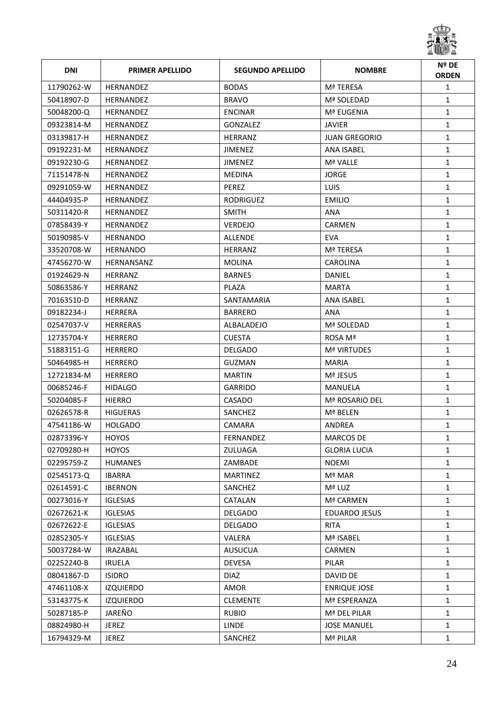

| <b>DNI</b> | <b>PRIMER APELLIDO</b> | <b>SEGUNDO APELLIDO</b> | <b>NOMBRE</b>        | Nº DE<br><b>ORDEN</b> |
|------------|------------------------|-------------------------|----------------------|-----------------------|
| 11790262-W | <b>HERNANDEZ</b>       | <b>BODAS</b>            | Mª TERESA            | $\mathbf{1}$          |
| 50418907-D | HERNANDEZ              | <b>BRAVO</b>            | Mª SOLEDAD           | $\mathbf{1}$          |
| 50048200-0 | <b>HERNANDEZ</b>       | <b>ENCINAR</b>          | Mª EUGENIA           | $\mathbf{1}$          |
| 09323814-M | HERNANDEZ              | <b>GONZALEZ</b>         | <b>JAVIER</b>        | $\mathbf{1}$          |
| 03139817-H | HERNANDEZ              | HERRANZ                 | <b>JUAN GREGORIO</b> | $\mathbf{1}$          |
| 09192231-M | HERNANDEZ              | JIMENEZ                 | ANA ISABEL           | $\mathbf{1}$          |
| 09192230-G | <b>HERNANDEZ</b>       | JIMENEZ                 | Mª VALLE             | $\mathbf{1}$          |
| 71151478-N | HERNANDEZ              | MEDINA                  | <b>JORGE</b>         | $\mathbf{1}$          |
| 09291059-W | HERNANDEZ              | PEREZ                   | <b>LUIS</b>          | $\mathbf{1}$          |
| 44404935-P | HERNANDEZ              | RODRIGUEZ               | <b>EMILIO</b>        | $\mathbf{1}$          |
| 50311420-R | <b>HERNANDEZ</b>       | <b>SMITH</b>            | ANA                  | $\mathbf{1}$          |
| 07858439-Y | <b>HERNANDEZ</b>       | <b>VERDEJO</b>          | <b>CARMEN</b>        | $\mathbf{1}$          |
| 50190985-V | <b>HERNANDO</b>        | <b>ALLENDE</b>          | EVA                  | $\mathbf{1}$          |
| 33520708-W | HERNANDO               | HERRANZ                 | Mª TERESA            | $\mathbf{1}$          |
| 47456270-W | HERNANSANZ             | <b>MOLINA</b>           | <b>CAROLINA</b>      | $\mathbf{1}$          |
| 01924629-N | HERRANZ                | <b>BARNES</b>           | DANIEL               | $\mathbf{1}$          |
| 50863586-Y | HERRANZ                | PLAZA                   | <b>MARTA</b>         | $\mathbf{1}$          |
| 70163510-D | HERRANZ                | SANTAMARIA              | ANA ISABEL           | $\mathbf{1}$          |
| 09182234-J | HERRERA                | <b>BARRERO</b>          | ANA                  | $\mathbf{1}$          |
| 02547037-V | <b>HERRERAS</b>        | ALBALADEJO              | Mª SOLEDAD           | $\mathbf{1}$          |
| 12735704-Y | HERRERO                | <b>CUESTA</b>           | ROSA Mª              | $\mathbf{1}$          |
| 51883151-G | <b>HERRERO</b>         | DELGADO                 | <b>Mª VIRTUDES</b>   | $\mathbf{1}$          |
| 50464985-H | <b>HERRERO</b>         | GUZMAN                  | <b>MARIA</b>         | $\mathbf{1}$          |
| 12721834-M | <b>HERRERO</b>         | <b>MARTIN</b>           | Mª JESUS             | $\mathbf{1}$          |
| 00685246-F | <b>HIDALGO</b>         | GARRIDO                 | MANUELA              | 1                     |
| 50204085-F | <b>HIERRO</b>          | CASADO                  | Mª ROSARIO DEL       | $\mathbf{1}$          |
| 02626578-R | <b>HIGUERAS</b>        | SANCHEZ                 | Mª BELEN             | $\mathbf{1}$          |
| 47541186-W | HOLGADO                | CAMARA                  | ANDREA               | $\mathbf{1}$          |
| 02873396-Y | <b>HOYOS</b>           | FERNANDEZ               | MARCOS DE            | 1                     |
| 02709280-H | <b>HOYOS</b>           | ZULUAGA                 | <b>GLORIA LUCIA</b>  | $\mathbf{1}$          |
| 02295759-Z | <b>HUMANES</b>         | ZAMBADE                 | <b>NOEMI</b>         | $\mathbf{1}$          |
| 02545173-Q | <b>IBARRA</b>          | <b>MARTINEZ</b>         | Mª MAR               | $\mathbf{1}$          |
| 02614591-C | <b>IBERNON</b>         | SANCHEZ                 | Mª LUZ               | $\mathbf{1}$          |
| 00273016-Y | <b>IGLESIAS</b>        | CATALAN                 | Mª CARMEN            | $\mathbf{1}$          |
| 02672621-K | <b>IGLESIAS</b>        | <b>DELGADO</b>          | <b>EDUARDO JESUS</b> | $\mathbf{1}$          |
| 02672622-E | <b>IGLESIAS</b>        | <b>DELGADO</b>          | <b>RITA</b>          | $\mathbf{1}$          |
| 02852305-Y | <b>IGLESIAS</b>        | <b>VALERA</b>           | Mª ISABEL            | 1                     |
| 50037284-W | <b>IRAZABAL</b>        | <b>AUSUCUA</b>          | CARMEN               | $\mathbf{1}$          |
| 02252240-B | <b>IRUELA</b>          | <b>DEVESA</b>           | PILAR                | $\mathbf{1}$          |
| 08041867-D | <b>ISIDRO</b>          | <b>DIAZ</b>             | DAVID DE             | $\mathbf{1}$          |
| 47461108-X | <b>IZQUIERDO</b>       | AMOR                    | <b>ENRIQUE JOSE</b>  | $\mathbf{1}$          |
| 53143775-K | <b>IZQUIERDO</b>       | <b>CLEMENTE</b>         | Mª ESPERANZA         | $\mathbf{1}$          |
| 50287185-P | JAREÑO                 | <b>RUBIO</b>            | Mª DEL PILAR         | $\mathbf{1}$          |
| 08824980-H | <b>JEREZ</b>           | <b>LINDE</b>            | <b>JOSE MANUEL</b>   | $\mathbf{1}$          |
| 16794329-M | JEREZ                  | SANCHEZ                 | Mª PILAR             | $\mathbf{1}$          |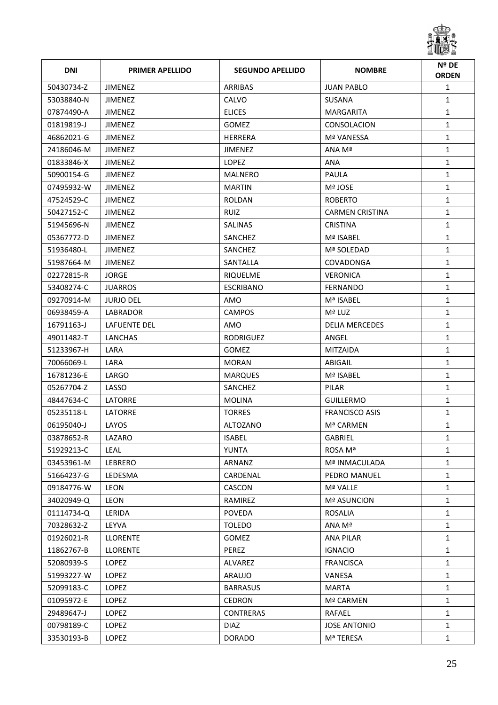

| <b>DNI</b> | <b>PRIMER APELLIDO</b> | <b>SEGUNDO APELLIDO</b> | <b>NOMBRE</b>          | Nº DE<br><b>ORDEN</b> |
|------------|------------------------|-------------------------|------------------------|-----------------------|
| 50430734-Z | <b>JIMENEZ</b>         | ARRIBAS                 | <b>JUAN PABLO</b>      | $\mathbf{1}$          |
| 53038840-N | JIMENEZ                | <b>CALVO</b>            | <b>SUSANA</b>          | $\mathbf{1}$          |
| 07874490-A | <b>JIMENEZ</b>         | <b>ELICES</b>           | MARGARITA              | $\mathbf{1}$          |
| 01819819-J | <b>JIMENEZ</b>         | <b>GOMEZ</b>            | CONSOLACION            | $\mathbf{1}$          |
| 46862021-G | JIMENEZ                | HERRERA                 | <b>Mª VANESSA</b>      | $\mathbf{1}$          |
| 24186046-M | JIMENEZ                | JIMENEZ                 | ANA Mª                 | $\mathbf{1}$          |
| 01833846-X | <b>JIMENEZ</b>         | <b>LOPEZ</b>            | <b>ANA</b>             | $\mathbf{1}$          |
| 50900154-G | <b>JIMENEZ</b>         | MALNERO                 | PAULA                  | $\mathbf{1}$          |
| 07495932-W | <b>JIMENEZ</b>         | <b>MARTIN</b>           | Mª JOSE                | $\mathbf{1}$          |
| 47524529-C | JIMENEZ                | ROLDAN                  | <b>ROBERTO</b>         | $\mathbf{1}$          |
| 50427152-C | <b>JIMENEZ</b>         | <b>RUIZ</b>             | <b>CARMEN CRISTINA</b> | $\mathbf{1}$          |
| 51945696-N | <b>JIMENEZ</b>         | SALINAS                 | <b>CRISTINA</b>        | $\mathbf{1}$          |
| 05367772-D | <b>JIMENEZ</b>         | SANCHEZ                 | Mª ISABEL              | $\mathbf{1}$          |
| 51936480-L | <b>JIMENEZ</b>         | SANCHEZ                 | Mª SOLEDAD             | $\mathbf{1}$          |
| 51987664-M | <b>JIMENEZ</b>         | <b>SANTALLA</b>         | COVADONGA              | $\mathbf{1}$          |
| 02272815-R | <b>JORGE</b>           | <b>RIQUELME</b>         | <b>VERONICA</b>        | $\mathbf{1}$          |
| 53408274-C | <b>JUARROS</b>         | <b>ESCRIBANO</b>        | <b>FERNANDO</b>        | $\mathbf{1}$          |
| 09270914-M | <b>JURJO DEL</b>       | AMO                     | Mª ISABEL              | $\mathbf{1}$          |
| 06938459-A | LABRADOR               | <b>CAMPOS</b>           | Mª LUZ                 | $\mathbf{1}$          |
| 16791163-J | LAFUENTE DEL           | AMO                     | <b>DELIA MERCEDES</b>  | $\mathbf{1}$          |
| 49011482-T | LANCHAS                | <b>RODRIGUEZ</b>        | ANGEL                  | $\mathbf{1}$          |
| 51233967-H | LARA                   | <b>GOMEZ</b>            | <b>MITZAIDA</b>        | $\mathbf{1}$          |
| 70066069-L | LARA                   | <b>MORAN</b>            | ABIGAIL                | $\mathbf{1}$          |
| 16781236-E | LARGO                  | <b>MARQUES</b>          | Mª ISABEL              | $\mathbf{1}$          |
| 05267704-Z | LASSO                  | SANCHEZ                 | PILAR                  | $\mathbf{1}$          |
| 48447634-C | LATORRE                | <b>MOLINA</b>           | <b>GUILLERMO</b>       | $\mathbf{1}$          |
| 05235118-L | LATORRE                | <b>TORRES</b>           | <b>FRANCISCO ASIS</b>  | $\mathbf{1}$          |
| 06195040-J | LAYOS                  | <b>ALTOZANO</b>         | Mª CARMEN              | $\mathbf{1}$          |
| 03878652-R | LAZARO                 | <b>ISABEL</b>           | GABRIEL                | 1                     |
| 51929213-C | <b>LEAL</b>            | <b>YUNTA</b>            | ROSA Mª                | $\mathbf{1}$          |
| 03453961-M | LEBRERO                | ARNANZ                  | Mª INMACULADA          | $\mathbf{1}$          |
| 51664237-G | LEDESMA                | CARDENAL                | PEDRO MANUEL           | $\mathbf{1}$          |
| 09184776-W | LEON                   | CASCON                  | Mª VALLE               | $\mathbf{1}$          |
| 34020949-Q | LEON                   | RAMIREZ                 | Mª ASUNCION            | $\mathbf{1}$          |
| 01114734-Q | LERIDA                 | <b>POVEDA</b>           | ROSALIA                | $\mathbf{1}$          |
| 70328632-Z | LEYVA                  | <b>TOLEDO</b>           | ANA Mª                 | $\mathbf{1}$          |
| 01926021-R | <b>LLORENTE</b>        | <b>GOMEZ</b>            | <b>ANA PILAR</b>       | 1                     |
| 11862767-B | <b>LLORENTE</b>        | PEREZ                   | <b>IGNACIO</b>         | $\mathbf{1}$          |
| 52080939-S | LOPEZ                  | ALVAREZ                 | <b>FRANCISCA</b>       | $\mathbf{1}$          |
| 51993227-W | LOPEZ                  | <b>ARAUJO</b>           | VANESA                 | $\mathbf{1}$          |
| 52099183-C | LOPEZ                  | <b>BARRASUS</b>         | <b>MARTA</b>           | $\mathbf{1}$          |
| 01095972-E | LOPEZ                  | <b>CEDRON</b>           | Mª CARMEN              | $\mathbf{1}$          |
| 29489647-J | LOPEZ                  | <b>CONTRERAS</b>        | RAFAEL                 | $\mathbf{1}$          |
| 00798189-C | LOPEZ                  | <b>DIAZ</b>             | <b>JOSE ANTONIO</b>    | $\mathbf{1}$          |
| 33530193-B | LOPEZ                  | <b>DORADO</b>           | Mª TERESA              | $\mathbf{1}$          |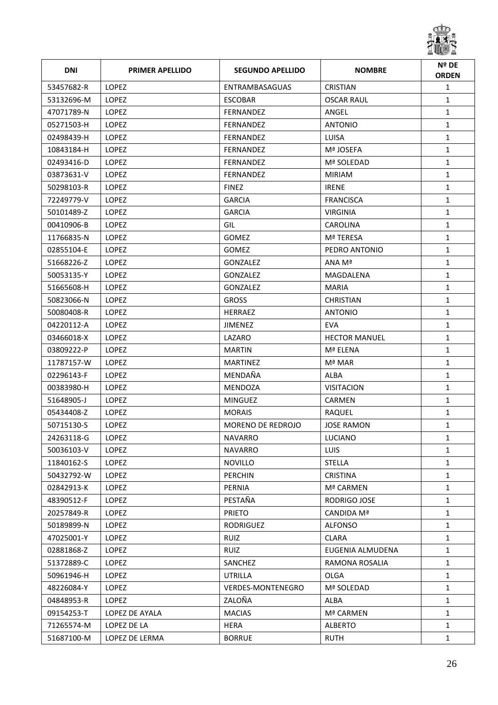

| <b>DNI</b> | <b>PRIMER APELLIDO</b> | <b>SEGUNDO APELLIDO</b>  | <b>NOMBRE</b>        | Nº DE<br><b>ORDEN</b> |
|------------|------------------------|--------------------------|----------------------|-----------------------|
| 53457682-R | <b>LOPEZ</b>           | ENTRAMBASAGUAS           | <b>CRISTIAN</b>      | $\mathbf{1}$          |
| 53132696-M | LOPEZ                  | ESCOBAR                  | OSCAR RAUL           | $\mathbf{1}$          |
| 47071789-N | <b>LOPEZ</b>           | FERNANDEZ                | ANGEL                | $\mathbf{1}$          |
| 05271503-H | LOPEZ                  | FERNANDEZ                | <b>ANTONIO</b>       | $\mathbf{1}$          |
| 02498439-H | LOPEZ                  | FERNANDEZ                | LUISA                | $\mathbf{1}$          |
| 10843184-H | LOPEZ                  | <b>FERNANDEZ</b>         | Mª JOSEFA            | $\mathbf{1}$          |
| 02493416-D | <b>LOPEZ</b>           | <b>FERNANDEZ</b>         | Mª SOLEDAD           | $\mathbf{1}$          |
| 03873631-V | LOPEZ                  | FERNANDEZ                | <b>MIRIAM</b>        | $\mathbf{1}$          |
| 50298103-R | LOPEZ                  | <b>FINEZ</b>             | <b>IRENE</b>         | $\mathbf{1}$          |
| 72249779-V | LOPEZ                  | <b>GARCIA</b>            | <b>FRANCISCA</b>     | $\mathbf{1}$          |
| 50101489-Z | LOPEZ                  | <b>GARCIA</b>            | <b>VIRGINIA</b>      | $\mathbf{1}$          |
| 00410906-B | LOPEZ                  | GIL                      | <b>CAROLINA</b>      | $\mathbf{1}$          |
| 11766835-N | LOPEZ                  | <b>GOMEZ</b>             | Mª TERESA            | $\mathbf{1}$          |
| 02855104-E | LOPEZ                  | <b>GOMEZ</b>             | PEDRO ANTONIO        | $\mathbf{1}$          |
| 51668226-Z | <b>LOPEZ</b>           | <b>GONZALEZ</b>          | ANA Mª               | $\mathbf{1}$          |
| 50053135-Y | LOPEZ                  | GONZALEZ                 | MAGDALENA            | $\mathbf{1}$          |
| 51665608-H | LOPEZ                  | GONZALEZ                 | <b>MARIA</b>         | $\mathbf{1}$          |
| 50823066-N | LOPEZ                  | <b>GROSS</b>             | <b>CHRISTIAN</b>     | $\mathbf{1}$          |
| 50080408-R | <b>LOPEZ</b>           | <b>HERRAEZ</b>           | <b>ANTONIO</b>       | $\mathbf{1}$          |
| 04220112-A | LOPEZ                  | <b>JIMENEZ</b>           | <b>EVA</b>           | $\mathbf{1}$          |
| 03466018-X | <b>LOPEZ</b>           | LAZARO                   | <b>HECTOR MANUEL</b> | $\mathbf{1}$          |
| 03809222-P | <b>LOPEZ</b>           | <b>MARTIN</b>            | Mª ELENA             | $\mathbf{1}$          |
| 11787157-W | <b>LOPEZ</b>           | <b>MARTINEZ</b>          | Mª MAR               | $\mathbf{1}$          |
| 02296143-F | <b>LOPEZ</b>           | MENDAÑA                  | ALBA                 | $\mathbf{1}$          |
| 00383980-H | <b>LOPEZ</b>           | <b>MENDOZA</b>           | <b>VISITACION</b>    | $\mathbf{1}$          |
| 51648905-J | <b>LOPEZ</b>           | <b>MINGUEZ</b>           | <b>CARMEN</b>        | $\mathbf{1}$          |
| 05434408-Z | <b>LOPEZ</b>           | <b>MORAIS</b>            | RAQUEL               | $\mathbf{1}$          |
| 50715130-S | LOPEZ                  | <b>MORENO DE REDROJO</b> | <b>JOSE RAMON</b>    | $\mathbf{1}$          |
| 24263118-G | <b>LOPEZ</b>           | NAVARRO                  | LUCIANO              | 1                     |
| 50036103-V | LOPEZ                  | <b>NAVARRO</b>           | <b>LUIS</b>          | $\mathbf{1}$          |
| 11840162-S | LOPEZ                  | <b>NOVILLO</b>           | <b>STELLA</b>        | $\mathbf{1}$          |
| 50432792-W | LOPEZ                  | <b>PERCHIN</b>           | <b>CRISTINA</b>      | $\mathbf{1}$          |
| 02842913-K | <b>LOPEZ</b>           | PERNIA                   | Mª CARMEN            | $\mathbf{1}$          |
| 48390512-F | LOPEZ                  | PESTAÑA                  | RODRIGO JOSE         | $\mathbf{1}$          |
| 20257849-R | <b>LOPEZ</b>           | <b>PRIETO</b>            | CANDIDA Mª           | $\mathbf{1}$          |
| 50189899-N | LOPEZ                  | RODRIGUEZ                | <b>ALFONSO</b>       | $\mathbf{1}$          |
| 47025001-Y | LOPEZ                  | <b>RUIZ</b>              | <b>CLARA</b>         | $\mathbf{1}$          |
| 02881868-Z | LOPEZ                  | RUIZ                     | EUGENIA ALMUDENA     | $\mathbf{1}$          |
| 51372889-C | LOPEZ                  | SANCHEZ                  | RAMONA ROSALIA       | $\mathbf{1}$          |
| 50961946-H | LOPEZ                  | UTRILLA                  | OLGA                 | $\mathbf{1}$          |
| 48226084-Y | LOPEZ                  | <b>VERDES-MONTENEGRO</b> | Mª SOLEDAD           | $\mathbf{1}$          |
| 04848953-R | LOPEZ                  | ZALOÑA                   | ALBA                 | $\mathbf{1}$          |
| 09154253-T | LOPEZ DE AYALA         | <b>MACIAS</b>            | Mª CARMEN            | $\mathbf{1}$          |
| 71265574-M | LOPEZ DE LA            | <b>HERA</b>              | <b>ALBERTO</b>       | $\mathbf{1}$          |
| 51687100-M | LOPEZ DE LERMA         | <b>BORRUE</b>            | <b>RUTH</b>          | $\mathbf{1}$          |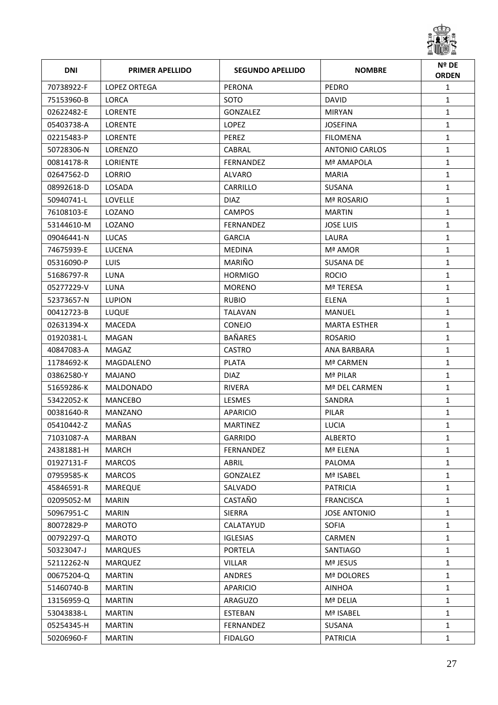

| <b>DNI</b> | <b>PRIMER APELLIDO</b> | <b>SEGUNDO APELLIDO</b> | <b>NOMBRE</b>       | Nº DE<br><b>ORDEN</b> |
|------------|------------------------|-------------------------|---------------------|-----------------------|
| 70738922-F | LOPEZ ORTEGA           | PERONA                  | PEDRO               | $\mathbf{1}$          |
| 75153960-B | LORCA                  | SOTO                    | <b>DAVID</b>        | $\mathbf{1}$          |
| 02622482-E | <b>LORENTE</b>         | GONZALEZ                | <b>MIRYAN</b>       | $\mathbf{1}$          |
| 05403738-A | LORENTE                | <b>LOPEZ</b>            | JOSEFINA            | $\mathbf{1}$          |
| 02215483-P | <b>LORENTE</b>         | PEREZ                   | <b>FILOMENA</b>     | $\mathbf{1}$          |
| 50728306-N | LORENZO                | CABRAL                  | ANTONIO CARLOS      | $\mathbf{1}$          |
| 00814178-R | <b>LORIENTE</b>        | <b>FERNANDEZ</b>        | Mª AMAPOLA          | $\mathbf{1}$          |
| 02647562-D | LORRIO                 | ALVARO                  | <b>MARIA</b>        | $\mathbf{1}$          |
| 08992618-D | LOSADA                 | CARRILLO                | SUSANA              | $\mathbf{1}$          |
| 50940741-L | LOVELLE                | <b>DIAZ</b>             | Mª ROSARIO          | $\mathbf{1}$          |
| 76108103-E | LOZANO                 | <b>CAMPOS</b>           | <b>MARTIN</b>       | $\mathbf{1}$          |
| 53144610-M | LOZANO                 | <b>FERNANDEZ</b>        | <b>JOSE LUIS</b>    | $\mathbf{1}$          |
| 09046441-N | LUCAS                  | <b>GARCIA</b>           | LAURA               | $\mathbf{1}$          |
| 74675939-E | LUCENA                 | <b>MEDINA</b>           | Mª AMOR             | $\mathbf{1}$          |
| 05316090-P | <b>LUIS</b>            | <b>MARIÑO</b>           | <b>SUSANA DE</b>    | $\mathbf{1}$          |
| 51686797-R | LUNA                   | <b>HORMIGO</b>          | <b>ROCIO</b>        | $\mathbf{1}$          |
| 05277229-V | LUNA                   | <b>MORENO</b>           | Mª TERESA           | $\mathbf{1}$          |
| 52373657-N | <b>LUPION</b>          | <b>RUBIO</b>            | <b>ELENA</b>        | $\mathbf{1}$          |
| 00412723-B | LUQUE                  | TALAVAN                 | MANUEL              | $\mathbf{1}$          |
| 02631394-X | MACEDA                 | <b>CONEJO</b>           | <b>MARTA ESTHER</b> | $\mathbf{1}$          |
| 01920381-L | MAGAN                  | <b>BAÑARES</b>          | <b>ROSARIO</b>      | $\mathbf{1}$          |
| 40847083-A | MAGAZ                  | <b>CASTRO</b>           | ANA BARBARA         | $\mathbf{1}$          |
| 11784692-K | MAGDALENO              | <b>PLATA</b>            | Mª CARMEN           | $\mathbf{1}$          |
| 03862580-Y | MAJANO                 | <b>DIAZ</b>             | Mª PILAR            | $\mathbf{1}$          |
| 51659286-K | <b>MALDONADO</b>       | <b>RIVERA</b>           | Mª DEL CARMEN       | $\mathbf{1}$          |
| 53422052-K | <b>MANCEBO</b>         | <b>LESMES</b>           | SANDRA              | $\mathbf{1}$          |
| 00381640-R | MANZANO                | APARICIO                | PILAR               | $\mathbf{1}$          |
| 05410442-Z | MAÑAS                  | <b>MARTINEZ</b>         | <b>LUCIA</b>        | $\mathbf{1}$          |
| 71031087-A | MARBAN                 | GARRIDO                 | ALBERTO             | 1                     |
| 24381881-H | MARCH                  | FERNANDEZ               | Mª ELENA            | $\mathbf{1}$          |
| 01927131-F | <b>MARCOS</b>          | ABRIL                   | PALOMA              | $\mathbf{1}$          |
| 07959585-K | <b>MARCOS</b>          | GONZALEZ                | Mª ISABEL           | $\mathbf{1}$          |
| 45846591-R | <b>MAREQUE</b>         | SALVADO                 | <b>PATRICIA</b>     | $\mathbf{1}$          |
| 02095052-M | <b>MARIN</b>           | CASTAÑO                 | <b>FRANCISCA</b>    | $\mathbf{1}$          |
| 50967951-C | <b>MARIN</b>           | <b>SIERRA</b>           | <b>JOSE ANTONIO</b> | $\mathbf{1}$          |
| 80072829-P | MAROTO                 | CALATAYUD               | <b>SOFIA</b>        | $\mathbf{1}$          |
| 00792297-Q | <b>MAROTO</b>          | <b>IGLESIAS</b>         | <b>CARMEN</b>       | $\mathbf{1}$          |
| 50323047-J | <b>MARQUES</b>         | PORTELA                 | SANTIAGO            | $\mathbf{1}$          |
| 52112262-N | <b>MARQUEZ</b>         | <b>VILLAR</b>           | Mª JESUS            | $\mathbf{1}$          |
| 00675204-Q | <b>MARTIN</b>          | ANDRES                  | Mª DOLORES          | $\mathbf{1}$          |
| 51460740-B | <b>MARTIN</b>          | APARICIO                | <b>AINHOA</b>       | $\mathbf{1}$          |
| 13156959-Q | <b>MARTIN</b>          | ARAGUZO                 | Mª DELIA            | $\mathbf{1}$          |
| 53043838-L | <b>MARTIN</b>          | ESTEBAN                 | Mª ISABEL           | $\mathbf{1}$          |
| 05254345-H | <b>MARTIN</b>          | FERNANDEZ               | SUSANA              | $\mathbf{1}$          |
| 50206960-F | <b>MARTIN</b>          | <b>FIDALGO</b>          | PATRICIA            | $\mathbf{1}$          |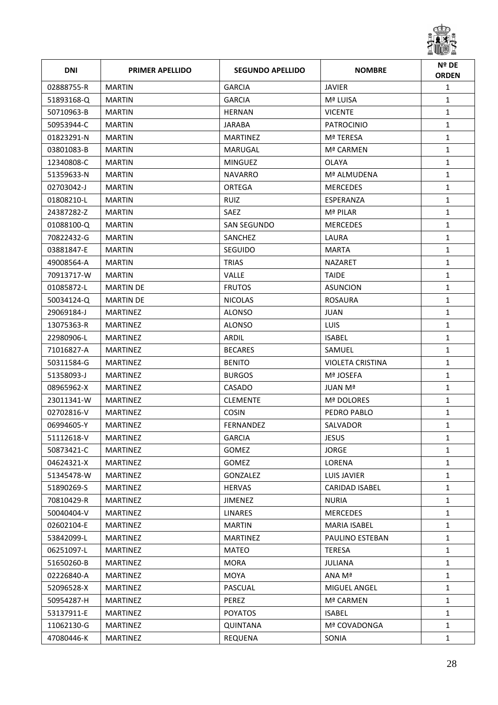

| <b>DNI</b> | <b>PRIMER APELLIDO</b> | <b>SEGUNDO APELLIDO</b> | <b>NOMBRE</b>       | Nº DE<br><b>ORDEN</b> |
|------------|------------------------|-------------------------|---------------------|-----------------------|
| 02888755-R | <b>MARTIN</b>          | <b>GARCIA</b>           | <b>JAVIER</b>       | $\mathbf{1}$          |
| 51893168-Q | <b>MARTIN</b>          | <b>GARCIA</b>           | Mª LUISA            | $\mathbf{1}$          |
| 50710963-B | <b>MARTIN</b>          | <b>HERNAN</b>           | <b>VICENTE</b>      | $\mathbf{1}$          |
| 50953944-C | <b>MARTIN</b>          | JARABA                  | <b>PATROCINIO</b>   | $\mathbf{1}$          |
| 01823291-N | <b>MARTIN</b>          | <b>MARTINEZ</b>         | Mª TERESA           | $\mathbf{1}$          |
| 03801083-B | <b>MARTIN</b>          | MARUGAL                 | Mª CARMEN           | $\mathbf{1}$          |
| 12340808-C | <b>MARTIN</b>          | MINGUEZ                 | <b>OLAYA</b>        | $\mathbf{1}$          |
| 51359633-N | <b>MARTIN</b>          | NAVARRO                 | Mª ALMUDENA         | $\mathbf{1}$          |
| 02703042-J | <b>MARTIN</b>          | ORTEGA                  | <b>MERCEDES</b>     | $\mathbf{1}$          |
| 01808210-L | <b>MARTIN</b>          | <b>RUIZ</b>             | ESPERANZA           | $\mathbf{1}$          |
| 24387282-Z | <b>MARTIN</b>          | <b>SAEZ</b>             | Mª PILAR            | $\mathbf{1}$          |
| 01088100-Q | <b>MARTIN</b>          | SAN SEGUNDO             | <b>MERCEDES</b>     | $\mathbf{1}$          |
| 70822432-G | <b>MARTIN</b>          | SANCHEZ                 | LAURA               | $\mathbf{1}$          |
| 03881847-E | <b>MARTIN</b>          | SEGUIDO                 | <b>MARTA</b>        | $\mathbf{1}$          |
| 49008564-A | <b>MARTIN</b>          | <b>TRIAS</b>            | <b>NAZARET</b>      | $\mathbf{1}$          |
| 70913717-W | <b>MARTIN</b>          | <b>VALLE</b>            | <b>TAIDE</b>        | $\mathbf{1}$          |
| 01085872-L | <b>MARTIN DE</b>       | <b>FRUTOS</b>           | <b>ASUNCION</b>     | $\mathbf{1}$          |
| 50034124-Q | <b>MARTIN DE</b>       | <b>NICOLAS</b>          | <b>ROSAURA</b>      | $\mathbf{1}$          |
| 29069184-J | <b>MARTINEZ</b>        | <b>ALONSO</b>           | <b>JUAN</b>         | $\mathbf{1}$          |
| 13075363-R | <b>MARTINEZ</b>        | <b>ALONSO</b>           | <b>LUIS</b>         | $\mathbf{1}$          |
| 22980906-L | <b>MARTINEZ</b>        | ARDIL                   | <b>ISABEL</b>       | $\mathbf{1}$          |
| 71016827-A | <b>MARTINEZ</b>        | <b>BECARES</b>          | SAMUEL              | $\mathbf{1}$          |
| 50311584-G | <b>MARTINEZ</b>        | <b>BENITO</b>           | VIOLETA CRISTINA    | $\mathbf{1}$          |
| 51358093-J | <b>MARTINEZ</b>        | <b>BURGOS</b>           | Mª JOSEFA           | $\mathbf{1}$          |
| 08965962-X | <b>MARTINEZ</b>        | CASADO                  | JUAN Mª             | $\mathbf{1}$          |
| 23011341-W | <b>MARTINEZ</b>        | <b>CLEMENTE</b>         | Mª DOLORES          | 1                     |
| 02702816-V | <b>MARTINEZ</b>        | <b>COSIN</b>            | PEDRO PABLO         | $\mathbf{1}$          |
| 06994605-Y | <b>MARTINEZ</b>        | <b>FERNANDEZ</b>        | SALVADOR            | $\mathbf{1}$          |
| 51112618-V | MARTINEZ               | GARCIA                  | JESUS               | 1                     |
| 50873421-C | <b>MARTINEZ</b>        | <b>GOMEZ</b>            | <b>JORGE</b>        | $\mathbf{1}$          |
| 04624321-X | <b>MARTINEZ</b>        | <b>GOMEZ</b>            | LORENA              | $\mathbf{1}$          |
| 51345478-W | <b>MARTINEZ</b>        | GONZALEZ                | LUIS JAVIER         | $\mathbf{1}$          |
| 51890269-S | <b>MARTINEZ</b>        | <b>HERVAS</b>           | CARIDAD ISABEL      | $\mathbf{1}$          |
| 70810429-R | <b>MARTINEZ</b>        | <b>JIMENEZ</b>          | <b>NURIA</b>        | $\mathbf{1}$          |
| 50040404-V | <b>MARTINEZ</b>        | <b>LINARES</b>          | <b>MERCEDES</b>     | $\mathbf{1}$          |
| 02602104-E | <b>MARTINEZ</b>        | <b>MARTIN</b>           | <b>MARIA ISABEL</b> | $\mathbf{1}$          |
| 53842099-L | MARTINEZ               | MARTINEZ                | PAULINO ESTEBAN     | $\mathbf{1}$          |
| 06251097-L | <b>MARTINEZ</b>        | <b>MATEO</b>            | <b>TERESA</b>       | $\mathbf{1}$          |
| 51650260-B | <b>MARTINEZ</b>        | <b>MORA</b>             | <b>JULIANA</b>      | $\mathbf{1}$          |
| 02226840-A | <b>MARTINEZ</b>        | <b>MOYA</b>             | ANA Mª              | $\mathbf{1}$          |
| 52096528-X | <b>MARTINEZ</b>        | PASCUAL                 | MIGUEL ANGEL        | $\mathbf{1}$          |
| 50954287-H | <b>MARTINEZ</b>        | PEREZ                   | Mª CARMEN           | $\mathbf{1}$          |
| 53137911-E | <b>MARTINEZ</b>        | <b>POYATOS</b>          | <b>ISABEL</b>       | $\mathbf{1}$          |
| 11062130-G | <b>MARTINEZ</b>        | <b>QUINTANA</b>         | Mª COVADONGA        | $\mathbf{1}$          |
| 47080446-K | <b>MARTINEZ</b>        | REQUENA                 | SONIA               | $\mathbf{1}$          |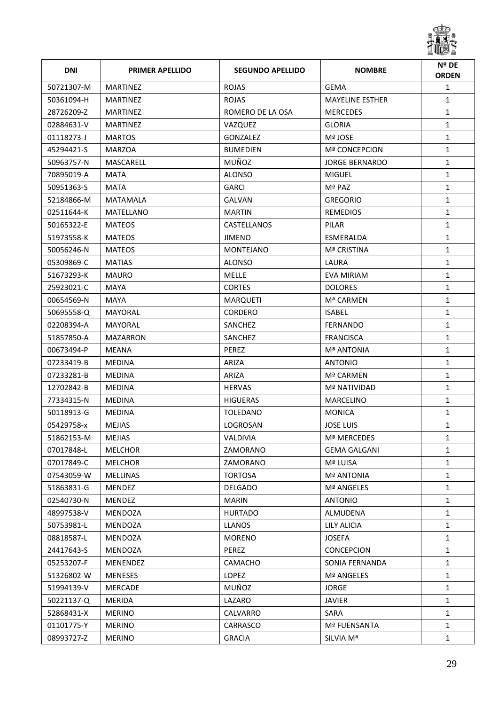

| <b>DNI</b> | <b>PRIMER APELLIDO</b> | <b>SEGUNDO APELLIDO</b> | <b>NOMBRE</b>          | Nº DE<br><b>ORDEN</b> |
|------------|------------------------|-------------------------|------------------------|-----------------------|
| 50721307-M | <b>MARTINEZ</b>        | <b>ROJAS</b>            | <b>GEMA</b>            | $\mathbf{1}$          |
| 50361094-H | MARTINEZ               | <b>ROJAS</b>            | <b>MAYELINE ESTHER</b> | $\mathbf{1}$          |
| 28726209-Z | <b>MARTINEZ</b>        | ROMERO DE LA OSA        | <b>MERCEDES</b>        | $\mathbf{1}$          |
| 02884631-V | <b>MARTINEZ</b>        | VAZQUEZ                 | <b>GLORIA</b>          | $\mathbf{1}$          |
| 01118273-J | <b>MARTOS</b>          | GONZALEZ                | Mª JOSE                | $\mathbf{1}$          |
| 45294421-S | <b>MARZOA</b>          | <b>BUMEDIEN</b>         | <b>Mª CONCEPCION</b>   | $\mathbf{1}$          |
| 50963757-N | MASCARELL              | MUÑOZ                   | <b>JORGE BERNARDO</b>  | $\mathbf{1}$          |
| 70895019-A | MATA                   | <b>ALONSO</b>           | <b>MIGUEL</b>          | $\mathbf{1}$          |
| 50951363-S | MATA                   | <b>GARCI</b>            | Mª PAZ                 | $\mathbf{1}$          |
| 52184866-M | <b>MATAMALA</b>        | <b>GALVAN</b>           | <b>GREGORIO</b>        | $\mathbf{1}$          |
| 02511644-K | MATELLANO              | <b>MARTIN</b>           | <b>REMEDIOS</b>        | $\mathbf{1}$          |
| 50165322-E | <b>MATEOS</b>          | CASTELLANOS             | PILAR                  | $\mathbf{1}$          |
| 51973558-K | <b>MATEOS</b>          | <b>JIMENO</b>           | ESMERALDA              | $\mathbf{1}$          |
| 50056246-N | <b>MATEOS</b>          | <b>MONTEJANO</b>        | Mª CRISTINA            | $\mathbf{1}$          |
| 05309869-C | <b>MATIAS</b>          | <b>ALONSO</b>           | LAURA                  | $\mathbf{1}$          |
| 51673293-K | <b>MAURO</b>           | <b>MELLE</b>            | EVA MIRIAM             | $\mathbf{1}$          |
| 25923021-C | MAYA                   | <b>CORTES</b>           | <b>DOLORES</b>         | $\mathbf{1}$          |
| 00654569-N | MAYA                   | <b>MARQUETI</b>         | Mª CARMEN              | $\mathbf{1}$          |
| 50695558-Q | MAYORAL                | <b>CORDERO</b>          | <b>ISABEL</b>          | $\mathbf{1}$          |
| 02208394-A | MAYORAL                | SANCHEZ                 | <b>FERNANDO</b>        | $\mathbf{1}$          |
| 51857850-A | MAZARRON               | SANCHEZ                 | <b>FRANCISCA</b>       | 1                     |
| 00673494-P | MEANA                  | <b>PEREZ</b>            | <b>Mª ANTONIA</b>      | $\mathbf{1}$          |
| 07233419-B | <b>MEDINA</b>          | ARIZA                   | <b>ANTONIO</b>         | $\mathbf{1}$          |
| 07233281-B | <b>MEDINA</b>          | ARIZA                   | Mª CARMEN              | $\mathbf{1}$          |
| 12702842-B | <b>MEDINA</b>          | <b>HERVAS</b>           | Mª NATIVIDAD           | $\mathbf{1}$          |
| 77334315-N | <b>MEDINA</b>          | <b>HIGUERAS</b>         | <b>MARCELINO</b>       | 1                     |
| 50118913-G | <b>MEDINA</b>          | <b>TOLEDANO</b>         | <b>MONICA</b>          | $\mathbf{1}$          |
| 05429758-x | <b>MEJIAS</b>          | LOGROSAN                | <b>JOSE LUIS</b>       | $\mathbf{1}$          |
| 51862153-M | MEJIAS                 | VALDIVIA                | <b>Mª MERCEDES</b>     | 1                     |
| 07017848-L | <b>MELCHOR</b>         | ZAMORANO                | <b>GEMA GALGANI</b>    | $\mathbf{1}$          |
| 07017849-C | <b>MELCHOR</b>         | ZAMORANO                | Mª LUISA               | $\mathbf{1}$          |
| 07543059-W | <b>MELLINAS</b>        | <b>TORTOSA</b>          | <b>Mª ANTONIA</b>      | $\mathbf{1}$          |
| 51863831-G | MENDEZ                 | <b>DELGADO</b>          | Mª ANGELES             | $\mathbf{1}$          |
| 02540730-N | MENDEZ                 | <b>MARIN</b>            | <b>ANTONIO</b>         | $\mathbf{1}$          |
| 48997538-V | MENDOZA                | <b>HURTADO</b>          | ALMUDENA               | $\mathbf{1}$          |
| 50753981-L | MENDOZA                | <b>LLANOS</b>           | <b>LILY ALICIA</b>     | $\mathbf{1}$          |
| 08818587-L | MENDOZA                | <b>MORENO</b>           | <b>JOSEFA</b>          | 1                     |
| 24417643-S | MENDOZA                | PEREZ                   | <b>CONCEPCION</b>      | $\mathbf{1}$          |
| 05253207-F | MENENDEZ               | CAMACHO                 | SONIA FERNANDA         | $\mathbf{1}$          |
| 51326802-W | <b>MENESES</b>         | LOPEZ                   | <b>Mª ANGELES</b>      | $\mathbf{1}$          |
| 51994139-V | <b>MERCADE</b>         | MUÑOZ                   | <b>JORGE</b>           | $\mathbf{1}$          |
| 50221137-Q | <b>MERIDA</b>          | LAZARO                  | <b>JAVIER</b>          | $\mathbf{1}$          |
| 52868431-X | <b>MERINO</b>          | CALVARRO                | SARA                   | $\mathbf{1}$          |
| 01101775-Y | <b>MERINO</b>          | CARRASCO                | Mª FUENSANTA           | $\mathbf{1}$          |
| 08993727-Z | <b>MERINO</b>          | <b>GRACIA</b>           | SILVIA Mª              | $\mathbf{1}$          |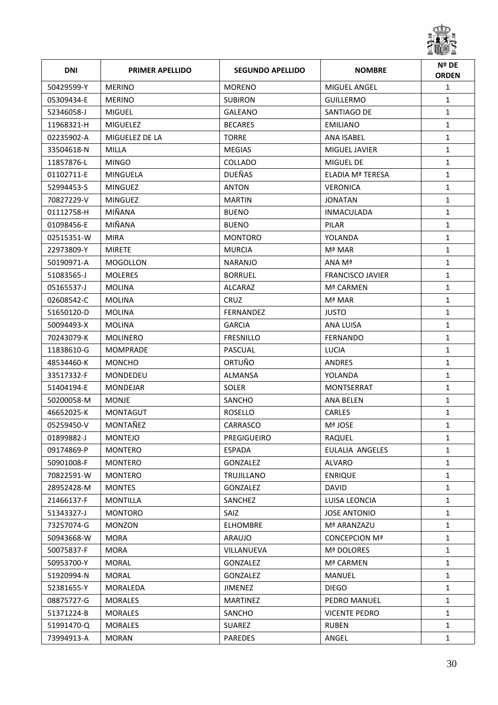

| <b>DNI</b> | <b>PRIMER APELLIDO</b> | <b>SEGUNDO APELLIDO</b> | <b>NOMBRE</b>           | Nº DE<br><b>ORDEN</b> |
|------------|------------------------|-------------------------|-------------------------|-----------------------|
| 50429599-Y | <b>MERINO</b>          | <b>MORENO</b>           | MIGUEL ANGEL            | $\mathbf{1}$          |
| 05309434-E | <b>MERINO</b>          | <b>SUBIRON</b>          | <b>GUILLERMO</b>        | $\mathbf{1}$          |
| 52346058-J | <b>MIGUEL</b>          | <b>GALEANO</b>          | SANTIAGO DE             | $\mathbf{1}$          |
| 11968321-H | <b>MIGUELEZ</b>        | <b>BECARES</b>          | <b>EMILIANO</b>         | $\mathbf{1}$          |
| 02235902-A | MIGUELEZ DE LA         | <b>TORRE</b>            | ANA ISABEL              | $\mathbf{1}$          |
| 33504618-N | MILLA                  | <b>MEGIAS</b>           | MIGUEL JAVIER           | $\mathbf{1}$          |
| 11857876-L | <b>MINGO</b>           | COLLADO                 | MIGUEL DE               | $\mathbf{1}$          |
| 01102711-E | MINGUELA               | <b>DUEÑAS</b>           | ELADIA Mª TERESA        | $\mathbf{1}$          |
| 52994453-S | MINGUEZ                | <b>ANTON</b>            | <b>VERONICA</b>         | $\mathbf{1}$          |
| 70827229-V | MINGUEZ                | <b>MARTIN</b>           | <b>JONATAN</b>          | $\mathbf{1}$          |
| 01112758-H | MIÑANA                 | <b>BUENO</b>            | <b>INMACULADA</b>       | $\mathbf{1}$          |
| 01098456-E | MIÑANA                 | <b>BUENO</b>            | PILAR                   | $\mathbf{1}$          |
| 02515351-W | <b>MIRA</b>            | <b>MONTORO</b>          | YOLANDA                 | $\mathbf{1}$          |
| 22973809-Y | <b>MIRETE</b>          | <b>MURCIA</b>           | Mª MAR                  | $\mathbf{1}$          |
| 50190971-A | <b>MOGOLLON</b>        | <b>NARANJO</b>          | ANA Mª                  | $\mathbf{1}$          |
| 51083565-J | <b>MOLERES</b>         | <b>BORRUEL</b>          | <b>FRANCISCO JAVIER</b> | $\mathbf{1}$          |
| 05165537-J | <b>MOLINA</b>          | ALCARAZ                 | Mª CARMEN               | $\mathbf{1}$          |
| 02608542-C | <b>MOLINA</b>          | <b>CRUZ</b>             | Mª MAR                  | $\mathbf{1}$          |
| 51650120-D | MOLINA                 | <b>FERNANDEZ</b>        | <b>JUSTO</b>            | $\mathbf{1}$          |
| 50094493-X | <b>MOLINA</b>          | <b>GARCIA</b>           | ANA LUISA               | 1                     |
| 70243079-K | MOLINERO               | <b>FRESNILLO</b>        | <b>FERNANDO</b>         | $\mathbf{1}$          |
| 11838610-G | <b>MOMPRADE</b>        | PASCUAL                 | LUCIA                   | $\mathbf{1}$          |
| 48534460-K | <b>MONCHO</b>          | ORTUÑO                  | <b>ANDRES</b>           | $\mathbf{1}$          |
| 33517332-F | MONDEDEU               | ALMANSA                 | YOLANDA                 | $\mathbf{1}$          |
| 51404194-E | <b>MONDEJAR</b>        | <b>SOLER</b>            | MONTSERRAT              | $\mathbf{1}$          |
| 50200058-M | <b>MONJE</b>           | SANCHO                  | <b>ANA BELEN</b>        | 1                     |
| 46652025-K | <b>MONTAGUT</b>        | <b>ROSELLO</b>          | <b>CARLES</b>           | $\mathbf{1}$          |
| 05259450-V | MONTAÑEZ               | CARRASCO                | Mª JOSE                 | $\mathbf{1}$          |
| 01899882-J | <b>MONTEJO</b>         | PREGIGUEIRO             | RAQUEL                  | 1                     |
| 09174869-P | <b>MONTERO</b>         | <b>ESPADA</b>           | EULALIA ANGELES         | 1                     |
| 50901008-F | <b>MONTERO</b>         | GONZALEZ                | <b>ALVARO</b>           | $\mathbf{1}$          |
| 70822591-W | <b>MONTERO</b>         | TRUJILLANO              | <b>ENRIQUE</b>          | $\mathbf{1}$          |
| 28952428-M | <b>MONTES</b>          | GONZALEZ                | <b>DAVID</b>            | $\mathbf{1}$          |
| 21466137-F | <b>MONTILLA</b>        | SANCHEZ                 | LUISA LEONCIA           | $\mathbf{1}$          |
| 51343327-J | <b>MONTORO</b>         | <b>SAIZ</b>             | <b>JOSE ANTONIO</b>     | $\mathbf{1}$          |
| 73257074-G | <b>MONZON</b>          | <b>ELHOMBRE</b>         | Mª ARANZAZU             | $\mathbf{1}$          |
| 50943668-W | <b>MORA</b>            | <b>ARAUJO</b>           | <b>CONCEPCION Mª</b>    | $\mathbf{1}$          |
| 50075837-F | <b>MORA</b>            | VILLANUEVA              | Mª DOLORES              | $\mathbf{1}$          |
| 50953700-Y | <b>MORAL</b>           | GONZALEZ                | Mª CARMEN               | $\mathbf{1}$          |
| 51920994-N | <b>MORAL</b>           | GONZALEZ                | <b>MANUEL</b>           | $\mathbf{1}$          |
| 52381655-Y | MORALEDA               | JIMENEZ                 | <b>DIEGO</b>            | $\mathbf{1}$          |
| 08875727-G | <b>MORALES</b>         | <b>MARTINEZ</b>         | PEDRO MANUEL            | $\mathbf{1}$          |
| 51371224-B | <b>MORALES</b>         | SANCHO                  | <b>VICENTE PEDRO</b>    | $\mathbf{1}$          |
| 51991470-Q | <b>MORALES</b>         | <b>SUAREZ</b>           | <b>RUBEN</b>            | $\mathbf{1}$          |
| 73994913-A | <b>MORAN</b>           | PAREDES                 | ANGEL                   | $\mathbf{1}$          |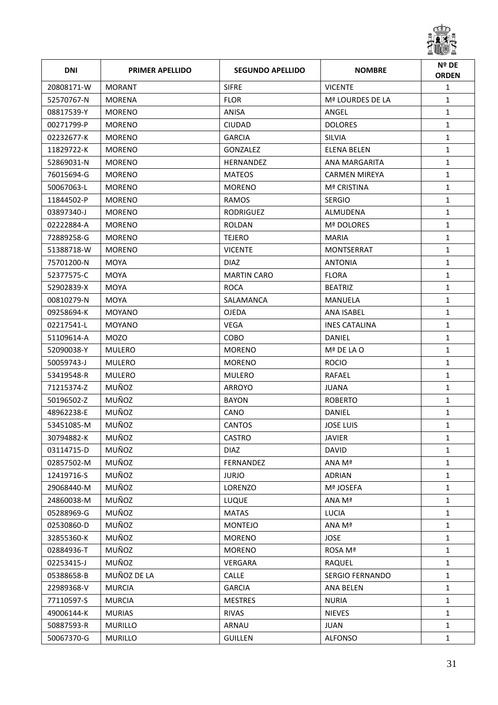

| <b>DNI</b> | <b>PRIMER APELLIDO</b> | <b>SEGUNDO APELLIDO</b> | <b>NOMBRE</b>          | Nº DE<br><b>ORDEN</b> |
|------------|------------------------|-------------------------|------------------------|-----------------------|
| 20808171-W | <b>MORANT</b>          | <b>SIFRE</b>            | <b>VICENTE</b>         | $\mathbf{1}$          |
| 52570767-N | MORENA                 | <b>FLOR</b>             | Mª LOURDES DE LA       | $\mathbf{1}$          |
| 08817539-Y | <b>MORENO</b>          | ANISA                   | ANGEL                  | $\mathbf{1}$          |
| 00271799-P | <b>MORENO</b>          | <b>CIUDAD</b>           | <b>DOLORES</b>         | $\mathbf{1}$          |
| 02232677-K | <b>MORENO</b>          | <b>GARCIA</b>           | <b>SILVIA</b>          | $\mathbf{1}$          |
| 11829722-K | <b>MORENO</b>          | GONZALEZ                | <b>ELENA BELEN</b>     | $\mathbf{1}$          |
| 52869031-N | <b>MORENO</b>          | <b>HERNANDEZ</b>        | ANA MARGARITA          | $\mathbf{1}$          |
| 76015694-G | <b>MORENO</b>          | <b>MATEOS</b>           | <b>CARMEN MIREYA</b>   | $\mathbf{1}$          |
| 50067063-L | <b>MORENO</b>          | <b>MORENO</b>           | Mª CRISTINA            | $\mathbf{1}$          |
| 11844502-P | <b>MORENO</b>          | RAMOS                   | <b>SERGIO</b>          | $\mathbf{1}$          |
| 03897340-J | <b>MORENO</b>          | <b>RODRIGUEZ</b>        | ALMUDENA               | $\mathbf{1}$          |
| 02222884-A | <b>MORENO</b>          | ROLDAN                  | Mª DOLORES             | $\mathbf{1}$          |
| 72889258-G | <b>MORENO</b>          | <b>TEJERO</b>           | <b>MARIA</b>           | $\mathbf{1}$          |
| 51388718-W | <b>MORENO</b>          | <b>VICENTE</b>          | MONTSERRAT             | $\mathbf{1}$          |
| 75701200-N | <b>MOYA</b>            | <b>DIAZ</b>             | <b>ANTONIA</b>         | $\mathbf{1}$          |
| 52377575-C | <b>MOYA</b>            | <b>MARTIN CARO</b>      | <b>FLORA</b>           | $\mathbf{1}$          |
| 52902839-X | <b>MOYA</b>            | <b>ROCA</b>             | <b>BEATRIZ</b>         | $\mathbf{1}$          |
| 00810279-N | <b>MOYA</b>            | SALAMANCA               | <b>MANUELA</b>         | $\mathbf{1}$          |
| 09258694-K | MOYANO                 | <b>OJEDA</b>            | ANA ISABEL             | $\mathbf{1}$          |
| 02217541-L | <b>MOYANO</b>          | <b>VEGA</b>             | <b>INES CATALINA</b>   | $\mathbf{1}$          |
| 51109614-A | <b>MOZO</b>            | COBO                    | DANIEL                 | $\mathbf{1}$          |
| 52090038-Y | <b>MULERO</b>          | <b>MORENO</b>           | Mª DE LA O             | $\mathbf{1}$          |
| 50059743-J | <b>MULERO</b>          | <b>MORENO</b>           | <b>ROCIO</b>           | $\mathbf{1}$          |
| 53419548-R | <b>MULERO</b>          | <b>MULERO</b>           | RAFAEL                 | $\mathbf{1}$          |
| 71215374-Z | MUÑOZ                  | ARROYO                  | <b>JUANA</b>           | $\mathbf{1}$          |
| 50196502-Z | MUÑOZ                  | <b>BAYON</b>            | <b>ROBERTO</b>         | $\mathbf{1}$          |
| 48962238-E | MUÑOZ                  | <b>CANO</b>             | DANIEL                 | $\mathbf{1}$          |
| 53451085-M | MUÑOZ                  | <b>CANTOS</b>           | <b>JOSE LUIS</b>       | $\mathbf{1}$          |
| 30794882-K | MUÑOZ                  | CASTRO                  | JAVIER                 | 1                     |
| 03114715-D | MUÑOZ                  | <b>DIAZ</b>             | <b>DAVID</b>           | $\mathbf{1}$          |
| 02857502-M | MUÑOZ                  | FERNANDEZ               | ANA Mª                 | $\mathbf{1}$          |
| 12419716-S | MUÑOZ                  | <b>JURJO</b>            | <b>ADRIAN</b>          | $\mathbf{1}$          |
| 29068440-M | MUÑOZ                  | LORENZO                 | Mª JOSEFA              | $\mathbf{1}$          |
| 24860038-M | MUÑOZ                  | <b>LUQUE</b>            | ANA Mª                 | $\mathbf{1}$          |
| 05288969-G | MUÑOZ                  | <b>MATAS</b>            | <b>LUCIA</b>           | $\mathbf{1}$          |
| 02530860-D | MUÑOZ                  | <b>MONTEJO</b>          | ANA Mª                 | $\mathbf{1}$          |
| 32855360-K | MUÑOZ                  | <b>MORENO</b>           | <b>JOSE</b>            | $\mathbf{1}$          |
| 02884936-T | MUÑOZ                  | <b>MORENO</b>           | ROSA Mª                | $\mathbf{1}$          |
| 02253415-J | MUÑOZ                  | VERGARA                 | RAQUEL                 | $\mathbf{1}$          |
| 05388658-B | MUÑOZ DE LA            | CALLE                   | <b>SERGIO FERNANDO</b> | $\mathbf{1}$          |
| 22989368-V | <b>MURCIA</b>          | <b>GARCIA</b>           | <b>ANA BELEN</b>       | $\mathbf{1}$          |
| 77110597-S | <b>MURCIA</b>          | <b>MESTRES</b>          | <b>NURIA</b>           | $\mathbf{1}$          |
| 49006144-K | <b>MURIAS</b>          | <b>RIVAS</b>            | <b>NIEVES</b>          | $\mathbf{1}$          |
| 50887593-R | <b>MURILLO</b>         | ARNAU                   | <b>JUAN</b>            | $\mathbf{1}$          |
| 50067370-G | <b>MURILLO</b>         | <b>GUILLEN</b>          | ALFONSO                | $\mathbf{1}$          |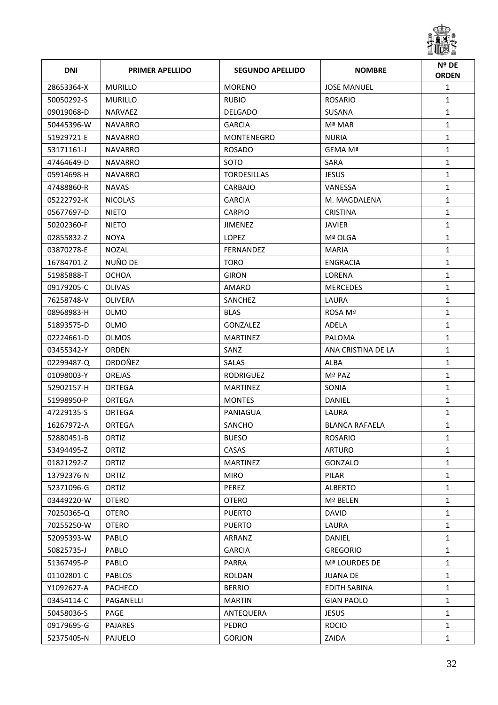

| <b>DNI</b> | <b>PRIMER APELLIDO</b> | <b>SEGUNDO APELLIDO</b> | <b>NOMBRE</b>         | Nº DE<br><b>ORDEN</b> |
|------------|------------------------|-------------------------|-----------------------|-----------------------|
| 28653364-X | <b>MURILLO</b>         | <b>MORENO</b>           | <b>JOSE MANUEL</b>    | $\mathbf{1}$          |
| 50050292-S | MURILLO                | <b>RUBIO</b>            | <b>ROSARIO</b>        | $\mathbf{1}$          |
| 09019068-D | <b>NARVAEZ</b>         | <b>DELGADO</b>          | SUSANA                | $\mathbf{1}$          |
| 50445396-W | <b>NAVARRO</b>         | <b>GARCIA</b>           | Mª MAR                | $\mathbf{1}$          |
| 51929721-E | NAVARRO                | MONTENEGRO              | <b>NURIA</b>          | $\mathbf{1}$          |
| 53171161-J | NAVARRO                | <b>ROSADO</b>           | GEMA Mª               | $\mathbf{1}$          |
| 47464649-D | <b>NAVARRO</b>         | SOTO                    | SARA                  | $\mathbf{1}$          |
| 05914698-H | <b>NAVARRO</b>         | <b>TORDESILLAS</b>      | <b>JESUS</b>          | $\mathbf{1}$          |
| 47488860-R | <b>NAVAS</b>           | CARBAJO                 | VANESSA               | $\mathbf{1}$          |
| 05222792-K | <b>NICOLAS</b>         | <b>GARCIA</b>           | M. MAGDALENA          | $\mathbf{1}$          |
| 05677697-D | <b>NIETO</b>           | <b>CARPIO</b>           | <b>CRISTINA</b>       | $\mathbf{1}$          |
| 50202360-F | <b>NIETO</b>           | JIMENEZ                 | <b>JAVIER</b>         | $\mathbf{1}$          |
| 02855832-Z | <b>NOYA</b>            | <b>LOPEZ</b>            | Mª OLGA               | $\mathbf{1}$          |
| 03870278-E | <b>NOZAL</b>           | FERNANDEZ               | <b>MARIA</b>          | $\mathbf{1}$          |
| 16784701-Z | NUÑO DE                | <b>TORO</b>             | <b>ENGRACIA</b>       | $\mathbf{1}$          |
| 51985888-T | <b>OCHOA</b>           | <b>GIRON</b>            | LORENA                | $\mathbf{1}$          |
| 09179205-C | <b>OLIVAS</b>          | AMARO                   | <b>MERCEDES</b>       | $\mathbf{1}$          |
| 76258748-V | <b>OLIVERA</b>         | SANCHEZ                 | LAURA                 | $\mathbf{1}$          |
| 08968983-H | OLMO                   | <b>BLAS</b>             | ROSA Mª               | $\mathbf{1}$          |
| 51893575-D | OLMO                   | GONZALEZ                | ADELA                 | $\mathbf{1}$          |
| 02224661-D | <b>OLMOS</b>           | <b>MARTINEZ</b>         | PALOMA                | $\mathbf{1}$          |
| 03455342-Y | <b>ORDEN</b>           | SANZ                    | ANA CRISTINA DE LA    | $\mathbf{1}$          |
| 02299487-Q | ORDOÑEZ                | <b>SALAS</b>            | ALBA                  | $\mathbf{1}$          |
| 01098003-Y | <b>OREJAS</b>          | <b>RODRIGUEZ</b>        | Mª PAZ                | $\mathbf{1}$          |
| 52902157-H | ORTEGA                 | <b>MARTINEZ</b>         | SONIA                 | $\mathbf{1}$          |
| 51998950-P | ORTEGA                 | <b>MONTES</b>           | DANIEL                | $\mathbf{1}$          |
| 47229135-S | ORTEGA                 | PANIAGUA                | LAURA                 | $\mathbf{1}$          |
| 16267972-A | ORTEGA                 | SANCHO                  | <b>BLANCA RAFAELA</b> | $\mathbf{1}$          |
| 52880451-B | ORTIZ                  | <b>BUESO</b>            | ROSARIO               | 1                     |
| 53494495-Z | ORTIZ                  | CASAS                   | <b>ARTURO</b>         | $\mathbf{1}$          |
| 01821292-Z | ORTIZ                  | <b>MARTINEZ</b>         | GONZALO               | $\mathbf{1}$          |
| 13792376-N | ORTIZ                  | <b>MIRO</b>             | PILAR                 | $\mathbf{1}$          |
| 52371096-G | ORTIZ                  | PEREZ                   | <b>ALBERTO</b>        | $\mathbf{1}$          |
| 03449220-W | <b>OTERO</b>           | <b>OTERO</b>            | Mª BELEN              | $\mathbf{1}$          |
| 70250365-Q | <b>OTERO</b>           | <b>PUERTO</b>           | <b>DAVID</b>          | $\mathbf{1}$          |
| 70255250-W | <b>OTERO</b>           | <b>PUERTO</b>           | LAURA                 | $\mathbf{1}$          |
| 52095393-W | PABLO                  | ARRANZ                  | DANIEL                | $\mathbf{1}$          |
| 50825735-J | PABLO                  | <b>GARCIA</b>           | <b>GREGORIO</b>       | $\mathbf{1}$          |
| 51367495-P | PABLO                  | PARRA                   | Mª LOURDES DE         | $\mathbf{1}$          |
| 01102801-C | <b>PABLOS</b>          | ROLDAN                  | <b>JUANA DE</b>       | $\mathbf{1}$          |
| Y1092627-A | <b>PACHECO</b>         | <b>BERRIO</b>           | <b>EDITH SABINA</b>   | $\mathbf{1}$          |
| 03454114-C | PAGANELLI              | <b>MARTIN</b>           | <b>GIAN PAOLO</b>     | $\mathbf{1}$          |
| 50458036-S | PAGE                   | ANTEQUERA               | <b>JESUS</b>          | $\mathbf{1}$          |
| 09179695-G | PAJARES                | PEDRO                   | <b>ROCIO</b>          | $\mathbf{1}$          |
| 52375405-N | PAJUELO                | GORJON                  | ZAIDA                 | $\mathbf{1}$          |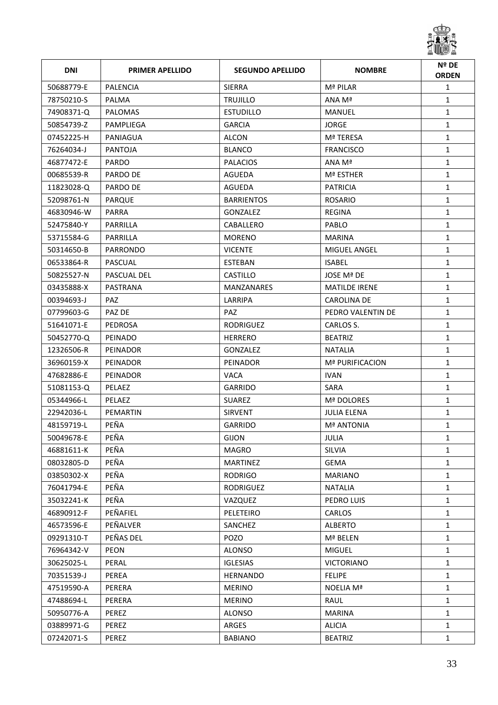

| <b>DNI</b> | <b>PRIMER APELLIDO</b> | <b>SEGUNDO APELLIDO</b> | <b>NOMBRE</b>        | Nº DE<br><b>ORDEN</b> |
|------------|------------------------|-------------------------|----------------------|-----------------------|
| 50688779-E | <b>PALENCIA</b>        | <b>SIERRA</b>           | Mª PILAR             | $\mathbf{1}$          |
| 78750210-S | PALMA                  | <b>TRUJILLO</b>         | ANA Mª               | $\mathbf{1}$          |
| 74908371-Q | <b>PALOMAS</b>         | <b>ESTUDILLO</b>        | MANUEL               | $\mathbf{1}$          |
| 50854739-Z | PAMPLIEGA              | <b>GARCIA</b>           | <b>JORGE</b>         | $\mathbf{1}$          |
| 07452225-H | PANIAGUA               | ALCON                   | Mª TERESA            | $\mathbf{1}$          |
| 76264034-J | PANTOJA                | <b>BLANCO</b>           | <b>FRANCISCO</b>     | $\mathbf{1}$          |
| 46877472-E | <b>PARDO</b>           | <b>PALACIOS</b>         | ANA Mª               | $\mathbf{1}$          |
| 00685539-R | PARDO DE               | AGUEDA                  | Mª ESTHER            | $\mathbf{1}$          |
| 11823028-Q | PARDO DE               | AGUEDA                  | <b>PATRICIA</b>      | $\mathbf{1}$          |
| 52098761-N | PARQUE                 | <b>BARRIENTOS</b>       | ROSARIO              | $\mathbf{1}$          |
| 46830946-W | PARRA                  | <b>GONZALEZ</b>         | REGINA               | $\mathbf{1}$          |
| 52475840-Y | PARRILLA               | CABALLERO               | <b>PABLO</b>         | $\mathbf{1}$          |
| 53715584-G | PARRILLA               | <b>MORENO</b>           | <b>MARINA</b>        | $\mathbf{1}$          |
| 50314650-B | PARRONDO               | <b>VICENTE</b>          | <b>MIGUEL ANGEL</b>  | $\mathbf{1}$          |
| 06533864-R | PASCUAL                | ESTEBAN                 | <b>ISABEL</b>        | $\mathbf{1}$          |
| 50825527-N | PASCUAL DEL            | <b>CASTILLO</b>         | JOSE Mª DE           | $\mathbf{1}$          |
| 03435888-X | PASTRANA               | <b>MANZANARES</b>       | <b>MATILDE IRENE</b> | $\mathbf{1}$          |
| 00394693-J | <b>PAZ</b>             | LARRIPA                 | <b>CAROLINA DE</b>   | $\mathbf{1}$          |
| 07799603-G | PAZ DE                 | PAZ.                    | PEDRO VALENTIN DE    | $\mathbf{1}$          |
| 51641071-E | PEDROSA                | <b>RODRIGUEZ</b>        | CARLOS S.            | $\mathbf{1}$          |
| 50452770-Q | <b>PEINADO</b>         | <b>HERRERO</b>          | <b>BEATRIZ</b>       | $\mathbf{1}$          |
| 12326506-R | PEINADOR               | <b>GONZALEZ</b>         | <b>NATALIA</b>       | $\mathbf{1}$          |
| 36960159-X | PEINADOR               | PEINADOR                | Mª PURIFICACION      | $\mathbf{1}$          |
| 47682886-E | PEINADOR               | <b>VACA</b>             | <b>IVAN</b>          | $\mathbf{1}$          |
| 51081153-Q | PELAEZ                 | <b>GARRIDO</b>          | SARA                 | $\mathbf{1}$          |
| 05344966-L | PELAEZ                 | <b>SUAREZ</b>           | Mª DOLORES           | $\mathbf{1}$          |
| 22942036-L | <b>PEMARTIN</b>        | <b>SIRVENT</b>          | <b>JULIA ELENA</b>   | $\mathbf{1}$          |
| 48159719-L | PEÑA                   | <b>GARRIDO</b>          | <b>Mª ANTONIA</b>    | $\mathbf{1}$          |
| 50049678-E | PEÑA                   | gijon                   | JULIA                | 1                     |
| 46881611-K | PEÑA                   | <b>MAGRO</b>            | SILVIA               | $\mathbf{1}$          |
| 08032805-D | PEÑA                   | <b>MARTINEZ</b>         | <b>GEMA</b>          | $\mathbf{1}$          |
| 03850302-X | PEÑA                   | <b>RODRIGO</b>          | <b>MARIANO</b>       | $\mathbf{1}$          |
| 76041794-E | PEÑA                   | <b>RODRIGUEZ</b>        | <b>NATALIA</b>       | $\mathbf{1}$          |
| 35032241-K | PEÑA                   | VAZQUEZ                 | PEDRO LUIS           | $\mathbf{1}$          |
| 46890912-F | PEÑAFIEL               | PELETEIRO               | <b>CARLOS</b>        | $\mathbf{1}$          |
| 46573596-E | PEÑALVER               | SANCHEZ                 | <b>ALBERTO</b>       | $\mathbf{1}$          |
| 09291310-T | PEÑAS DEL              | POZO                    | Mª BELEN             | $\mathbf{1}$          |
| 76964342-V | PEON                   | <b>ALONSO</b>           | <b>MIGUEL</b>        | $\mathbf{1}$          |
| 30625025-L | PERAL                  | <b>IGLESIAS</b>         | <b>VICTORIANO</b>    | $\mathbf{1}$          |
| 70351539-J | PEREA                  | HERNANDO                | <b>FELIPE</b>        | $\mathbf{1}$          |
| 47519590-A | PERERA                 | <b>MERINO</b>           | <b>NOELIA Mª</b>     | $\mathbf{1}$          |
| 47488694-L | PERERA                 | <b>MERINO</b>           | RAUL                 | $\mathbf{1}$          |
| 50950776-A | PEREZ                  | <b>ALONSO</b>           | <b>MARINA</b>        | $\mathbf{1}$          |
| 03889971-G | PEREZ                  | ARGES                   | <b>ALICIA</b>        | $\mathbf{1}$          |
| 07242071-S | PEREZ                  | <b>BABIANO</b>          | <b>BEATRIZ</b>       | $\mathbf{1}$          |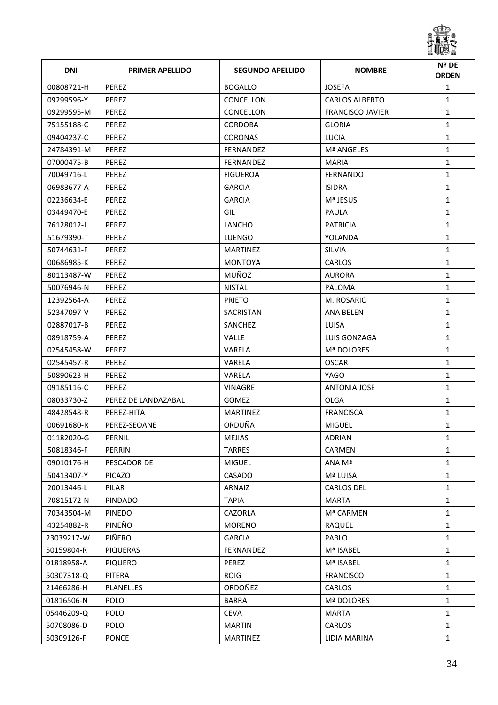

| <b>DNI</b> | <b>PRIMER APELLIDO</b> | <b>SEGUNDO APELLIDO</b> | <b>NOMBRE</b>           | Nº DE<br><b>ORDEN</b> |
|------------|------------------------|-------------------------|-------------------------|-----------------------|
| 00808721-H | PEREZ                  | <b>BOGALLO</b>          | <b>JOSEFA</b>           | $\mathbf{1}$          |
| 09299596-Y | PEREZ                  | CONCELLON               | <b>CARLOS ALBERTO</b>   | $\mathbf{1}$          |
| 09299595-M | <b>PEREZ</b>           | CONCELLON               | <b>FRANCISCO JAVIER</b> | $\mathbf{1}$          |
| 75155188-C | PEREZ                  | <b>CORDOBA</b>          | <b>GLORIA</b>           | $\mathbf{1}$          |
| 09404237-C | PEREZ                  | <b>CORONAS</b>          | <b>LUCIA</b>            | $\mathbf{1}$          |
| 24784391-M | PEREZ                  | <b>FERNANDEZ</b>        | Mª ANGELES              | $\mathbf{1}$          |
| 07000475-B | <b>PEREZ</b>           | <b>FERNANDEZ</b>        | <b>MARIA</b>            | $\mathbf{1}$          |
| 70049716-L | PEREZ                  | <b>FIGUEROA</b>         | <b>FERNANDO</b>         | $\mathbf{1}$          |
| 06983677-A | PEREZ                  | <b>GARCIA</b>           | <b>ISIDRA</b>           | $\mathbf{1}$          |
| 02236634-E | PEREZ                  | <b>GARCIA</b>           | Mª JESUS                | $\mathbf{1}$          |
| 03449470-E | PEREZ                  | GIL                     | PAULA                   | $\mathbf{1}$          |
| 76128012-J | PEREZ                  | LANCHO                  | <b>PATRICIA</b>         | $\mathbf{1}$          |
| 51679390-T | PEREZ                  | <b>LUENGO</b>           | YOLANDA                 | $\mathbf{1}$          |
| 50744631-F | PEREZ                  | <b>MARTINEZ</b>         | <b>SILVIA</b>           | $\mathbf{1}$          |
| 00686985-K | <b>PEREZ</b>           | <b>MONTOYA</b>          | <b>CARLOS</b>           | $\mathbf{1}$          |
| 80113487-W | PEREZ                  | MUÑOZ                   | <b>AURORA</b>           | $\mathbf{1}$          |
| 50076946-N | PEREZ                  | <b>NISTAL</b>           | PALOMA                  | $\mathbf{1}$          |
| 12392564-A | PEREZ                  | <b>PRIETO</b>           | M. ROSARIO              | $\mathbf{1}$          |
| 52347097-V | PEREZ                  | <b>SACRISTAN</b>        | ANA BELEN               | $\mathbf{1}$          |
| 02887017-B | PEREZ                  | SANCHEZ                 | <b>LUISA</b>            | $\mathbf{1}$          |
| 08918759-A | <b>PEREZ</b>           | <b>VALLE</b>            | LUIS GONZAGA            | $\mathbf{1}$          |
| 02545458-W | PEREZ                  | VARELA                  | Mª DOLORES              | $\mathbf{1}$          |
| 02545457-R | <b>PEREZ</b>           | VARELA                  | <b>OSCAR</b>            | $\mathbf{1}$          |
| 50890623-H | PEREZ                  | VARELA                  | YAGO                    | $\mathbf{1}$          |
| 09185116-C | <b>PEREZ</b>           | VINAGRE                 | <b>ANTONIA JOSE</b>     | $\mathbf{1}$          |
| 08033730-Z | PEREZ DE LANDAZABAL    | <b>GOMEZ</b>            | <b>OLGA</b>             | $\mathbf{1}$          |
| 48428548-R | PEREZ-HITA             | <b>MARTINEZ</b>         | <b>FRANCISCA</b>        | $\mathbf{1}$          |
| 00691680-R | PEREZ-SEOANE           | ORDUÑA                  | <b>MIGUEL</b>           | $\mathbf{1}$          |
| 01182020-G | PERNIL                 | <b>MEJIAS</b>           | ADRIAN                  | 1                     |
| 50818346-F | PERRIN                 | <b>TARRES</b>           | CARMEN                  | $\mathbf{1}$          |
| 09010176-H | PESCADOR DE            | <b>MIGUEL</b>           | ANA Mª                  | $\mathbf{1}$          |
| 50413407-Y | <b>PICAZO</b>          | CASADO                  | Mª LUISA                | $\mathbf{1}$          |
| 20013446-L | PILAR                  | ARNAIZ                  | <b>CARLOS DEL</b>       | $\mathbf{1}$          |
| 70815172-N | <b>PINDADO</b>         | <b>TAPIA</b>            | <b>MARTA</b>            | $\mathbf{1}$          |
| 70343504-M | <b>PINEDO</b>          | CAZORLA                 | Mª CARMEN               | $\mathbf{1}$          |
| 43254882-R | PINEÑO                 | <b>MORENO</b>           | <b>RAQUEL</b>           | $\mathbf{1}$          |
| 23039217-W | PIÑERO                 | <b>GARCIA</b>           | PABLO                   | $\mathbf{1}$          |
| 50159804-R | PIQUERAS               | FERNANDEZ               | Mª ISABEL               | $\mathbf{1}$          |
| 01818958-A | <b>PIQUERO</b>         | PEREZ                   | Mª ISABEL               | $\mathbf{1}$          |
| 50307318-Q | PITERA                 | <b>ROIG</b>             | <b>FRANCISCO</b>        | $\mathbf{1}$          |
| 21466286-H | <b>PLANELLES</b>       | ORDOÑEZ                 | CARLOS                  | $\mathbf{1}$          |
| 01816506-N | <b>POLO</b>            | <b>BARRA</b>            | Mª DOLORES              | $\mathbf{1}$          |
| 05446209-Q | <b>POLO</b>            | <b>CEVA</b>             | <b>MARTA</b>            | $\mathbf{1}$          |
| 50708086-D | <b>POLO</b>            | <b>MARTIN</b>           | CARLOS                  | $\mathbf{1}$          |
| 50309126-F | <b>PONCE</b>           | <b>MARTINEZ</b>         | LIDIA MARINA            | $\mathbf{1}$          |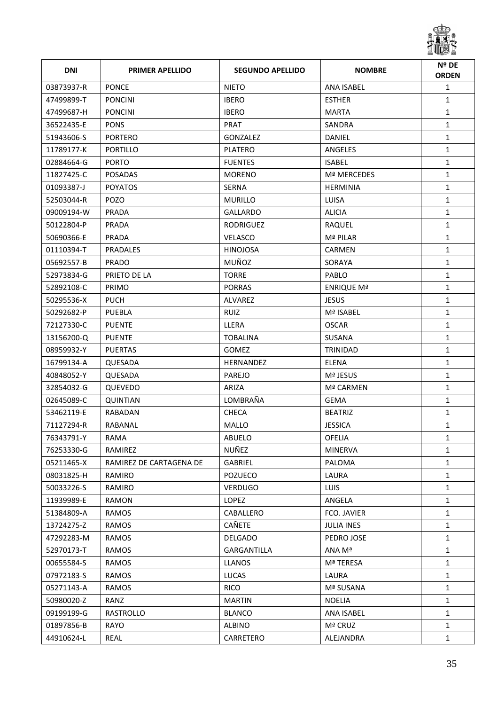

| <b>DNI</b> | <b>PRIMER APELLIDO</b>  | <b>SEGUNDO APELLIDO</b> | <b>NOMBRE</b>      | Nº DE<br><b>ORDEN</b> |
|------------|-------------------------|-------------------------|--------------------|-----------------------|
| 03873937-R | <b>PONCE</b>            | <b>NIETO</b>            | <b>ANA ISABEL</b>  | $\mathbf{1}$          |
| 47499899-T | <b>PONCINI</b>          | <b>IBERO</b>            | <b>ESTHER</b>      | $\mathbf{1}$          |
| 47499687-H | <b>PONCINI</b>          | <b>IBERO</b>            | MARTA              | $\mathbf{1}$          |
| 36522435-E | <b>PONS</b>             | <b>PRAT</b>             | SANDRA             | $\mathbf{1}$          |
| 51943606-S | <b>PORTERO</b>          | GONZALEZ                | DANIEL             | $\mathbf{1}$          |
| 11789177-K | PORTILLO                | PLATERO                 | ANGELES            | $\mathbf{1}$          |
| 02884664-G | <b>PORTO</b>            | <b>FUENTES</b>          | <b>ISABEL</b>      | $\mathbf{1}$          |
| 11827425-C | <b>POSADAS</b>          | <b>MORENO</b>           | <b>Mª MERCEDES</b> | $\mathbf{1}$          |
| 01093387-J | <b>POYATOS</b>          | SERNA                   | <b>HERMINIA</b>    | $\mathbf{1}$          |
| 52503044-R | <b>POZO</b>             | <b>MURILLO</b>          | LUISA              | $\mathbf{1}$          |
| 09009194-W | <b>PRADA</b>            | GALLARDO                | <b>ALICIA</b>      | $\mathbf{1}$          |
| 50122804-P | PRADA                   | RODRIGUEZ               | RAQUEL             | $\mathbf{1}$          |
| 50690366-E | <b>PRADA</b>            | <b>VELASCO</b>          | Mª PILAR           | $\mathbf{1}$          |
| 01110394-T | <b>PRADALES</b>         | <b>HINOJOSA</b>         | CARMEN             | $\mathbf{1}$          |
| 05692557-B | <b>PRADO</b>            | MUÑOZ                   | SORAYA             | $\mathbf{1}$          |
| 52973834-G | PRIETO DE LA            | <b>TORRE</b>            | <b>PABLO</b>       | $\mathbf{1}$          |
| 52892108-C | <b>PRIMO</b>            | <b>PORRAS</b>           | <b>ENRIQUE Mª</b>  | $\mathbf{1}$          |
| 50295536-X | <b>PUCH</b>             | ALVAREZ                 | <b>JESUS</b>       | $\mathbf{1}$          |
| 50292682-P | PUEBLA                  | <b>RUIZ</b>             | Mª ISABEL          | $\mathbf{1}$          |
| 72127330-C | <b>PUENTE</b>           | LLERA                   | OSCAR              | $\mathbf{1}$          |
| 13156200-Q | <b>PUENTE</b>           | <b>TOBALINA</b>         | SUSANA             | $\mathbf{1}$          |
| 08959932-Y | <b>PUERTAS</b>          | <b>GOMEZ</b>            | TRINIDAD           | $\mathbf{1}$          |
| 16799134-A | QUESADA                 | <b>HERNANDEZ</b>        | <b>ELENA</b>       | $\mathbf{1}$          |
| 40848052-Y | <b>QUESADA</b>          | PAREJO                  | Mª JESUS           | $\mathbf{1}$          |
| 32854032-G | QUEVEDO                 | ARIZA                   | Mª CARMEN          | $\mathbf{1}$          |
| 02645089-C | <b>QUINTIAN</b>         | LOMBRAÑA                | <b>GEMA</b>        | $\mathbf{1}$          |
| 53462119-E | RABADAN                 | <b>CHECA</b>            | <b>BEATRIZ</b>     | $\mathbf{1}$          |
| 71127294-R | RABANAL                 | <b>MALLO</b>            | <b>JESSICA</b>     | $\mathbf{1}$          |
| 76343791-Y | RAMA                    | ABUELO                  | OFELIA             | 1                     |
| 76253330-G | RAMIREZ                 | NUÑEZ                   | <b>MINERVA</b>     | $\mathbf{1}$          |
| 05211465-X | RAMIREZ DE CARTAGENA DE | GABRIEL                 | PALOMA             | $\mathbf{1}$          |
| 08031825-H | RAMIRO                  | POZUECO                 | LAURA              | $\mathbf{1}$          |
| 50033226-S | RAMIRO                  | <b>VERDUGO</b>          | <b>LUIS</b>        | $\mathbf{1}$          |
| 11939989-E | RAMON                   | LOPEZ                   | ANGELA             | $\mathbf{1}$          |
| 51384809-A | RAMOS                   | CABALLERO               | FCO. JAVIER        | $\mathbf{1}$          |
| 13724275-Z | <b>RAMOS</b>            | CAÑETE                  | <b>JULIA INES</b>  | $\mathbf{1}$          |
| 47292283-M | <b>RAMOS</b>            | <b>DELGADO</b>          | PEDRO JOSE         | $\mathbf{1}$          |
| 52970173-T | RAMOS                   | GARGANTILLA             | ANA Mª             | $\mathbf{1}$          |
| 00655584-S | RAMOS                   | <b>LLANOS</b>           | Mª TERESA          | $\mathbf{1}$          |
| 07972183-S | RAMOS                   | LUCAS                   | LAURA              | $\mathbf{1}$          |
| 05271143-A | RAMOS                   | <b>RICO</b>             | Mª SUSANA          | $\mathbf{1}$          |
| 50980020-Z | RANZ                    | <b>MARTIN</b>           | <b>NOELIA</b>      | $\mathbf{1}$          |
| 09199199-G | RASTROLLO               | <b>BLANCO</b>           | ANA ISABEL         | $\mathbf{1}$          |
| 01897856-B | RAYO                    | <b>ALBINO</b>           | Mª CRUZ            | $\mathbf{1}$          |
| 44910624-L | REAL                    | CARRETERO               | ALEJANDRA          | $\mathbf{1}$          |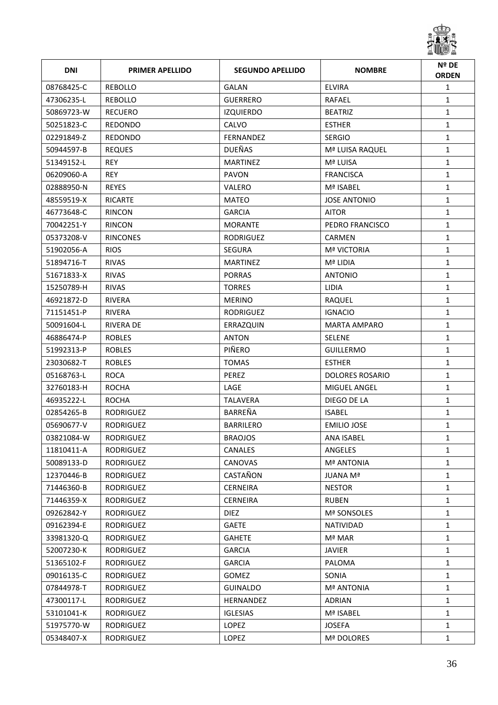

| <b>DNI</b> | <b>PRIMER APELLIDO</b> | <b>SEGUNDO APELLIDO</b> | <b>NOMBRE</b>          | Nº DE<br><b>ORDEN</b> |
|------------|------------------------|-------------------------|------------------------|-----------------------|
| 08768425-C | <b>REBOLLO</b>         | <b>GALAN</b>            | <b>ELVIRA</b>          | $\mathbf{1}$          |
| 47306235-L | REBOLLO                | <b>GUERRERO</b>         | RAFAEL                 | $\mathbf{1}$          |
| 50869723-W | <b>RECUERO</b>         | <b>IZQUIERDO</b>        | <b>BEATRIZ</b>         | $\mathbf{1}$          |
| 50251823-C | REDONDO                | CALVO                   | <b>ESTHER</b>          | $\mathbf{1}$          |
| 02291849-Z | <b>REDONDO</b>         | FERNANDEZ               | <b>SERGIO</b>          | $\mathbf{1}$          |
| 50944597-B | <b>REQUES</b>          | <b>DUEÑAS</b>           | Mª LUISA RAQUEL        | $\mathbf{1}$          |
| 51349152-L | <b>REY</b>             | <b>MARTINEZ</b>         | Mª LUISA               | $\mathbf{1}$          |
| 06209060-A | <b>REY</b>             | PAVON                   | <b>FRANCISCA</b>       | $\mathbf{1}$          |
| 02888950-N | <b>REYES</b>           | VALERO                  | Mª ISABEL              | $\mathbf{1}$          |
| 48559519-X | <b>RICARTE</b>         | <b>MATEO</b>            | <b>JOSE ANTONIO</b>    | $\mathbf{1}$          |
| 46773648-C | <b>RINCON</b>          | <b>GARCIA</b>           | <b>AITOR</b>           | $\mathbf{1}$          |
| 70042251-Y | <b>RINCON</b>          | <b>MORANTE</b>          | PEDRO FRANCISCO        | $\mathbf{1}$          |
| 05373208-V | <b>RINCONES</b>        | <b>RODRIGUEZ</b>        | <b>CARMEN</b>          | $\mathbf{1}$          |
| 51902056-A | <b>RIOS</b>            | <b>SEGURA</b>           | <b>Mª VICTORIA</b>     | $\mathbf{1}$          |
| 51894716-T | <b>RIVAS</b>           | <b>MARTINEZ</b>         | Mª LIDIA               | $\mathbf{1}$          |
| 51671833-X | <b>RIVAS</b>           | <b>PORRAS</b>           | <b>ANTONIO</b>         | $\mathbf{1}$          |
| 15250789-H | <b>RIVAS</b>           | <b>TORRES</b>           | <b>LIDIA</b>           | $\mathbf{1}$          |
| 46921872-D | <b>RIVERA</b>          | <b>MERINO</b>           | <b>RAQUEL</b>          | $\mathbf{1}$          |
| 71151451-P | <b>RIVERA</b>          | <b>RODRIGUEZ</b>        | <b>IGNACIO</b>         | $\mathbf{1}$          |
| 50091604-L | <b>RIVERA DE</b>       | ERRAZQUIN               | <b>MARTA AMPARO</b>    | $\mathbf{1}$          |
| 46886474-P | <b>ROBLES</b>          | <b>ANTON</b>            | <b>SELENE</b>          | $\mathbf{1}$          |
| 51992313-P | <b>ROBLES</b>          | PIÑERO                  | <b>GUILLERMO</b>       | $\mathbf{1}$          |
| 23030682-T | <b>ROBLES</b>          | <b>TOMAS</b>            | <b>ESTHER</b>          | $\mathbf{1}$          |
| 05168763-L | <b>ROCA</b>            | PEREZ                   | <b>DOLORES ROSARIO</b> | $\mathbf{1}$          |
| 32760183-H | <b>ROCHA</b>           | LAGE                    | <b>MIGUEL ANGEL</b>    | $\mathbf{1}$          |
| 46935222-L | <b>ROCHA</b>           | <b>TALAVERA</b>         | DIEGO DE LA            | $\mathbf{1}$          |
| 02854265-B | <b>RODRIGUEZ</b>       | BARREÑA                 | <b>ISABEL</b>          | $\mathbf{1}$          |
| 05690677-V | <b>RODRIGUEZ</b>       | <b>BARRILERO</b>        | <b>EMILIO JOSE</b>     | 1                     |
| 03821084-W | <b>RODRIGUEZ</b>       | <b>BRAOJOS</b>          | ANA ISABEL             | 1                     |
| 11810411-A | <b>RODRIGUEZ</b>       | <b>CANALES</b>          | ANGELES                | $\mathbf{1}$          |
| 50089133-D | <b>RODRIGUEZ</b>       | CANOVAS                 | <b>Mª ANTONIA</b>      | $\mathbf{1}$          |
| 12370446-B | RODRIGUEZ              | CASTAÑON                | JUANA Mª               | $\mathbf{1}$          |
| 71446360-B | RODRIGUEZ              | <b>CERNEIRA</b>         | <b>NESTOR</b>          | $\mathbf{1}$          |
| 71446359-X | RODRIGUEZ              | <b>CERNEIRA</b>         | <b>RUBEN</b>           | $\mathbf{1}$          |
| 09262842-Y | RODRIGUEZ              | <b>DIEZ</b>             | Mª SONSOLES            | $\mathbf{1}$          |
| 09162394-E | RODRIGUEZ              | <b>GAETE</b>            | NATIVIDAD              | $\mathbf{1}$          |
| 33981320-Q | RODRIGUEZ              | <b>GAHETE</b>           | Mª MAR                 | $\mathbf{1}$          |
| 52007230-K | RODRIGUEZ              | <b>GARCIA</b>           | <b>JAVIER</b>          | $\mathbf{1}$          |
| 51365102-F | RODRIGUEZ              | <b>GARCIA</b>           | PALOMA                 | $\mathbf{1}$          |
| 09016135-C | RODRIGUEZ              | GOMEZ                   | SONIA                  | $\mathbf{1}$          |
| 07844978-T | RODRIGUEZ              | <b>GUINALDO</b>         | <b>Mª ANTONIA</b>      | $\mathbf{1}$          |
| 47300117-L | RODRIGUEZ              | HERNANDEZ               | <b>ADRIAN</b>          | $\mathbf{1}$          |
| 53101041-K | RODRIGUEZ              | <b>IGLESIAS</b>         | Mª ISABEL              | $\mathbf{1}$          |
| 51975770-W | RODRIGUEZ              | LOPEZ                   | <b>JOSEFA</b>          | $\mathbf{1}$          |
| 05348407-X | RODRIGUEZ              | LOPEZ                   | Mª DOLORES             | $\mathbf{1}$          |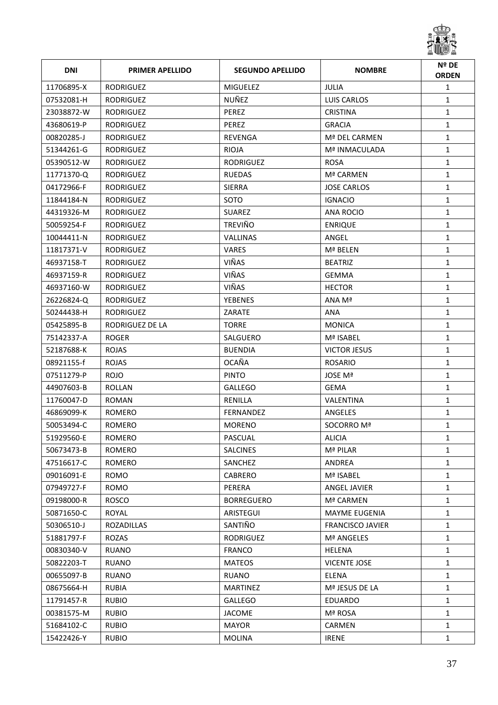

| <b>DNI</b> | <b>PRIMER APELLIDO</b> | <b>SEGUNDO APELLIDO</b> | <b>NOMBRE</b>           | Nº DE<br><b>ORDEN</b> |
|------------|------------------------|-------------------------|-------------------------|-----------------------|
| 11706895-X | <b>RODRIGUEZ</b>       | <b>MIGUELEZ</b>         | <b>JULIA</b>            | $\mathbf{1}$          |
| 07532081-H | RODRIGUEZ              | NUÑEZ                   | LUIS CARLOS             | $\mathbf{1}$          |
| 23038872-W | <b>RODRIGUEZ</b>       | <b>PEREZ</b>            | <b>CRISTINA</b>         | $\mathbf{1}$          |
| 43680619-P | <b>RODRIGUEZ</b>       | PEREZ                   | <b>GRACIA</b>           | $\mathbf{1}$          |
| 00820285-J | RODRIGUEZ              | REVENGA                 | Mª DEL CARMEN           | $\mathbf{1}$          |
| 51344261-G | RODRIGUEZ              | <b>RIOJA</b>            | Mª INMACULADA           | $\mathbf{1}$          |
| 05390512-W | <b>RODRIGUEZ</b>       | <b>RODRIGUEZ</b>        | <b>ROSA</b>             | $\mathbf{1}$          |
| 11771370-Q | <b>RODRIGUEZ</b>       | RUEDAS                  | Mª CARMEN               | $\mathbf{1}$          |
| 04172966-F | <b>RODRIGUEZ</b>       | SIERRA                  | <b>JOSE CARLOS</b>      | $\mathbf{1}$          |
| 11844184-N | <b>RODRIGUEZ</b>       | SOTO                    | <b>IGNACIO</b>          | $\mathbf{1}$          |
| 44319326-M | <b>RODRIGUEZ</b>       | <b>SUAREZ</b>           | ANA ROCIO               | $\mathbf{1}$          |
| 50059254-F | <b>RODRIGUEZ</b>       | <b>TREVIÑO</b>          | <b>ENRIQUE</b>          | $\mathbf{1}$          |
| 10044411-N | <b>RODRIGUEZ</b>       | VALLINAS                | ANGEL                   | $\mathbf{1}$          |
| 11817371-V | <b>RODRIGUEZ</b>       | <b>VARES</b>            | Mª BELEN                | $\mathbf{1}$          |
| 46937158-T | <b>RODRIGUEZ</b>       | VIÑAS                   | <b>BEATRIZ</b>          | $\mathbf{1}$          |
| 46937159-R | <b>RODRIGUEZ</b>       | VIÑAS                   | <b>GEMMA</b>            | $\mathbf{1}$          |
| 46937160-W | <b>RODRIGUEZ</b>       | VIÑAS                   | <b>HECTOR</b>           | $\mathbf{1}$          |
| 26226824-Q | <b>RODRIGUEZ</b>       | <b>YEBENES</b>          | ANA Mª                  | $\mathbf{1}$          |
| 50244438-H | <b>RODRIGUEZ</b>       | ZARATE                  | ANA                     | $\mathbf{1}$          |
| 05425895-B | RODRIGUEZ DE LA        | <b>TORRE</b>            | <b>MONICA</b>           | $\mathbf{1}$          |
| 75142337-A | <b>ROGER</b>           | SALGUERO                | Mª ISABEL               | $\mathbf{1}$          |
| 52187688-K | <b>ROJAS</b>           | <b>BUENDIA</b>          | <b>VICTOR JESUS</b>     | $\mathbf{1}$          |
| 08921155-f | <b>ROJAS</b>           | OCAÑA                   | <b>ROSARIO</b>          | $\mathbf{1}$          |
| 07511279-P | <b>ROJO</b>            | <b>PINTO</b>            | JOSE Mª                 | $\mathbf{1}$          |
| 44907603-B | <b>ROLLAN</b>          | <b>GALLEGO</b>          | GEMA                    | $\mathbf{1}$          |
| 11760047-D | <b>ROMAN</b>           | RENILLA                 | <b>VALENTINA</b>        | 1                     |
| 46869099-K | <b>ROMERO</b>          | <b>FERNANDEZ</b>        | ANGELES                 | $\mathbf{1}$          |
| 50053494-C | ROMERO                 | <b>MORENO</b>           | SOCORRO Mª              | $\mathbf{1}$          |
| 51929560-E | ROMERO                 | PASCUAL                 | ALICIA                  | 1                     |
| 50673473-B | ROMERO                 | <b>SALCINES</b>         | Mª PILAR                | $\mathbf{1}$          |
| 47516617-C | ROMERO                 | SANCHEZ                 | ANDREA                  | $\mathbf{1}$          |
| 09016091-E | <b>ROMO</b>            | <b>CABRERO</b>          | Mª ISABEL               | $\mathbf{1}$          |
| 07949727-F | <b>ROMO</b>            | PERERA                  | ANGEL JAVIER            | $\mathbf{1}$          |
| 09198000-R | <b>ROSCO</b>           | <b>BORREGUERO</b>       | Mª CARMEN               | $\mathbf{1}$          |
| 50871650-C | ROYAL                  | ARISTEGUI               | <b>MAYME EUGENIA</b>    | $\mathbf{1}$          |
| 50306510-J | ROZADILLAS             | SANTIÑO                 | <b>FRANCISCO JAVIER</b> | $\mathbf{1}$          |
| 51881797-F | ROZAS                  | RODRIGUEZ               | Mª ANGELES              | $\mathbf{1}$          |
| 00830340-V | <b>RUANO</b>           | <b>FRANCO</b>           | <b>HELENA</b>           | $\mathbf{1}$          |
| 50822203-T | <b>RUANO</b>           | <b>MATEOS</b>           | <b>VICENTE JOSE</b>     | $\mathbf{1}$          |
| 00655097-B | <b>RUANO</b>           | <b>RUANO</b>            | <b>ELENA</b>            | $\mathbf{1}$          |
| 08675664-H | <b>RUBIA</b>           | <b>MARTINEZ</b>         | Mª JESUS DE LA          | $\mathbf{1}$          |
| 11791457-R | <b>RUBIO</b>           | <b>GALLEGO</b>          | EDUARDO                 | $\mathbf{1}$          |
| 00381575-M | <b>RUBIO</b>           | <b>JACOME</b>           | Mª ROSA                 | $\mathbf{1}$          |
| 51684102-C | <b>RUBIO</b>           | <b>MAYOR</b>            | CARMEN                  | $\mathbf{1}$          |
| 15422426-Y | <b>RUBIO</b>           | MOLINA                  | <b>IRENE</b>            | $\mathbf{1}$          |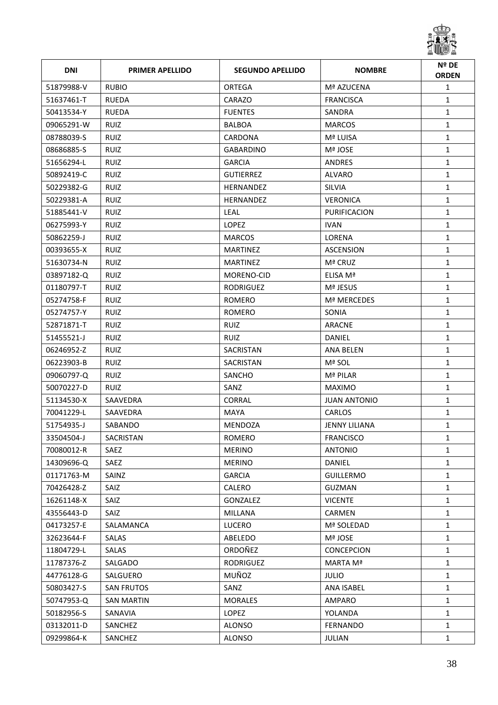

| <b>DNI</b> | <b>PRIMER APELLIDO</b> | <b>SEGUNDO APELLIDO</b> | <b>NOMBRE</b>        | Nº DE<br><b>ORDEN</b> |
|------------|------------------------|-------------------------|----------------------|-----------------------|
| 51879988-V | <b>RUBIO</b>           | ORTEGA                  | Mª AZUCENA           | $\mathbf{1}$          |
| 51637461-T | <b>RUEDA</b>           | CARAZO                  | <b>FRANCISCA</b>     | $\mathbf{1}$          |
| 50413534-Y | <b>RUEDA</b>           | <b>FUENTES</b>          | SANDRA               | $\mathbf{1}$          |
| 09065291-W | <b>RUIZ</b>            | <b>BALBOA</b>           | <b>MARCOS</b>        | $\mathbf{1}$          |
| 08788039-S | <b>RUIZ</b>            | CARDONA                 | Mª LUISA             | $\mathbf{1}$          |
| 08686885-S | <b>RUIZ</b>            | <b>GABARDINO</b>        | Mª JOSE              | $\mathbf{1}$          |
| 51656294-L | <b>RUIZ</b>            | <b>GARCIA</b>           | <b>ANDRES</b>        | $\mathbf{1}$          |
| 50892419-C | <b>RUIZ</b>            | <b>GUTIERREZ</b>        | <b>ALVARO</b>        | $\mathbf{1}$          |
| 50229382-G | <b>RUIZ</b>            | HERNANDEZ               | <b>SILVIA</b>        | $\mathbf{1}$          |
| 50229381-A | <b>RUIZ</b>            | HERNANDEZ               | <b>VERONICA</b>      | $\mathbf{1}$          |
| 51885441-V | <b>RUIZ</b>            | LEAL                    | PURIFICACION         | $\mathbf{1}$          |
| 06275993-Y | <b>RUIZ</b>            | <b>LOPEZ</b>            | <b>IVAN</b>          | $\mathbf{1}$          |
| 50862259-J | <b>RUIZ</b>            | <b>MARCOS</b>           | <b>LORENA</b>        | $\mathbf{1}$          |
| 00393655-X | <b>RUIZ</b>            | <b>MARTINEZ</b>         | <b>ASCENSION</b>     | $\mathbf{1}$          |
| 51630734-N | <b>RUIZ</b>            | <b>MARTINEZ</b>         | Mª CRUZ              | $\mathbf{1}$          |
| 03897182-Q | <b>RUIZ</b>            | MORENO-CID              | ELISA Mª             | $\mathbf{1}$          |
| 01180797-T | <b>RUIZ</b>            | <b>RODRIGUEZ</b>        | Mª JESUS             | $\mathbf{1}$          |
| 05274758-F | <b>RUIZ</b>            | ROMERO                  | Mª MERCEDES          | $\mathbf{1}$          |
| 05274757-Y | <b>RUIZ</b>            | ROMERO                  | SONIA                | $\mathbf{1}$          |
| 52871871-T | <b>RUIZ</b>            | <b>RUIZ</b>             | ARACNE               | $\mathbf{1}$          |
| 51455521-J | <b>RUIZ</b>            | RUIZ                    | DANIEL               | $\mathbf{1}$          |
| 06246952-Z | <b>RUIZ</b>            | <b>SACRISTAN</b>        | ANA BELEN            | $\mathbf{1}$          |
| 06223903-B | <b>RUIZ</b>            | SACRISTAN               | Mª SOL               | $\mathbf{1}$          |
| 09060797-Q | <b>RUIZ</b>            | SANCHO                  | Mª PILAR             | $\mathbf{1}$          |
| 50070227-D | <b>RUIZ</b>            | SANZ                    | <b>MAXIMO</b>        | $\mathbf{1}$          |
| 51134530-X | SAAVEDRA               | <b>CORRAL</b>           | <b>JUAN ANTONIO</b>  | $\mathbf{1}$          |
| 70041229-L | SAAVEDRA               | MAYA                    | <b>CARLOS</b>        | $\mathbf{1}$          |
| 51754935-J | SABANDO                | <b>MENDOZA</b>          | <b>JENNY LILIANA</b> | $\mathbf{1}$          |
| 33504504-J | SACRISTAN              | ROMERO                  | <b>FRANCISCO</b>     | 1                     |
| 70080012-R | SAEZ                   | <b>MERINO</b>           | <b>ANTONIO</b>       | $\mathbf{1}$          |
| 14309696-Q | SAEZ                   | <b>MERINO</b>           | DANIEL               | $\mathbf{1}$          |
| 01171763-M | SAINZ                  | <b>GARCIA</b>           | <b>GUILLERMO</b>     | $\mathbf{1}$          |
| 70426428-Z | <b>SAIZ</b>            | CALERO                  | <b>GUZMAN</b>        | $\mathbf{1}$          |
| 16261148-X | SAIZ                   | GONZALEZ                | <b>VICENTE</b>       | $\mathbf{1}$          |
| 43556443-D | <b>SAIZ</b>            | <b>MILLANA</b>          | CARMEN               | $\mathbf{1}$          |
| 04173257-E | SALAMANCA              | <b>LUCERO</b>           | Mª SOLEDAD           | $\mathbf{1}$          |
| 32623644-F | SALAS                  | ABELEDO                 | Mª JOSE              | $\mathbf{1}$          |
| 11804729-L | SALAS                  | ORDOÑEZ                 | <b>CONCEPCION</b>    | $\mathbf{1}$          |
| 11787376-Z | SALGADO                | RODRIGUEZ               | MARTA Mª             | $\mathbf{1}$          |
| 44776128-G | SALGUERO               | MUÑOZ                   | <b>JULIO</b>         | $\mathbf{1}$          |
| 50803427-S | SAN FRUTOS             | SANZ                    | ANA ISABEL           | $\mathbf{1}$          |
| 50747953-Q | <b>SAN MARTIN</b>      | <b>MORALES</b>          | AMPARO               | $\mathbf{1}$          |
| 50182956-S | SANAVIA                | LOPEZ                   | YOLANDA              | $\mathbf{1}$          |
| 03132011-D | SANCHEZ                | ALONSO                  | FERNANDO             | $\mathbf{1}$          |
| 09299864-K | SANCHEZ                | ALONSO                  | <b>JULIAN</b>        | $\mathbf{1}$          |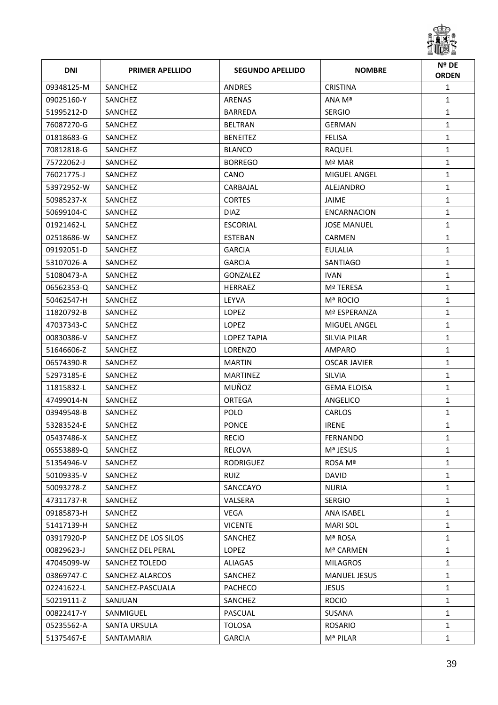

| <b>DNI</b> | <b>PRIMER APELLIDO</b> | <b>SEGUNDO APELLIDO</b> | <b>NOMBRE</b>       | Nº DE<br><b>ORDEN</b> |
|------------|------------------------|-------------------------|---------------------|-----------------------|
| 09348125-M | SANCHEZ                | <b>ANDRES</b>           | <b>CRISTINA</b>     | $\mathbf{1}$          |
| 09025160-Y | SANCHEZ                | ARENAS                  | ANA Mª              | $\mathbf{1}$          |
| 51995212-D | SANCHEZ                | <b>BARREDA</b>          | <b>SERGIO</b>       | $\mathbf{1}$          |
| 76087270-G | SANCHEZ                | <b>BELTRAN</b>          | GERMAN              | $\mathbf{1}$          |
| 01818683-G | SANCHEZ                | <b>BENEITEZ</b>         | <b>FELISA</b>       | $\mathbf{1}$          |
| 70812818-G | SANCHEZ                | <b>BLANCO</b>           | RAQUEL              | $\mathbf{1}$          |
| 75722062-J | SANCHEZ                | <b>BORREGO</b>          | Mª MAR              | $\mathbf{1}$          |
| 76021775-J | SANCHEZ                | CANO                    | MIGUEL ANGEL        | $\mathbf{1}$          |
| 53972952-W | SANCHEZ                | CARBAJAL                | ALEJANDRO           | $\mathbf{1}$          |
| 50985237-X | SANCHEZ                | <b>CORTES</b>           | JAIME               | $\mathbf{1}$          |
| 50699104-C | SANCHEZ                | <b>DIAZ</b>             | ENCARNACION         | $\mathbf{1}$          |
| 01921462-L | SANCHEZ                | <b>ESCORIAL</b>         | <b>JOSE MANUEL</b>  | $\mathbf{1}$          |
| 02518686-W | SANCHEZ                | <b>ESTEBAN</b>          | CARMEN              | $\mathbf{1}$          |
| 09192051-D | SANCHEZ                | <b>GARCIA</b>           | <b>EULALIA</b>      | $\mathbf{1}$          |
| 53107026-A | SANCHEZ                | <b>GARCIA</b>           | SANTIAGO            | $\mathbf{1}$          |
| 51080473-A | SANCHEZ                | <b>GONZALEZ</b>         | <b>IVAN</b>         | $\mathbf{1}$          |
| 06562353-Q | SANCHEZ                | <b>HERRAEZ</b>          | Mª TERESA           | $\mathbf{1}$          |
| 50462547-H | SANCHEZ                | LEYVA                   | Mª ROCIO            | $\mathbf{1}$          |
| 11820792-B | SANCHEZ                | <b>LOPEZ</b>            | Mª ESPERANZA        | $\mathbf{1}$          |
| 47037343-C | SANCHEZ                | <b>LOPEZ</b>            | <b>MIGUEL ANGEL</b> | $\mathbf{1}$          |
| 00830386-V | SANCHEZ                | LOPEZ TAPIA             | SILVIA PILAR        | $\mathbf{1}$          |
| 51646606-Z | SANCHEZ                | LORENZO                 | AMPARO              | $\mathbf{1}$          |
| 06574390-R | SANCHEZ                | <b>MARTIN</b>           | OSCAR JAVIER        | $\mathbf{1}$          |
| 52973185-E | SANCHEZ                | <b>MARTINEZ</b>         | <b>SILVIA</b>       | $\mathbf{1}$          |
| 11815832-L | SANCHEZ                | MUÑOZ                   | <b>GEMA ELOISA</b>  | $\mathbf{1}$          |
| 47499014-N | SANCHEZ                | ORTEGA                  | ANGELICO            | $\mathbf{1}$          |
| 03949548-B | SANCHEZ                | <b>POLO</b>             | <b>CARLOS</b>       | $\mathbf{1}$          |
| 53283524-E | SANCHEZ                | <b>PONCE</b>            | <b>IRENE</b>        | $\mathbf{1}$          |
| 05437486-X | SANCHEZ                | <b>RECIO</b>            | FERNANDO            | 1                     |
| 06553889-Q | SANCHEZ                | RELOVA                  | Mª JESUS            | $\mathbf{1}$          |
| 51354946-V | SANCHEZ                | <b>RODRIGUEZ</b>        | ROSA Mª             | $\mathbf{1}$          |
| 50109335-V | SANCHEZ                | RUIZ                    | <b>DAVID</b>        | $\mathbf{1}$          |
| 50093278-Z | SANCHEZ                | SANCCAYO                | <b>NURIA</b>        | $\mathbf{1}$          |
| 47311737-R | SANCHEZ                | VALSERA                 | <b>SERGIO</b>       | $\mathbf{1}$          |
| 09185873-H | SANCHEZ                | <b>VEGA</b>             | ANA ISABEL          | $\mathbf{1}$          |
| 51417139-H | SANCHEZ                | <b>VICENTE</b>          | <b>MARI SOL</b>     | $\mathbf{1}$          |
| 03917920-P | SANCHEZ DE LOS SILOS   | SANCHEZ                 | Mª ROSA             | 1                     |
| 00829623-J | SANCHEZ DEL PERAL      | LOPEZ                   | Mª CARMEN           | $\mathbf{1}$          |
| 47045099-W | SANCHEZ TOLEDO         | ALIAGAS                 | MILAGROS            | $\mathbf{1}$          |
| 03869747-C | SANCHEZ-ALARCOS        | SANCHEZ                 | <b>MANUEL JESUS</b> | $\mathbf{1}$          |
| 02241622-L | SANCHEZ-PASCUALA       | PACHECO                 | <b>JESUS</b>        | 1                     |
| 50219111-Z | SANJUAN                | SANCHEZ                 | <b>ROCIO</b>        | $\mathbf{1}$          |
| 00822417-Y | SANMIGUEL              | PASCUAL                 | SUSANA              | $\mathbf{1}$          |
| 05235562-A | SANTA URSULA           | <b>TOLOSA</b>           | <b>ROSARIO</b>      | $\mathbf{1}$          |
| 51375467-E | SANTAMARIA             | <b>GARCIA</b>           | Mª PILAR            | $\mathbf{1}$          |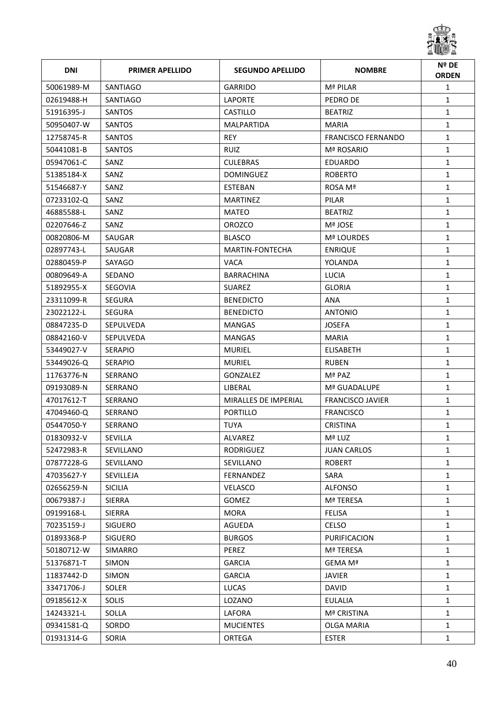

| <b>DNI</b> | <b>PRIMER APELLIDO</b> | <b>SEGUNDO APELLIDO</b> | <b>NOMBRE</b>           | Nº DE<br><b>ORDEN</b> |
|------------|------------------------|-------------------------|-------------------------|-----------------------|
| 50061989-M | SANTIAGO               | GARRIDO                 | Mª PILAR                | $\mathbf{1}$          |
| 02619488-H | SANTIAGO               | <b>LAPORTE</b>          | PEDRO DE                | $\mathbf{1}$          |
| 51916395-J | <b>SANTOS</b>          | CASTILLO                | <b>BEATRIZ</b>          | $\mathbf{1}$          |
| 50950407-W | <b>SANTOS</b>          | MALPARTIDA              | <b>MARIA</b>            | $\mathbf{1}$          |
| 12758745-R | SANTOS                 | <b>REY</b>              | FRANCISCO FERNANDO      | $\mathbf{1}$          |
| 50441081-B | SANTOS                 | RUIZ                    | Mª ROSARIO              | $\mathbf{1}$          |
| 05947061-C | SANZ                   | <b>CULEBRAS</b>         | EDUARDO                 | $\mathbf{1}$          |
| 51385184-X | SANZ                   | <b>DOMINGUEZ</b>        | <b>ROBERTO</b>          | $\mathbf{1}$          |
| 51546687-Y | SANZ                   | <b>ESTEBAN</b>          | ROSA Mª                 | $\mathbf{1}$          |
| 07233102-Q | SANZ                   | MARTINEZ                | PILAR                   | $\mathbf{1}$          |
| 46885588-L | SANZ                   | <b>MATEO</b>            | <b>BEATRIZ</b>          | $\mathbf{1}$          |
| 02207646-Z | SANZ                   | <b>OROZCO</b>           | Mª JOSE                 | $\mathbf{1}$          |
| 00820806-M | SAUGAR                 | <b>BLASCO</b>           | Mª LOURDES              | $\mathbf{1}$          |
| 02897743-L | SAUGAR                 | <b>MARTIN-FONTECHA</b>  | <b>ENRIQUE</b>          | $\mathbf{1}$          |
| 02880459-P | SAYAGO                 | <b>VACA</b>             | YOLANDA                 | $\mathbf{1}$          |
| 00809649-A | SEDANO                 | <b>BARRACHINA</b>       | <b>LUCIA</b>            | $\mathbf{1}$          |
| 51892955-X | SEGOVIA                | <b>SUAREZ</b>           | <b>GLORIA</b>           | $\mathbf{1}$          |
| 23311099-R | <b>SEGURA</b>          | <b>BENEDICTO</b>        | ANA                     | $\mathbf{1}$          |
| 23022122-L | <b>SEGURA</b>          | <b>BENEDICTO</b>        | <b>ANTONIO</b>          | $\mathbf{1}$          |
| 08847235-D | <b>SEPULVEDA</b>       | <b>MANGAS</b>           | <b>JOSEFA</b>           | $\mathbf{1}$          |
| 08842160-V | <b>SEPULVEDA</b>       | <b>MANGAS</b>           | <b>MARIA</b>            | $\mathbf{1}$          |
| 53449027-V | <b>SERAPIO</b>         | <b>MURIEL</b>           | <b>ELISABETH</b>        | $\mathbf{1}$          |
| 53449026-Q | <b>SERAPIO</b>         | MURIEL                  | <b>RUBEN</b>            | $\mathbf{1}$          |
| 11763776-N | SERRANO                | GONZALEZ                | Mª PAZ                  | $\mathbf{1}$          |
| 09193089-N | SERRANO                | LIBERAL                 | Mª GUADALUPE            | $\mathbf{1}$          |
| 47017612-T | SERRANO                | MIRALLES DE IMPERIAL    | <b>FRANCISCO JAVIER</b> | $\mathbf{1}$          |
| 47049460-Q | SERRANO                | <b>PORTILLO</b>         | <b>FRANCISCO</b>        | $\mathbf{1}$          |
| 05447050-Y | SERRANO                | <b>TUYA</b>             | <b>CRISTINA</b>         | $\mathbf{1}$          |
| 01830932-V | SEVILLA                | ALVAREZ                 | Mª LUZ                  | 1                     |
| 52472983-R | SEVILLANO              | RODRIGUEZ               | <b>JUAN CARLOS</b>      | $\mathbf{1}$          |
| 07877228-G | SEVILLANO              | SEVILLANO               | <b>ROBERT</b>           | $\mathbf{1}$          |
| 47035627-Y | SEVILLEJA              | FERNANDEZ               | SARA                    | $\mathbf{1}$          |
| 02656259-N | <b>SICILIA</b>         | <b>VELASCO</b>          | <b>ALFONSO</b>          | $\mathbf{1}$          |
| 00679387-J | SIERRA                 | <b>GOMEZ</b>            | Mª TERESA               | $\mathbf{1}$          |
| 09199168-L | <b>SIERRA</b>          | <b>MORA</b>             | <b>FELISA</b>           | $\mathbf{1}$          |
| 70235159-J | <b>SIGUERO</b>         | AGUEDA                  | CELSO                   | $\mathbf{1}$          |
| 01893368-P | <b>SIGUERO</b>         | <b>BURGOS</b>           | PURIFICACION            | $\mathbf{1}$          |
| 50180712-W | SIMARRO                | PEREZ                   | Mª TERESA               | $\mathbf{1}$          |
| 51376871-T | <b>SIMON</b>           | <b>GARCIA</b>           | GEMA Mª                 | $\mathbf{1}$          |
| 11837442-D | <b>SIMON</b>           | <b>GARCIA</b>           | <b>JAVIER</b>           | $\mathbf{1}$          |
| 33471706-J | SOLER                  | <b>LUCAS</b>            | <b>DAVID</b>            | $\mathbf{1}$          |
| 09185612-X | SOLIS                  | LOZANO                  | <b>EULALIA</b>          | $\mathbf{1}$          |
| 14243321-L | SOLLA                  | LAFORA                  | Mª CRISTINA             | $\mathbf{1}$          |
| 09341581-Q | SORDO                  | <b>MUCIENTES</b>        | OLGA MARIA              | $\mathbf{1}$          |
| 01931314-G | SORIA                  | ORTEGA                  | ESTER                   | $\mathbf{1}$          |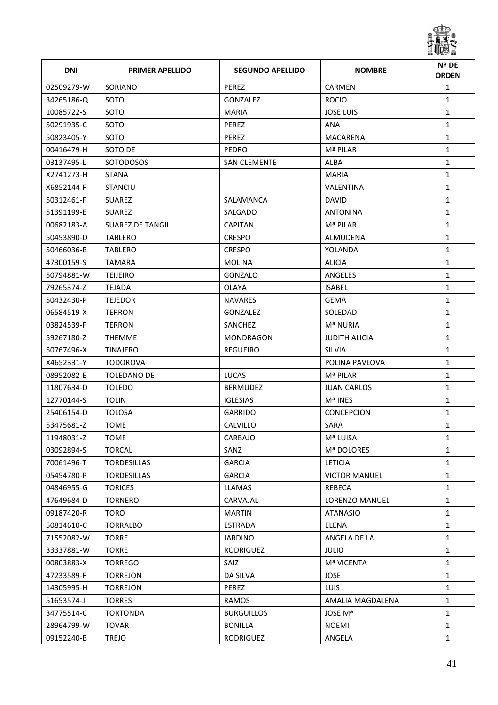

| <b>DNI</b> | <b>PRIMER APELLIDO</b>  | <b>SEGUNDO APELLIDO</b> | <b>NOMBRE</b>         | Nº DE<br><b>ORDEN</b> |
|------------|-------------------------|-------------------------|-----------------------|-----------------------|
| 02509279-W | SORIANO                 | <b>PEREZ</b>            | CARMEN                | $\mathbf{1}$          |
| 34265186-Q | SOTO                    | GONZALEZ                | <b>ROCIO</b>          | $\mathbf{1}$          |
| 10085722-S | SOTO                    | <b>MARIA</b>            | <b>JOSE LUIS</b>      | $\mathbf{1}$          |
| 50291935-C | SOTO                    | PEREZ                   | ANA                   | $\mathbf{1}$          |
| 50823405-Y | SOTO                    | PEREZ                   | <b>MACARENA</b>       | $\mathbf{1}$          |
| 00416479-H | SOTO DE                 | <b>PEDRO</b>            | Mª PILAR              | $\mathbf{1}$          |
| 03137495-L | SOTODOSOS               | <b>SAN CLEMENTE</b>     | ALBA                  | $\mathbf{1}$          |
| X2741273-H | <b>STANA</b>            |                         | <b>MARIA</b>          | $\mathbf{1}$          |
| X6852144-F | <b>STANCIU</b>          |                         | VALENTINA             | $\mathbf{1}$          |
| 50312461-F | <b>SUAREZ</b>           | SALAMANCA               | <b>DAVID</b>          | $\mathbf{1}$          |
| 51391199-E | <b>SUAREZ</b>           | SALGADO                 | <b>ANTONINA</b>       | $\mathbf{1}$          |
| 00682183-A | <b>SUAREZ DE TANGIL</b> | <b>CAPITAN</b>          | Mª PILAR              | $\mathbf{1}$          |
| 50453890-D | TABLERO                 | <b>CRESPO</b>           | ALMUDENA              | $\mathbf{1}$          |
| 50466036-B | <b>TABLERO</b>          | <b>CRESPO</b>           | YOLANDA               | $\mathbf{1}$          |
| 47300159-S | <b>TAMARA</b>           | MOLINA                  | <b>ALICIA</b>         | $\mathbf{1}$          |
| 50794881-W | <b>TEIJEIRO</b>         | GONZALO                 | ANGELES               | $\mathbf{1}$          |
| 79265374-Z | <b>TEJADA</b>           | <b>OLAYA</b>            | <b>ISABEL</b>         | $\mathbf{1}$          |
| 50432430-P | <b>TEJEDOR</b>          | <b>NAVARES</b>          | <b>GEMA</b>           | $\mathbf{1}$          |
| 06584519-X | <b>TERRON</b>           | GONZALEZ                | SOLEDAD               | $\mathbf{1}$          |
| 03824539-F | <b>TERRON</b>           | SANCHEZ                 | Mª NURIA              | $\mathbf{1}$          |
| 59267180-Z | THEMME                  | <b>MONDRAGON</b>        | JUDITH ALICIA         | $\mathbf{1}$          |
| 50767496-X | <b>TINAJERO</b>         | <b>REGUEIRO</b>         | <b>SILVIA</b>         | $\mathbf{1}$          |
| X4652331-Y | <b>TODOROVA</b>         |                         | POLINA PAVLOVA        | $\mathbf{1}$          |
| 08952082-E | TOLEDANO DE             | <b>LUCAS</b>            | Mª PILAR              | $\mathbf{1}$          |
| 11807634-D | <b>TOLEDO</b>           | <b>BERMUDEZ</b>         | <b>JUAN CARLOS</b>    | $\mathbf{1}$          |
| 12770144-S | <b>TOLIN</b>            | <b>IGLESIAS</b>         | Mª INES               | $\mathbf{1}$          |
| 25406154-D | <b>TOLOSA</b>           | GARRIDO                 | <b>CONCEPCION</b>     | $\mathbf{1}$          |
| 53475681-Z | <b>TOME</b>             | CALVILLO                | SARA                  | $\mathbf{1}$          |
| 11948031-Z | <b>TOME</b>             | CARBAJO                 | Mª LUISA              | 1                     |
| 03092894-S | <b>TORCAL</b>           | SANZ                    | Mª DOLORES            | $\mathbf{1}$          |
| 70061496-T | <b>TORDESILLAS</b>      | <b>GARCIA</b>           | <b>LETICIA</b>        | $\mathbf{1}$          |
| 05454780-P | <b>TORDESILLAS</b>      | <b>GARCIA</b>           | <b>VICTOR MANUEL</b>  | $\mathbf{1}$          |
| 04846955-G | <b>TORICES</b>          | LLAMAS                  | REBECA                | $\mathbf{1}$          |
| 47649684-D | <b>TORNERO</b>          | CARVAJAL                | <b>LORENZO MANUEL</b> | $\mathbf{1}$          |
| 09187420-R | <b>TORO</b>             | <b>MARTIN</b>           | <b>ATANASIO</b>       | $\mathbf{1}$          |
| 50814610-C | <b>TORRALBO</b>         | <b>ESTRADA</b>          | ELENA                 | $\mathbf{1}$          |
| 71552082-W | <b>TORRE</b>            | <b>JARDINO</b>          | ANGELA DE LA          | $\mathbf{1}$          |
| 33337881-W | <b>TORRE</b>            | RODRIGUEZ               | <b>JULIO</b>          | $\mathbf{1}$          |
| 00803883-X | <b>TORREGO</b>          | SAIZ                    | Mª VICENTA            | $\mathbf{1}$          |
| 47233589-F | <b>TORREJON</b>         | DA SILVA                | <b>JOSE</b>           | $\mathbf{1}$          |
| 14305995-H | <b>TORREJON</b>         | PEREZ                   | <b>LUIS</b>           | $\mathbf{1}$          |
| 51653574-J | <b>TORRES</b>           | RAMOS                   | AMALIA MAGDALENA      | $\mathbf{1}$          |
| 34775514-C | <b>TORTONDA</b>         | <b>BURGUILLOS</b>       | JOSE Mª               | $\mathbf{1}$          |
| 28964799-W | <b>TOVAR</b>            | <b>BONILLA</b>          | <b>NOEMI</b>          | $\mathbf{1}$          |
| 09152240-B | <b>TREJO</b>            | RODRIGUEZ               | ANGELA                | $\mathbf{1}$          |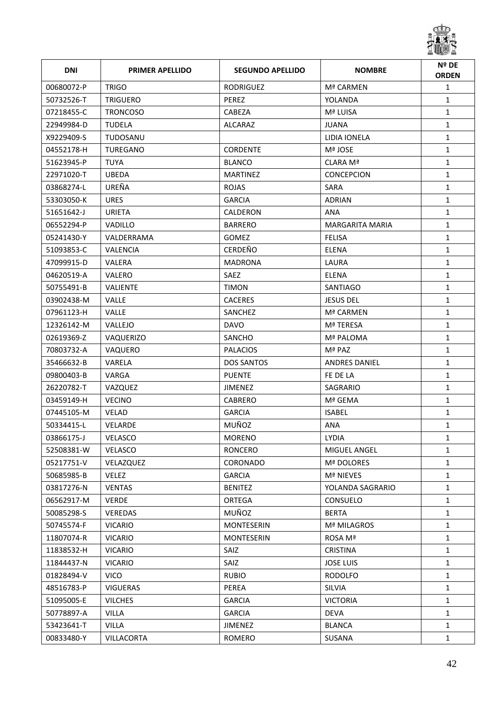

| <b>DNI</b> | <b>PRIMER APELLIDO</b> | <b>SEGUNDO APELLIDO</b> | <b>NOMBRE</b>          | Nº DE<br><b>ORDEN</b> |
|------------|------------------------|-------------------------|------------------------|-----------------------|
| 00680072-P | <b>TRIGO</b>           | <b>RODRIGUEZ</b>        | Mª CARMEN              | $\mathbf{1}$          |
| 50732526-T | <b>TRIGUERO</b>        | <b>PEREZ</b>            | YOLANDA                | $\mathbf{1}$          |
| 07218455-C | <b>TRONCOSO</b>        | <b>CABEZA</b>           | Mª LUISA               | $\mathbf{1}$          |
| 22949984-D | <b>TUDELA</b>          | ALCARAZ                 | JUANA                  | $\mathbf{1}$          |
| X9229409-S | TUDOSANU               |                         | LIDIA IONELA           | $\mathbf{1}$          |
| 04552178-H | TUREGANO               | <b>CORDENTE</b>         | Mª JOSE                | $\mathbf{1}$          |
| 51623945-P | TUYA                   | <b>BLANCO</b>           | CLARA Mª               | $\mathbf{1}$          |
| 22971020-T | <b>UBEDA</b>           | <b>MARTINEZ</b>         | <b>CONCEPCION</b>      | $\mathbf{1}$          |
| 03868274-L | UREÑA                  | <b>ROJAS</b>            | SARA                   | $\mathbf{1}$          |
| 53303050-K | <b>URES</b>            | <b>GARCIA</b>           | <b>ADRIAN</b>          | $\mathbf{1}$          |
| 51651642-J | URIETA                 | CALDERON                | ANA                    | $\mathbf{1}$          |
| 06552294-P | <b>VADILLO</b>         | <b>BARRERO</b>          | <b>MARGARITA MARIA</b> | $\mathbf{1}$          |
| 05241430-Y | VALDERRAMA             | <b>GOMEZ</b>            | <b>FELISA</b>          | $\mathbf{1}$          |
| 51093853-C | <b>VALENCIA</b>        | <b>CERDEÑO</b>          | <b>ELENA</b>           | $\mathbf{1}$          |
| 47099915-D | VALERA                 | <b>MADRONA</b>          | LAURA                  | $\mathbf{1}$          |
| 04620519-A | <b>VALERO</b>          | SAEZ                    | ELENA                  | $\mathbf{1}$          |
| 50755491-B | <b>VALIENTE</b>        | <b>TIMON</b>            | <b>SANTIAGO</b>        | $\mathbf{1}$          |
| 03902438-M | <b>VALLE</b>           | <b>CACERES</b>          | <b>JESUS DEL</b>       | $\mathbf{1}$          |
| 07961123-H | VALLE                  | SANCHEZ                 | Mª CARMEN              | $\mathbf{1}$          |
| 12326142-M | VALLEJO                | <b>DAVO</b>             | Mª TERESA              | $\mathbf{1}$          |
| 02619369-Z | VAQUERIZO              | SANCHO                  | Mª PALOMA              | $\mathbf{1}$          |
| 70803732-A | VAQUERO                | <b>PALACIOS</b>         | Mª PAZ                 | $\mathbf{1}$          |
| 35466632-B | VARELA                 | <b>DOS SANTOS</b>       | <b>ANDRES DANIEL</b>   | $\mathbf{1}$          |
| 09800403-B | VARGA                  | <b>PUENTE</b>           | FE DE LA               | $\mathbf{1}$          |
| 26220782-T | VAZQUEZ                | JIMENEZ                 | SAGRARIO               | $\mathbf{1}$          |
| 03459149-H | <b>VECINO</b>          | <b>CABRERO</b>          | Mª GEMA                | $\mathbf{1}$          |
| 07445105-M | <b>VELAD</b>           | <b>GARCIA</b>           | <b>ISABEL</b>          | $\mathbf{1}$          |
| 50334415-L | <b>VELARDE</b>         | MUÑOZ                   | ANA                    | $\mathbf{1}$          |
| 03866175-J | <b>VELASCO</b>         | <b>MORENO</b>           | LYDIA                  | 1                     |
| 52508381-W | VELASCO                | <b>RONCERO</b>          | MIGUEL ANGEL           | $\mathbf{1}$          |
| 05217751-V | VELAZQUEZ              | CORONADO                | Mª DOLORES             | $\mathbf{1}$          |
| 50685985-B | <b>VELEZ</b>           | <b>GARCIA</b>           | <b>Mª NIEVES</b>       | $\mathbf{1}$          |
| 03817276-N | <b>VENTAS</b>          | <b>BENITEZ</b>          | YOLANDA SAGRARIO       | $\mathbf{1}$          |
| 06562917-M | <b>VERDE</b>           | ORTEGA                  | CONSUELO               | $\mathbf{1}$          |
| 50085298-S | VEREDAS                | MUÑOZ                   | <b>BERTA</b>           | $\mathbf{1}$          |
| 50745574-F | <b>VICARIO</b>         | <b>MONTESERIN</b>       | Mª MILAGROS            | $\mathbf{1}$          |
| 11807074-R | <b>VICARIO</b>         | MONTESERIN              | ROSA Mª                | $\mathbf{1}$          |
| 11838532-H | <b>VICARIO</b>         | SAIZ                    | <b>CRISTINA</b>        | $\mathbf{1}$          |
| 11844437-N | <b>VICARIO</b>         | SAIZ                    | <b>JOSE LUIS</b>       | $\mathbf{1}$          |
| 01828494-V | <b>VICO</b>            | <b>RUBIO</b>            | <b>RODOLFO</b>         | $\mathbf{1}$          |
| 48516783-P | <b>VIGUERAS</b>        | PEREA                   | <b>SILVIA</b>          | $\mathbf{1}$          |
| 51095005-E | <b>VILCHES</b>         | <b>GARCIA</b>           | <b>VICTORIA</b>        | $\mathbf{1}$          |
| 50778897-A | <b>VILLA</b>           | <b>GARCIA</b>           | <b>DEVA</b>            | $\mathbf{1}$          |
| 53423641-T | <b>VILLA</b>           | <b>JIMENEZ</b>          | <b>BLANCA</b>          | $\mathbf{1}$          |
| 00833480-Y | VILLACORTA             | ROMERO                  | SUSANA                 | $\mathbf{1}$          |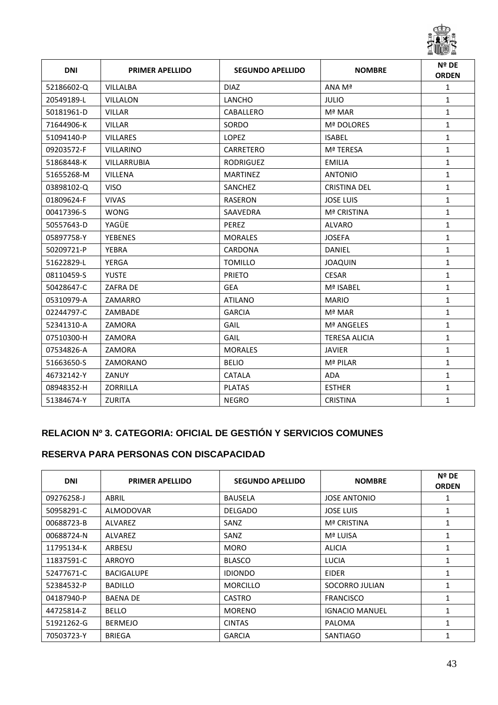

| <b>DNI</b> | <b>PRIMER APELLIDO</b> | <b>SEGUNDO APELLIDO</b> | <b>NOMBRE</b>        | Nº DE<br><b>ORDEN</b> |
|------------|------------------------|-------------------------|----------------------|-----------------------|
| 52186602-Q | <b>VILLALBA</b>        | <b>DIAZ</b>             | ANA Mª               | 1                     |
| 20549189-L | <b>VILLALON</b>        | <b>LANCHO</b>           | <b>JULIO</b>         | $\mathbf{1}$          |
| 50181961-D | <b>VILLAR</b>          | CABALLERO               | Mª MAR               | $\mathbf{1}$          |
| 71644906-K | <b>VILLAR</b>          | SORDO                   | Mª DOLORES           | $\mathbf{1}$          |
| 51094140-P | <b>VILLARES</b>        | <b>LOPEZ</b>            | <b>ISABEL</b>        | $\mathbf{1}$          |
| 09203572-F | <b>VILLARINO</b>       | CARRETERO               | Mª TERESA            | $\mathbf{1}$          |
| 51868448-K | VILLARRUBIA            | <b>RODRIGUEZ</b>        | <b>EMILIA</b>        | $\mathbf{1}$          |
| 51655268-M | VILLENA                | <b>MARTINEZ</b>         | <b>ANTONIO</b>       | $\mathbf{1}$          |
| 03898102-Q | <b>VISO</b>            | SANCHEZ                 | <b>CRISTINA DEL</b>  | $\mathbf{1}$          |
| 01809624-F | <b>VIVAS</b>           | <b>RASERON</b>          | <b>JOSE LUIS</b>     | $\mathbf{1}$          |
| 00417396-S | <b>WONG</b>            | SAAVEDRA                | <b>Mª CRISTINA</b>   | $\mathbf{1}$          |
| 50557643-D | YAGÜE                  | PEREZ                   | ALVARO               | $\mathbf{1}$          |
| 05897758-Y | <b>YEBENES</b>         | <b>MORALES</b>          | <b>JOSEFA</b>        | $\mathbf{1}$          |
| 50209721-P | <b>YEBRA</b>           | <b>CARDONA</b>          | <b>DANIEL</b>        | $\mathbf{1}$          |
| 51622829-L | <b>YERGA</b>           | <b>TOMILLO</b>          | <b>JOAQUIN</b>       | $\mathbf{1}$          |
| 08110459-S | <b>YUSTE</b>           | <b>PRIETO</b>           | <b>CESAR</b>         | $\mathbf{1}$          |
| 50428647-C | ZAFRA DE               | <b>GEA</b>              | Mª ISABEL            | $\mathbf{1}$          |
| 05310979-A | ZAMARRO                | <b>ATILANO</b>          | <b>MARIO</b>         | $\mathbf{1}$          |
| 02244797-C | ZAMBADE                | <b>GARCIA</b>           | Mª MAR               | $\mathbf{1}$          |
| 52341310-A | ZAMORA                 | GAIL                    | Mª ANGELES           | $\mathbf{1}$          |
| 07510300-H | ZAMORA                 | GAIL                    | <b>TERESA ALICIA</b> | $\mathbf{1}$          |
| 07534826-A | ZAMORA                 | <b>MORALES</b>          | <b>JAVIER</b>        | $\mathbf{1}$          |
| 51663650-S | ZAMORANO               | <b>BELIO</b>            | Mª PILAR             | $\mathbf{1}$          |
| 46732142-Y | ZANUY                  | <b>CATALA</b>           | <b>ADA</b>           | $\mathbf{1}$          |
| 08948352-H | <b>ZORRILLA</b>        | <b>PLATAS</b>           | <b>ESTHER</b>        | $\mathbf{1}$          |
| 51384674-Y | <b>ZURITA</b>          | <b>NEGRO</b>            | <b>CRISTINA</b>      | $\mathbf{1}$          |

#### **RELACION Nº 3. CATEGORIA: OFICIAL DE GESTIÓN Y SERVICIOS COMUNES**

#### **RESERVA PARA PERSONAS CON DISCAPACIDAD**

| <b>DNI</b> | <b>PRIMER APELLIDO</b> | <b>SEGUNDO APELLIDO</b> | <b>NOMBRE</b>         | Nº DE<br><b>ORDEN</b> |
|------------|------------------------|-------------------------|-----------------------|-----------------------|
| 09276258-J | ABRIL                  | <b>BAUSELA</b>          | <b>JOSE ANTONIO</b>   | 1                     |
| 50958291-C | ALMODOVAR              | <b>DELGADO</b>          | JOSE LUIS             |                       |
| 00688723-B | ALVAREZ                | SANZ                    | <b>Mª CRISTINA</b>    | 1                     |
| 00688724-N | ALVAREZ                | SANZ                    | Mª LUISA              | $\mathbf{1}$          |
| 11795134-K | ARBESU                 | <b>MORO</b>             | <b>ALICIA</b>         | 1                     |
| 11837591-C | ARROYO                 | <b>BLASCO</b>           | <b>LUCIA</b>          | 1                     |
| 52477671-C | <b>BACIGALUPE</b>      | <b>IDIONDO</b>          | <b>EIDER</b>          | 1                     |
| 52384532-P | <b>BADILLO</b>         | <b>MORCILLO</b>         | SOCORRO JULIAN        | 1                     |
| 04187940-P | <b>BAENA DE</b>        | <b>CASTRO</b>           | <b>FRANCISCO</b>      | 1                     |
| 44725814-Z | <b>BELLO</b>           | <b>MORENO</b>           | <b>IGNACIO MANUEL</b> | 1                     |
| 51921262-G | <b>BERMEJO</b>         | <b>CINTAS</b>           | PALOMA                | 1                     |
| 70503723-Y | <b>BRIEGA</b>          | <b>GARCIA</b>           | <b>SANTIAGO</b>       |                       |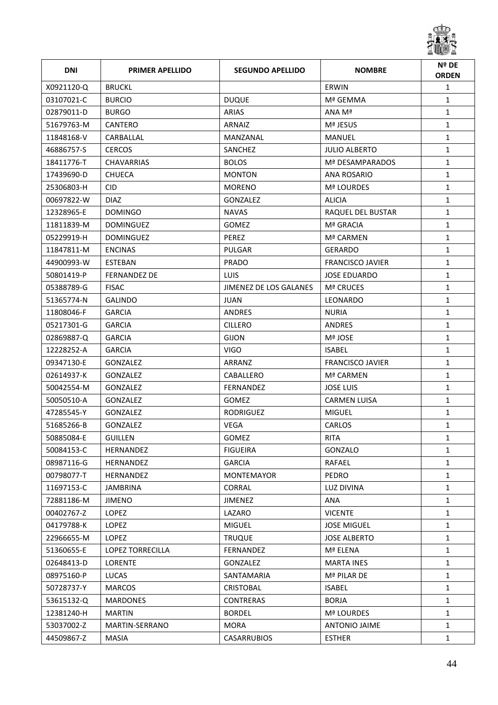

| <b>DNI</b> | <b>PRIMER APELLIDO</b>  | <b>SEGUNDO APELLIDO</b> | <b>NOMBRE</b>           | Nº DE<br><b>ORDEN</b> |
|------------|-------------------------|-------------------------|-------------------------|-----------------------|
| X0921120-Q | <b>BRUCKL</b>           |                         | ERWIN                   | $\mathbf{1}$          |
| 03107021-C | <b>BURCIO</b>           | <b>DUQUE</b>            | Mª GEMMA                | $\mathbf{1}$          |
| 02879011-D | <b>BURGO</b>            | <b>ARIAS</b>            | ANA Mª                  | $\mathbf{1}$          |
| 51679763-M | CANTERO                 | ARNAIZ                  | Mª JESUS                | $\mathbf{1}$          |
| 11848168-V | CARBALLAL               | MANZANAL                | MANUEL                  | $\mathbf{1}$          |
| 46886757-S | <b>CERCOS</b>           | SANCHEZ                 | <b>JULIO ALBERTO</b>    | $\mathbf{1}$          |
| 18411776-T | <b>CHAVARRIAS</b>       | <b>BOLOS</b>            | Mª DESAMPARADOS         | $\mathbf{1}$          |
| 17439690-D | <b>CHUECA</b>           | <b>MONTON</b>           | <b>ANA ROSARIO</b>      | $\mathbf{1}$          |
| 25306803-H | CID.                    | <b>MORENO</b>           | <b>Mª LOURDES</b>       | $\mathbf{1}$          |
| 00697822-W | <b>DIAZ</b>             | <b>GONZALEZ</b>         | <b>ALICIA</b>           | $\mathbf{1}$          |
| 12328965-E | <b>DOMINGO</b>          | <b>NAVAS</b>            | RAQUEL DEL BUSTAR       | $\mathbf{1}$          |
| 11811839-M | <b>DOMINGUEZ</b>        | <b>GOMEZ</b>            | Mª GRACIA               | $\mathbf{1}$          |
| 05229919-H | <b>DOMINGUEZ</b>        | <b>PEREZ</b>            | Mª CARMEN               | $\mathbf{1}$          |
| 11847811-M | <b>ENCINAS</b>          | PULGAR                  | <b>GERARDO</b>          | $\mathbf{1}$          |
| 44900993-W | <b>ESTEBAN</b>          | <b>PRADO</b>            | <b>FRANCISCO JAVIER</b> | $\mathbf{1}$          |
| 50801419-P | <b>FERNANDEZ DE</b>     | LUIS.                   | <b>JOSE EDUARDO</b>     | $\mathbf{1}$          |
| 05388789-G | <b>FISAC</b>            | JIMENEZ DE LOS GALANES  | <b>Mª CRUCES</b>        | $\mathbf{1}$          |
| 51365774-N | <b>GALINDO</b>          | <b>JUAN</b>             | LEONARDO                | $\mathbf{1}$          |
| 11808046-F | <b>GARCIA</b>           | ANDRES                  | <b>NURIA</b>            | $\mathbf{1}$          |
| 05217301-G | <b>GARCIA</b>           | <b>CILLERO</b>          | <b>ANDRES</b>           | $\mathbf{1}$          |
| 02869887-Q | <b>GARCIA</b>           | <b>GIJON</b>            | Mª JOSE                 | $\mathbf{1}$          |
| 12228252-A | <b>GARCIA</b>           | <b>VIGO</b>             | <b>ISABEL</b>           | $\mathbf{1}$          |
| 09347130-E | <b>GONZALEZ</b>         | ARRANZ                  | <b>FRANCISCO JAVIER</b> | $\mathbf{1}$          |
| 02614937-K | <b>GONZALEZ</b>         | CABALLERO               | Mª CARMEN               | $\mathbf{1}$          |
| 50042554-M | <b>GONZALEZ</b>         | FERNANDEZ               | JOSE LUIS               | $\mathbf{1}$          |
| 50050510-A | GONZALEZ                | <b>GOMEZ</b>            | <b>CARMEN LUISA</b>     | $\mathbf{1}$          |
| 47285545-Y | <b>GONZALEZ</b>         | <b>RODRIGUEZ</b>        | <b>MIGUEL</b>           | 1                     |
| 51685266-B | GONZALEZ                | <b>VEGA</b>             | <b>CARLOS</b>           | $\mathbf{1}$          |
| 50885084-E | <b>GUILLEN</b>          | GOMEZ                   | <b>RITA</b>             | 1                     |
| 50084153-C | HERNANDEZ               | <b>FIGUEIRA</b>         | GONZALO                 | 1                     |
| 08987116-G | HERNANDEZ               | <b>GARCIA</b>           | RAFAEL                  | $\mathbf{1}$          |
| 00798077-T | HERNANDEZ               | <b>MONTEMAYOR</b>       | PEDRO                   | $\mathbf{1}$          |
| 11697153-C | JAMBRINA                | <b>CORRAL</b>           | LUZ DIVINA              | $\mathbf{1}$          |
| 72881186-M | <b>JIMENO</b>           | <b>JIMENEZ</b>          | ANA                     | $\mathbf{1}$          |
| 00402767-Z | LOPEZ                   | LAZARO                  | <b>VICENTE</b>          | $\mathbf{1}$          |
| 04179788-K | LOPEZ                   | <b>MIGUEL</b>           | <b>JOSE MIGUEL</b>      | $\mathbf{1}$          |
| 22966655-M | <b>LOPEZ</b>            | <b>TRUQUE</b>           | <b>JOSE ALBERTO</b>     | $\mathbf{1}$          |
| 51360655-E | <b>LOPEZ TORRECILLA</b> | FERNANDEZ               | Mª ELENA                | $\mathbf{1}$          |
| 02648413-D | <b>LORENTE</b>          | GONZALEZ                | <b>MARTA INES</b>       | $\mathbf{1}$          |
| 08975160-P | LUCAS                   | SANTAMARIA              | Mª PILAR DE             | $\mathbf{1}$          |
| 50728737-Y | <b>MARCOS</b>           | <b>CRISTOBAL</b>        | <b>ISABEL</b>           | $\mathbf{1}$          |
| 53615132-Q | <b>MARDONES</b>         | <b>CONTRERAS</b>        | <b>BORJA</b>            | $\mathbf{1}$          |
| 12381240-H | <b>MARTIN</b>           | <b>BORDEL</b>           | Mª LOURDES              | $\mathbf{1}$          |
| 53037002-Z | MARTIN-SERRANO          | <b>MORA</b>             | ANTONIO JAIME           | $\mathbf{1}$          |
| 44509867-Z | MASIA                   | <b>CASARRUBIOS</b>      | <b>ESTHER</b>           | $\mathbf{1}$          |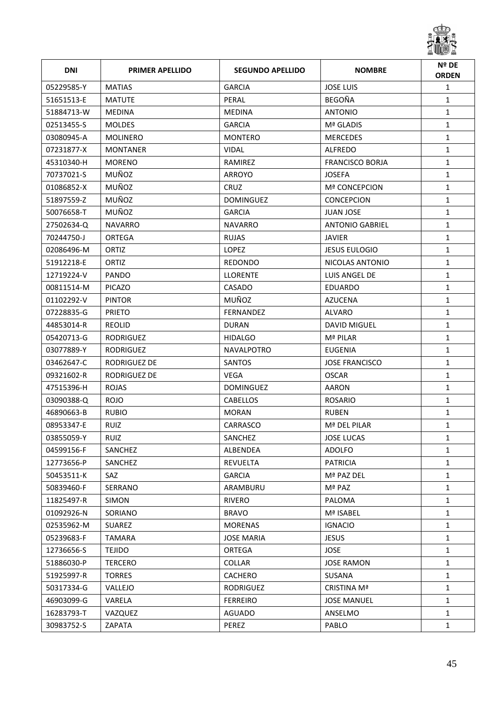

| <b>DNI</b> | <b>PRIMER APELLIDO</b> | <b>SEGUNDO APELLIDO</b> | <b>NOMBRE</b>          | Nº DE<br><b>ORDEN</b> |
|------------|------------------------|-------------------------|------------------------|-----------------------|
| 05229585-Y | <b>MATIAS</b>          | <b>GARCIA</b>           | <b>JOSE LUIS</b>       | $\mathbf{1}$          |
| 51651513-E | <b>MATUTE</b>          | PERAL                   | <b>BEGOÑA</b>          | $\mathbf{1}$          |
| 51884713-W | <b>MEDINA</b>          | <b>MEDINA</b>           | <b>ANTONIO</b>         | $\mathbf{1}$          |
| 02513455-S | <b>MOLDES</b>          | <b>GARCIA</b>           | Mª GLADIS              | $\mathbf{1}$          |
| 03080945-A | <b>MOLINERO</b>        | <b>MONTERO</b>          | <b>MERCEDES</b>        | $\mathbf{1}$          |
| 07231877-X | <b>MONTANER</b>        | <b>VIDAL</b>            | <b>ALFREDO</b>         | $\mathbf{1}$          |
| 45310340-H | <b>MORENO</b>          | RAMIREZ                 | <b>FRANCISCO BORJA</b> | $\mathbf{1}$          |
| 70737021-S | MUÑOZ                  | <b>ARROYO</b>           | <b>JOSEFA</b>          | $\mathbf{1}$          |
| 01086852-X | MUÑOZ                  | <b>CRUZ</b>             | <b>Mª CONCEPCION</b>   | $\mathbf{1}$          |
| 51897559-Z | MUÑOZ                  | <b>DOMINGUEZ</b>        | <b>CONCEPCION</b>      | $\mathbf{1}$          |
| 50076658-T | MUÑOZ                  | <b>GARCIA</b>           | <b>JUAN JOSE</b>       | $\mathbf{1}$          |
| 27502634-Q | <b>NAVARRO</b>         | <b>NAVARRO</b>          | <b>ANTONIO GABRIEL</b> | $\mathbf{1}$          |
| 70244750-J | <b>ORTEGA</b>          | <b>RUJAS</b>            | <b>JAVIER</b>          | $\mathbf{1}$          |
| 02086496-M | ORTIZ                  | LOPEZ                   | <b>JESUS EULOGIO</b>   | $\mathbf{1}$          |
| 51912218-E | ORTIZ                  | <b>REDONDO</b>          | NICOLAS ANTONIO        | $\mathbf{1}$          |
| 12719224-V | PANDO                  | <b>LLORENTE</b>         | LUIS ANGEL DE          | $\mathbf{1}$          |
| 00811514-M | <b>PICAZO</b>          | CASADO                  | <b>EDUARDO</b>         | $\mathbf{1}$          |
| 01102292-V | <b>PINTOR</b>          | MUÑOZ                   | <b>AZUCENA</b>         | $\mathbf{1}$          |
| 07228835-G | <b>PRIETO</b>          | <b>FERNANDEZ</b>        | ALVARO                 | $\mathbf{1}$          |
| 44853014-R | <b>REOLID</b>          | <b>DURAN</b>            | <b>DAVID MIGUEL</b>    | $\mathbf{1}$          |
| 05420713-G | <b>RODRIGUEZ</b>       | <b>HIDALGO</b>          | Mª PILAR               | $\mathbf{1}$          |
| 03077889-Y | <b>RODRIGUEZ</b>       | <b>NAVALPOTRO</b>       | <b>EUGENIA</b>         | $\mathbf{1}$          |
| 03462647-C | RODRIGUEZ DE           | <b>SANTOS</b>           | JOSE FRANCISCO         | $\mathbf{1}$          |
| 09321602-R | RODRIGUEZ DE           | <b>VEGA</b>             | <b>OSCAR</b>           | $\mathbf{1}$          |
| 47515396-H | <b>ROJAS</b>           | <b>DOMINGUEZ</b>        | AARON                  | $\mathbf{1}$          |
| 03090388-Q | <b>ROJO</b>            | <b>CABELLOS</b>         | <b>ROSARIO</b>         | $\mathbf{1}$          |
| 46890663-B | <b>RUBIO</b>           | <b>MORAN</b>            | <b>RUBEN</b>           | $\mathbf{1}$          |
| 08953347-E | RUIZ                   | CARRASCO                | Mª DEL PILAR           | $\mathbf{1}$          |
| 03855059-Y | <b>RUIZ</b>            | SANCHEZ                 | <b>JOSE LUCAS</b>      | 1                     |
| 04599156-F | SANCHEZ                | ALBENDEA                | <b>ADOLFO</b>          | $\mathbf{1}$          |
| 12773656-P | SANCHEZ                | REVUELTA                | <b>PATRICIA</b>        | $\mathbf{1}$          |
| 50453511-K | SAZ                    | <b>GARCIA</b>           | Mª PAZ DEL             | $\mathbf{1}$          |
| 50839460-F | SERRANO                | ARAMBURU                | Mª PAZ                 | $\mathbf{1}$          |
| 11825497-R | SIMON                  | <b>RIVERO</b>           | PALOMA                 | $\mathbf{1}$          |
| 01092926-N | SORIANO                | <b>BRAVO</b>            | Mª ISABEL              | $\mathbf{1}$          |
| 02535962-M | <b>SUAREZ</b>          | <b>MORENAS</b>          | <b>IGNACIO</b>         | $\mathbf{1}$          |
| 05239683-F | TAMARA                 | <b>JOSE MARIA</b>       | <b>JESUS</b>           | $\mathbf{1}$          |
| 12736656-S | <b>TEJIDO</b>          | ORTEGA                  | <b>JOSE</b>            | $\mathbf{1}$          |
| 51886030-P | TERCERO                | <b>COLLAR</b>           | <b>JOSE RAMON</b>      | $\mathbf{1}$          |
| 51925997-R | <b>TORRES</b>          | CACHERO                 | SUSANA                 | $\mathbf{1}$          |
| 50317334-G | VALLEJO                | RODRIGUEZ               | CRISTINA Mª            | $\mathbf{1}$          |
| 46903099-G | VARELA                 | <b>FERREIRO</b>         | <b>JOSE MANUEL</b>     | $\mathbf{1}$          |
| 16283793-T | VAZQUEZ                | AGUADO                  | ANSELMO                | $\mathbf{1}$          |
| 30983752-S | ZAPATA                 | PEREZ                   | PABLO                  | $\mathbf{1}$          |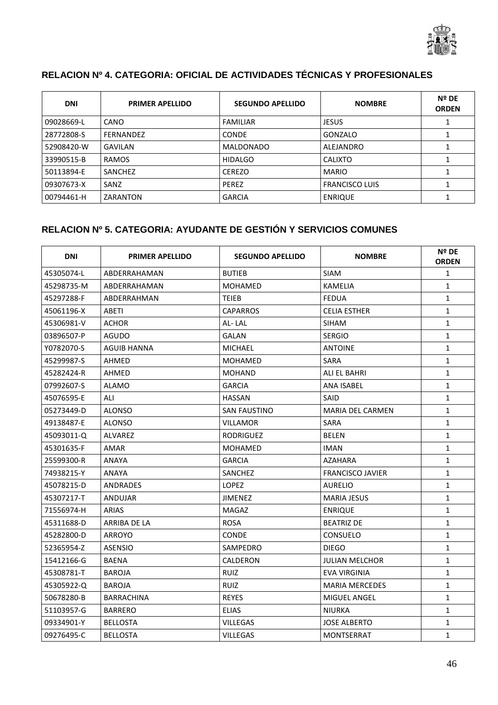

## **RELACION Nº 4. CATEGORIA: OFICIAL DE ACTIVIDADES TÉCNICAS Y PROFESIONALES**

| <b>DNI</b> | <b>PRIMER APELLIDO</b> | <b>SEGUNDO APELLIDO</b> | <b>NOMBRE</b>         | Nº DE<br><b>ORDEN</b> |
|------------|------------------------|-------------------------|-----------------------|-----------------------|
| 09028669-L | CANO                   | <b>FAMILIAR</b>         | <b>JESUS</b>          |                       |
| 28772808-S | <b>FERNANDEZ</b>       | <b>CONDE</b>            | GONZALO               |                       |
| 52908420-W | GAVILAN                | <b>MALDONADO</b>        | ALEJANDRO             |                       |
| 33990515-B | <b>RAMOS</b>           | <b>HIDALGO</b>          | <b>CALIXTO</b>        |                       |
| 50113894-E | SANCHEZ                | <b>CEREZO</b>           | <b>MARIO</b>          |                       |
| 09307673-X | SANZ                   | <b>PEREZ</b>            | <b>FRANCISCO LUIS</b> |                       |
| 00794461-H | ZARANTON               | <b>GARCIA</b>           | <b>ENRIQUE</b>        |                       |

## **RELACION Nº 5. CATEGORIA: AYUDANTE DE GESTIÓN Y SERVICIOS COMUNES**

| <b>DNI</b> | <b>PRIMER APELLIDO</b> | <b>SEGUNDO APELLIDO</b> | <b>NOMBRE</b>           | Nº DE<br><b>ORDEN</b> |
|------------|------------------------|-------------------------|-------------------------|-----------------------|
| 45305074-L | ABDERRAHAMAN           | <b>BUTIEB</b>           | <b>SIAM</b>             | $\mathbf{1}$          |
| 45298735-M | ABDERRAHAMAN           | <b>MOHAMED</b>          | <b>KAMELIA</b>          | $\mathbf{1}$          |
| 45297288-F | ABDERRAHMAN            | TEIEB                   | <b>FEDUA</b>            | $\mathbf{1}$          |
| 45061196-X | ABETI                  | CAPARROS                | <b>CELIA ESTHER</b>     | $\mathbf{1}$          |
| 45306981-V | <b>ACHOR</b>           | AL-LAL                  | <b>SIHAM</b>            | $\mathbf{1}$          |
| 03896507-P | AGUDO                  | GALAN                   | <b>SERGIO</b>           | $\mathbf{1}$          |
| Y0782070-S | AGUIB HANNA            | <b>MICHAEL</b>          | <b>ANTOINE</b>          | $\mathbf{1}$          |
| 45299987-S | AHMED                  | MOHAMED                 | SARA                    | $\mathbf{1}$          |
| 45282424-R | AHMED                  | MOHAND                  | ALI EL BAHRI            | $\mathbf{1}$          |
| 07992607-S | <b>ALAMO</b>           | <b>GARCIA</b>           | <b>ANA ISABEL</b>       | $\mathbf{1}$          |
| 45076595-E | ALI                    | <b>HASSAN</b>           | SAID                    | $\mathbf{1}$          |
| 05273449-D | <b>ALONSO</b>          | <b>SAN FAUSTINO</b>     | <b>MARIA DEL CARMEN</b> | $\mathbf{1}$          |
| 49138487-E | <b>ALONSO</b>          | <b>VILLAMOR</b>         | <b>SARA</b>             | $\mathbf{1}$          |
| 45093011-Q | <b>ALVAREZ</b>         | <b>RODRIGUEZ</b>        | <b>BELEN</b>            | $\mathbf{1}$          |
| 45301635-F | <b>AMAR</b>            | <b>MOHAMED</b>          | <b>IMAN</b>             | $\mathbf{1}$          |
| 25599300-R | <b>ANAYA</b>           | <b>GARCIA</b>           | <b>AZAHARA</b>          | $\mathbf{1}$          |
| 74938215-Y | <b>ANAYA</b>           | <b>SANCHEZ</b>          | <b>FRANCISCO JAVIER</b> | $\mathbf{1}$          |
| 45078215-D | <b>ANDRADES</b>        | <b>LOPEZ</b>            | <b>AURELIO</b>          | $\mathbf{1}$          |
| 45307217-T | <b>ANDUJAR</b>         | <b>JIMENEZ</b>          | <b>MARIA JESUS</b>      | $\mathbf{1}$          |
| 71556974-H | <b>ARIAS</b>           | MAGAZ                   | <b>ENRIQUE</b>          | $\mathbf{1}$          |
| 45311688-D | <b>ARRIBA DE LA</b>    | <b>ROSA</b>             | <b>BEATRIZ DE</b>       | $\mathbf{1}$          |
| 45282800-D | <b>ARROYO</b>          | <b>CONDE</b>            | <b>CONSUELO</b>         | $\mathbf{1}$          |
| 52365954-Z | <b>ASENSIO</b>         | SAMPEDRO                | <b>DIEGO</b>            | $\mathbf{1}$          |
| 15412166-G | <b>BAENA</b>           | <b>CALDERON</b>         | <b>JULIAN MELCHOR</b>   | $\mathbf{1}$          |
| 45308781-T | <b>BAROJA</b>          | <b>RUIZ</b>             | <b>EVA VIRGINIA</b>     | $\mathbf{1}$          |
| 45305922-Q | <b>BAROJA</b>          | <b>RUIZ</b>             | <b>MARIA MERCEDES</b>   | $\mathbf{1}$          |
| 50678280-B | <b>BARRACHINA</b>      | <b>REYES</b>            | MIGUEL ANGEL            | $\mathbf{1}$          |
| 51103957-G | <b>BARRERO</b>         | <b>ELIAS</b>            | <b>NIURKA</b>           | $\mathbf{1}$          |
| 09334901-Y | <b>BELLOSTA</b>        | VILLEGAS                | <b>JOSE ALBERTO</b>     | $\mathbf{1}$          |
| 09276495-C | <b>BELLOSTA</b>        | VILLEGAS                | <b>MONTSERRAT</b>       | $\mathbf{1}$          |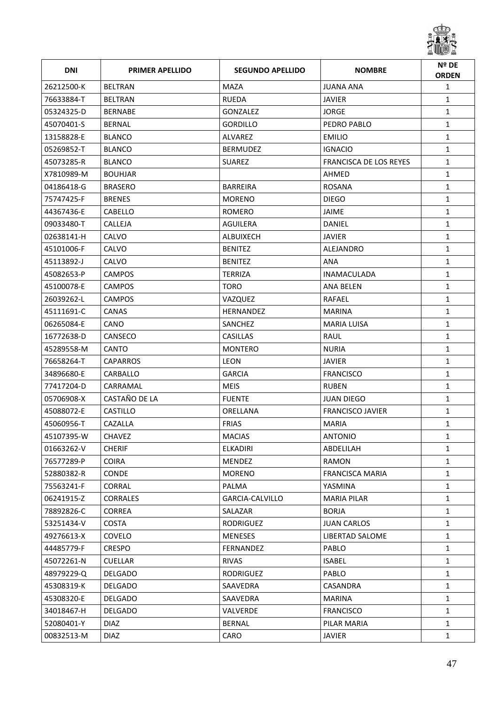

| <b>DNI</b> | <b>PRIMER APELLIDO</b> | <b>SEGUNDO APELLIDO</b> | <b>NOMBRE</b>           | Nº DE<br><b>ORDEN</b> |
|------------|------------------------|-------------------------|-------------------------|-----------------------|
| 26212500-K | <b>BELTRAN</b>         | <b>MAZA</b>             | <b>JUANA ANA</b>        | $\mathbf{1}$          |
| 76633884-T | <b>BELTRAN</b>         | <b>RUEDA</b>            | <b>JAVIER</b>           | $\mathbf{1}$          |
| 05324325-D | <b>BERNABE</b>         | <b>GONZALEZ</b>         | JORGE                   | $\mathbf{1}$          |
| 45070401-S | <b>BERNAL</b>          | <b>GORDILLO</b>         | PEDRO PABLO             | $\mathbf{1}$          |
| 13158828-E | <b>BLANCO</b>          | ALVAREZ                 | <b>EMILIO</b>           | $\mathbf{1}$          |
| 05269852-T | <b>BLANCO</b>          | <b>BERMUDEZ</b>         | <b>IGNACIO</b>          | $\mathbf{1}$          |
| 45073285-R | <b>BLANCO</b>          | <b>SUAREZ</b>           | FRANCISCA DE LOS REYES  | $\mathbf{1}$          |
| X7810989-M | <b>BOUHJAR</b>         |                         | AHMED                   | $\mathbf{1}$          |
| 04186418-G | <b>BRASERO</b>         | <b>BARREIRA</b>         | <b>ROSANA</b>           | $\mathbf{1}$          |
| 75747425-F | <b>BRENES</b>          | <b>MORENO</b>           | <b>DIEGO</b>            | $\mathbf{1}$          |
| 44367436-E | CABELLO                | ROMERO                  | JAIME                   | $\mathbf{1}$          |
| 09033480-T | <b>CALLEJA</b>         | <b>AGUILERA</b>         | DANIEL                  | $\mathbf{1}$          |
| 02638141-H | CALVO                  | ALBUIXECH               | <b>JAVIER</b>           | $\mathbf{1}$          |
| 45101006-F | CALVO                  | <b>BENITEZ</b>          | ALEJANDRO               | $\mathbf{1}$          |
| 45113892-J | CALVO                  | <b>BENITEZ</b>          | <b>ANA</b>              | $\mathbf{1}$          |
| 45082653-P | <b>CAMPOS</b>          | <b>TERRIZA</b>          | <b>INAMACULADA</b>      | $\mathbf{1}$          |
| 45100078-E | <b>CAMPOS</b>          | <b>TORO</b>             | ANA BELEN               | $\mathbf{1}$          |
| 26039262-L | <b>CAMPOS</b>          | VAZQUEZ                 | RAFAEL                  | $\mathbf{1}$          |
| 45111691-C | <b>CANAS</b>           | <b>HERNANDEZ</b>        | MARINA                  | $\mathbf{1}$          |
| 06265084-E | CANO                   | SANCHEZ                 | MARIA LUISA             | $\mathbf{1}$          |
| 16772638-D | CANSECO                | <b>CASILLAS</b>         | RAUL                    | $\mathbf{1}$          |
| 45289558-M | <b>CANTO</b>           | <b>MONTERO</b>          | <b>NURIA</b>            | $\mathbf{1}$          |
| 76658264-T | <b>CAPARROS</b>        | <b>LEON</b>             | <b>JAVIER</b>           | $\mathbf{1}$          |
| 34896680-E | CARBALLO               | <b>GARCIA</b>           | <b>FRANCISCO</b>        | $\mathbf{1}$          |
| 77417204-D | CARRAMAL               | <b>MEIS</b>             | <b>RUBEN</b>            | $\mathbf{1}$          |
| 05706908-X | CASTAÑO DE LA          | <b>FUENTE</b>           | <b>JUAN DIEGO</b>       | $\mathbf{1}$          |
| 45088072-E | <b>CASTILLO</b>        | ORELLANA                | <b>FRANCISCO JAVIER</b> | $\mathbf{1}$          |
| 45060956-T | CAZALLA                | <b>FRIAS</b>            | <b>MARIA</b>            | $\mathbf{1}$          |
| 45107395-W | CHAVEZ                 | <b>MACIAS</b>           | <b>ANTONIO</b>          | $\mathbf{1}$          |
| 01663262-V | <b>CHERIF</b>          | ELKADIRI                | ABDELILAH               | 1                     |
| 76577289-P | <b>COIRA</b>           | <b>MENDEZ</b>           | RAMON                   | $\mathbf{1}$          |
| 52880382-R | <b>CONDE</b>           | <b>MORENO</b>           | <b>FRANCISCA MARIA</b>  | 1                     |
| 75563241-F | <b>CORRAL</b>          | PALMA                   | YASMINA                 | $\mathbf{1}$          |
| 06241915-Z | <b>CORRALES</b>        | GARCIA-CALVILLO         | <b>MARIA PILAR</b>      | 1                     |
| 78892826-C | <b>CORREA</b>          | SALAZAR                 | <b>BORJA</b>            | $\mathbf{1}$          |
| 53251434-V | <b>COSTA</b>           | <b>RODRIGUEZ</b>        | <b>JUAN CARLOS</b>      | $\mathbf{1}$          |
| 49276613-X | COVELO                 | <b>MENESES</b>          | LIBERTAD SALOME         | $\mathbf{1}$          |
| 44485779-F | <b>CRESPO</b>          | FERNANDEZ               | PABLO                   | $\mathbf{1}$          |
| 45072261-N | <b>CUELLAR</b>         | <b>RIVAS</b>            | <b>ISABEL</b>           | $\mathbf{1}$          |
| 48979229-Q | DELGADO                | RODRIGUEZ               | PABLO                   | 1                     |
| 45308319-K | <b>DELGADO</b>         | SAAVEDRA                | CASANDRA                | $\mathbf{1}$          |
| 45308320-E | <b>DELGADO</b>         | SAAVEDRA                | <b>MARINA</b>           | $\mathbf{1}$          |
| 34018467-H | DELGADO                | VALVERDE                | <b>FRANCISCO</b>        | $\mathbf{1}$          |
| 52080401-Y | <b>DIAZ</b>            | <b>BERNAL</b>           | PILAR MARIA             | 1                     |
| 00832513-M | <b>DIAZ</b>            | CARO                    | <b>JAVIER</b>           | $\mathbf{1}$          |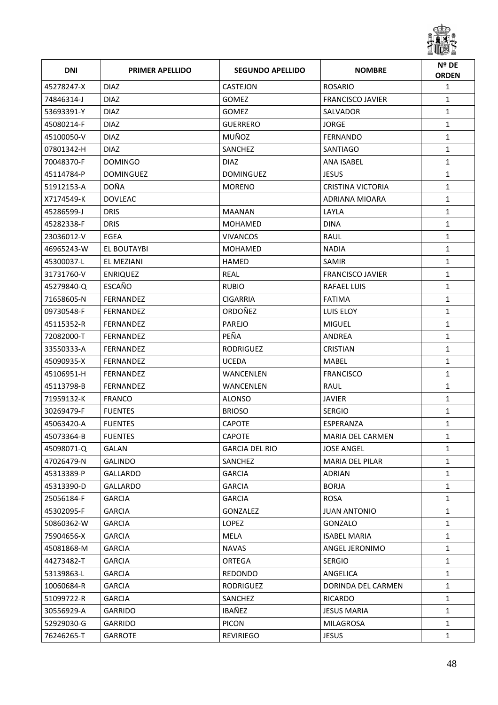

| <b>DNI</b> | <b>PRIMER APELLIDO</b> | <b>SEGUNDO APELLIDO</b> | <b>NOMBRE</b>           | Nº DE<br><b>ORDEN</b> |
|------------|------------------------|-------------------------|-------------------------|-----------------------|
| 45278247-X | <b>DIAZ</b>            | <b>CASTEJON</b>         | <b>ROSARIO</b>          | $\mathbf{1}$          |
| 74846314-J | <b>DIAZ</b>            | <b>GOMEZ</b>            | <b>FRANCISCO JAVIER</b> | $\mathbf{1}$          |
| 53693391-Y | <b>DIAZ</b>            | <b>GOMEZ</b>            | SALVADOR                | $\mathbf{1}$          |
| 45080214-F | <b>DIAZ</b>            | <b>GUERRERO</b>         | <b>JORGE</b>            | $\mathbf{1}$          |
| 45100050-V | DIAZ.                  | MUÑOZ                   | FERNANDO                | $\mathbf{1}$          |
| 07801342-H | <b>DIAZ</b>            | SANCHEZ                 | SANTIAGO                | $\mathbf{1}$          |
| 70048370-F | <b>DOMINGO</b>         | <b>DIAZ</b>             | <b>ANA ISABEL</b>       | $\mathbf{1}$          |
| 45114784-P | <b>DOMINGUEZ</b>       | <b>DOMINGUEZ</b>        | <b>JESUS</b>            | $\mathbf{1}$          |
| 51912153-A | <b>DOÑA</b>            | <b>MORENO</b>           | CRISTINA VICTORIA       | $\mathbf{1}$          |
| X7174549-K | <b>DOVLEAC</b>         |                         | ADRIANA MIOARA          | $\mathbf{1}$          |
| 45286599-J | <b>DRIS</b>            | <b>MAANAN</b>           | LAYLA                   | $\mathbf{1}$          |
| 45282338-F | <b>DRIS</b>            | <b>MOHAMED</b>          | <b>DINA</b>             | $\mathbf{1}$          |
| 23036012-V | EGEA                   | <b>VIVANCOS</b>         | RAUL                    | $\mathbf{1}$          |
| 46965243-W | EL BOUTAYBI            | <b>MOHAMED</b>          | <b>NADIA</b>            | $\mathbf{1}$          |
| 45300037-L | EL MEZIANI             | <b>HAMED</b>            | SAMIR                   | $\mathbf{1}$          |
| 31731760-V | <b>ENRIQUEZ</b>        | <b>REAL</b>             | <b>FRANCISCO JAVIER</b> | $\mathbf{1}$          |
| 45279840-Q | ESCAÑO                 | <b>RUBIO</b>            | <b>RAFAEL LUIS</b>      | $\mathbf{1}$          |
| 71658605-N | FERNANDEZ              | <b>CIGARRIA</b>         | <b>FATIMA</b>           | $\mathbf{1}$          |
| 09730548-F | FERNANDEZ              | ORDOÑEZ                 | LUIS ELOY               | $\mathbf{1}$          |
| 45115352-R | FERNANDEZ              | <b>PAREJO</b>           | <b>MIGUEL</b>           | $\mathbf{1}$          |
| 72082000-T | FERNANDEZ              | PEÑA                    | ANDREA                  | $\mathbf{1}$          |
| 33550333-A | FERNANDEZ              | <b>RODRIGUEZ</b>        | <b>CRISTIAN</b>         | $\mathbf{1}$          |
| 45090935-X | FERNANDEZ              | <b>UCEDA</b>            | MABEL                   | $\mathbf{1}$          |
| 45106951-H | FERNANDEZ              | WANCENLEN               | <b>FRANCISCO</b>        | $\mathbf{1}$          |
| 45113798-B | <b>FERNANDEZ</b>       | <b>WANCENLEN</b>        | RAUL                    | $\mathbf{1}$          |
| 71959132-K | <b>FRANCO</b>          | <b>ALONSO</b>           | <b>JAVIER</b>           | $\mathbf{1}$          |
| 30269479-F | <b>FUENTES</b>         | <b>BRIOSO</b>           | <b>SERGIO</b>           | $\mathbf{1}$          |
| 45063420-A | <b>FUENTES</b>         | <b>CAPOTE</b>           | ESPERANZA               | $\mathbf{1}$          |
| 45073364-B | <b>FUENTES</b>         | CAPOTE                  | MARIA DEL CARMEN        | $\mathbf{1}$          |
| 45098071-Q | GALAN                  | GARCIA DEL RIO          | <b>JOSE ANGEL</b>       | 1                     |
| 47026479-N | <b>GALINDO</b>         | SANCHEZ                 | MARIA DEL PILAR         | $\mathbf{1}$          |
| 45313389-P | <b>GALLARDO</b>        | <b>GARCIA</b>           | ADRIAN                  | 1                     |
| 45313390-D | <b>GALLARDO</b>        | <b>GARCIA</b>           | <b>BORJA</b>            | $\mathbf{1}$          |
| 25056184-F | <b>GARCIA</b>          | <b>GARCIA</b>           | ROSA                    | 1                     |
| 45302095-F | <b>GARCIA</b>          | GONZALEZ                | <b>JUAN ANTONIO</b>     | $\mathbf{1}$          |
| 50860362-W | <b>GARCIA</b>          | <b>LOPEZ</b>            | GONZALO                 | $\mathbf{1}$          |
| 75904656-X | <b>GARCIA</b>          | MELA                    | <b>ISABEL MARIA</b>     | $\mathbf{1}$          |
| 45081868-M | GARCIA                 | NAVAS                   | ANGEL JERONIMO          | $\mathbf{1}$          |
| 44273482-T | <b>GARCIA</b>          | <b>ORTEGA</b>           | <b>SERGIO</b>           | $\mathbf{1}$          |
| 53139863-L | GARCIA                 | REDONDO                 | ANGELICA                | $\mathbf{1}$          |
| 10060684-R | <b>GARCIA</b>          | RODRIGUEZ               | DORINDA DEL CARMEN      | $\mathbf{1}$          |
| 51099722-R | <b>GARCIA</b>          | SANCHEZ                 | RICARDO                 | $\mathbf{1}$          |
| 30556929-A | <b>GARRIDO</b>         | IBAÑEZ                  | <b>JESUS MARIA</b>      | $\mathbf{1}$          |
| 52929030-G | GARRIDO                | <b>PICON</b>            | MILAGROSA               | 1                     |
| 76246265-T | GARROTE                | REVIRIEGO               | <b>JESUS</b>            | $\mathbf{1}$          |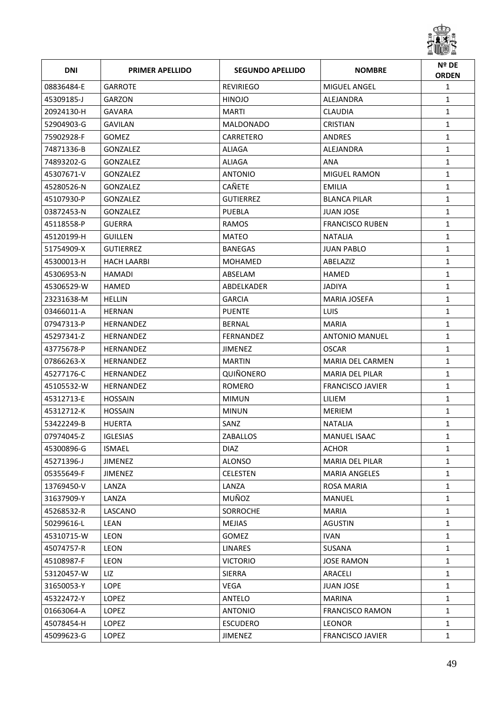

| <b>DNI</b> | <b>PRIMER APELLIDO</b> | <b>SEGUNDO APELLIDO</b> | <b>NOMBRE</b>           | Nº DE<br><b>ORDEN</b> |
|------------|------------------------|-------------------------|-------------------------|-----------------------|
| 08836484-E | <b>GARROTE</b>         | <b>REVIRIEGO</b>        | MIGUEL ANGEL            | $\mathbf{1}$          |
| 45309185-J | GARZON                 | <b>HINOJO</b>           | ALEJANDRA               | $\mathbf{1}$          |
| 20924130-H | GAVARA                 | MARTI                   | CLAUDIA                 | $\mathbf{1}$          |
| 52904903-G | <b>GAVILAN</b>         | <b>MALDONADO</b>        | <b>CRISTIAN</b>         | $\mathbf{1}$          |
| 75902928-F | <b>GOMEZ</b>           | CARRETERO               | <b>ANDRES</b>           | $\mathbf{1}$          |
| 74871336-B | <b>GONZALEZ</b>        | <b>ALIAGA</b>           | ALEJANDRA               | $\mathbf{1}$          |
| 74893202-G | GONZALEZ               | ALIAGA                  | ANA                     | $\mathbf{1}$          |
| 45307671-V | GONZALEZ               | <b>ANTONIO</b>          | <b>MIGUEL RAMON</b>     | $\mathbf{1}$          |
| 45280526-N | GONZALEZ               | CAÑETE                  | <b>EMILIA</b>           | $\mathbf{1}$          |
| 45107930-P | GONZALEZ               | <b>GUTIERREZ</b>        | <b>BLANCA PILAR</b>     | $\mathbf{1}$          |
| 03872453-N | GONZALEZ               | <b>PUEBLA</b>           | <b>JUAN JOSE</b>        | $\mathbf{1}$          |
| 45118558-P | <b>GUERRA</b>          | <b>RAMOS</b>            | <b>FRANCISCO RUBEN</b>  | $\mathbf{1}$          |
| 45120199-H | <b>GUILLEN</b>         | <b>MATEO</b>            | <b>NATALIA</b>          | $\mathbf{1}$          |
| 51754909-X | <b>GUTIERREZ</b>       | <b>BANEGAS</b>          | JUAN PABLO              | $\mathbf{1}$          |
| 45300013-H | <b>HACH LAARBI</b>     | <b>MOHAMED</b>          | ABELAZIZ                | $\mathbf{1}$          |
| 45306953-N | <b>HAMADI</b>          | ABSELAM                 | HAMED                   | $\mathbf{1}$          |
| 45306529-W | HAMED                  | <b>ABDELKADER</b>       | JADIYA                  | $\mathbf{1}$          |
| 23231638-M | <b>HELLIN</b>          | <b>GARCIA</b>           | MARIA JOSEFA            | $\mathbf{1}$          |
| 03466011-A | <b>HERNAN</b>          | <b>PUENTE</b>           | <b>LUIS</b>             | $\mathbf{1}$          |
| 07947313-P | <b>HERNANDEZ</b>       | <b>BERNAL</b>           | MARIA                   | $\mathbf{1}$          |
| 45297341-Z | <b>HERNANDEZ</b>       | FERNANDEZ               | ANTONIO MANUEL          | $\mathbf{1}$          |
| 43775678-P | <b>HERNANDEZ</b>       | <b>JIMENEZ</b>          | OSCAR                   | $\mathbf{1}$          |
| 07866263-X | HERNANDEZ              | <b>MARTIN</b>           | MARIA DEL CARMEN        | $\mathbf{1}$          |
| 45277176-C | HERNANDEZ              | QUIÑONERO               | MARIA DEL PILAR         | $\mathbf{1}$          |
| 45105532-W | <b>HERNANDEZ</b>       | ROMERO                  | <b>FRANCISCO JAVIER</b> | $\mathbf{1}$          |
| 45312713-E | <b>HOSSAIN</b>         | <b>MIMUN</b>            | LILIEM                  | $\mathbf{1}$          |
| 45312712-K | <b>HOSSAIN</b>         | <b>MINUN</b>            | <b>MERIEM</b>           | $\mathbf{1}$          |
| 53422249-B | <b>HUERTA</b>          | SANZ                    | <b>NATALIA</b>          | $\mathbf{1}$          |
| 07974045-Z | IGLESIAS               | <b>ZABALLOS</b>         | MANUEL ISAAC            | $\mathbf{1}$          |
| 45300896-G | ISMAEL                 | <b>DIAZ</b>             | <b>ACHOR</b>            | 1                     |
| 45271396-J | <b>JIMENEZ</b>         | <b>ALONSO</b>           | MARIA DEL PILAR         | $\mathbf{1}$          |
| 05355649-F | <b>JIMENEZ</b>         | <b>CELESTEN</b>         | <b>MARIA ANGELES</b>    | 1                     |
| 13769450-V | LANZA                  | LANZA                   | <b>ROSA MARIA</b>       | $\mathbf{1}$          |
| 31637909-Y | LANZA                  | MUÑOZ                   | MANUEL                  | 1                     |
| 45268532-R | LASCANO                | <b>SORROCHE</b>         | <b>MARIA</b>            | $\mathbf{1}$          |
| 50299616-L | LEAN                   | <b>MEJIAS</b>           | <b>AGUSTIN</b>          | $\mathbf{1}$          |
| 45310715-W | <b>LEON</b>            | <b>GOMEZ</b>            | <b>IVAN</b>             | $\mathbf{1}$          |
| 45074757-R | LEON                   | LINARES                 | SUSANA                  | $\mathbf{1}$          |
| 45108987-F | <b>LEON</b>            | <b>VICTORIO</b>         | <b>JOSE RAMON</b>       | $\mathbf{1}$          |
| 53120457-W | LIZ                    | <b>SIERRA</b>           | ARACELI                 | 1                     |
| 31650053-Y | <b>LOPE</b>            | VEGA                    | <b>JUAN JOSE</b>        | $\mathbf{1}$          |
| 45322472-Y | LOPEZ                  | ANTELO                  | <b>MARINA</b>           | $\mathbf{1}$          |
| 01663064-A | LOPEZ                  | <b>ANTONIO</b>          | <b>FRANCISCO RAMON</b>  | $\mathbf{1}$          |
| 45078454-H | LOPEZ                  | <b>ESCUDERO</b>         | <b>LEONOR</b>           | 1                     |
| 45099623-G | LOPEZ                  | JIMENEZ                 | <b>FRANCISCO JAVIER</b> | $\mathbf{1}$          |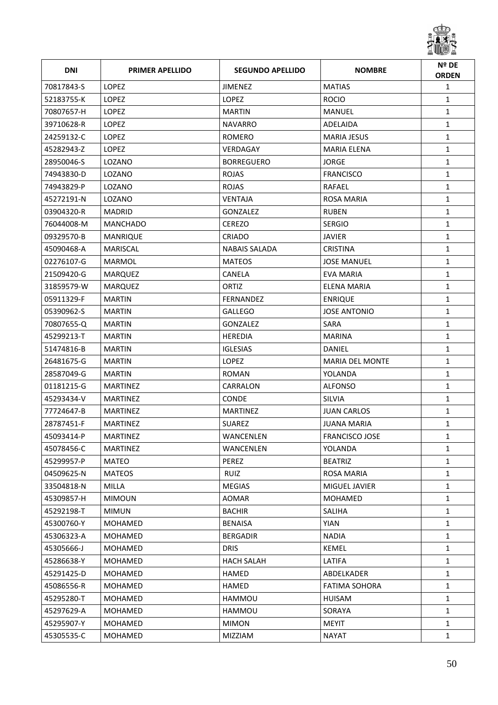

| <b>DNI</b> | <b>PRIMER APELLIDO</b> | <b>SEGUNDO APELLIDO</b> | <b>NOMBRE</b>          | Nº DE<br><b>ORDEN</b> |
|------------|------------------------|-------------------------|------------------------|-----------------------|
| 70817843-S | <b>LOPEZ</b>           | <b>JIMENEZ</b>          | <b>MATIAS</b>          | $\mathbf{1}$          |
| 52183755-K | LOPEZ                  | <b>LOPEZ</b>            | <b>ROCIO</b>           | $\mathbf{1}$          |
| 70807657-H | <b>LOPEZ</b>           | <b>MARTIN</b>           | <b>MANUEL</b>          | $\mathbf{1}$          |
| 39710628-R | LOPEZ                  | <b>NAVARRO</b>          | ADELAIDA               | $\mathbf{1}$          |
| 24259132-C | LOPEZ                  | ROMERO                  | <b>MARIA JESUS</b>     | $\mathbf{1}$          |
| 45282943-Z | LOPEZ                  | VERDAGAY                | <b>MARIA ELENA</b>     | $\mathbf{1}$          |
| 28950046-S | LOZANO                 | <b>BORREGUERO</b>       | <b>JORGE</b>           | $\mathbf{1}$          |
| 74943830-D | LOZANO                 | <b>ROJAS</b>            | <b>FRANCISCO</b>       | $\mathbf{1}$          |
| 74943829-P | LOZANO                 | <b>ROJAS</b>            | RAFAEL                 | $\mathbf{1}$          |
| 45272191-N | LOZANO                 | <b>VENTAJA</b>          | <b>ROSA MARIA</b>      | $\mathbf{1}$          |
| 03904320-R | <b>MADRID</b>          | <b>GONZALEZ</b>         | <b>RUBEN</b>           | $\mathbf{1}$          |
| 76044008-M | <b>MANCHADO</b>        | <b>CEREZO</b>           | <b>SERGIO</b>          | $\mathbf{1}$          |
| 09329570-B | MANRIQUE               | <b>CRIADO</b>           | JAVIER                 | $\mathbf{1}$          |
| 45090468-A | <b>MARISCAL</b>        | <b>NABAIS SALADA</b>    | <b>CRISTINA</b>        | $\mathbf{1}$          |
| 02276107-G | MARMOL                 | <b>MATEOS</b>           | JOSE MANUEL            | $\mathbf{1}$          |
| 21509420-G | <b>MARQUEZ</b>         | CANELA                  | <b>EVA MARIA</b>       | $\mathbf{1}$          |
| 31859579-W | <b>MARQUEZ</b>         | ORTIZ                   | <b>ELENA MARIA</b>     | $\mathbf{1}$          |
| 05911329-F | <b>MARTIN</b>          | <b>FERNANDEZ</b>        | <b>ENRIQUE</b>         | $\mathbf{1}$          |
| 05390962-S | <b>MARTIN</b>          | <b>GALLEGO</b>          | <b>JOSE ANTONIO</b>    | $\mathbf{1}$          |
| 70807655-Q | <b>MARTIN</b>          | <b>GONZALEZ</b>         | <b>SARA</b>            | $\mathbf{1}$          |
| 45299213-T | <b>MARTIN</b>          | <b>HEREDIA</b>          | <b>MARINA</b>          | $\mathbf{1}$          |
| 51474816-B | <b>MARTIN</b>          | <b>IGLESIAS</b>         | <b>DANIEL</b>          | $\mathbf{1}$          |
| 26481675-G | <b>MARTIN</b>          | <b>LOPEZ</b>            | <b>MARIA DEL MONTE</b> | $\mathbf{1}$          |
| 28587049-G | <b>MARTIN</b>          | <b>ROMAN</b>            | YOLANDA                | $\mathbf{1}$          |
| 01181215-G | <b>MARTINEZ</b>        | CARRALON                | <b>ALFONSO</b>         | $\mathbf{1}$          |
| 45293434-V | <b>MARTINEZ</b>        | <b>CONDE</b>            | <b>SILVIA</b>          | $\mathbf{1}$          |
| 77724647-B | <b>MARTINEZ</b>        | <b>MARTINEZ</b>         | <b>JUAN CARLOS</b>     | $\mathbf{1}$          |
| 28787451-F | <b>MARTINEZ</b>        | <b>SUAREZ</b>           | <b>JUANA MARIA</b>     | $\mathbf{1}$          |
| 45093414-P | MARTINEZ               | WANCENLEN               | <b>FRANCISCO JOSE</b>  | $\mathbf 1$           |
| 45078456-C | <b>MARTINEZ</b>        | WANCENLEN               | YOLANDA                | $\mathbf{1}$          |
| 45299957-P | MATEO                  | PEREZ                   | <b>BEATRIZ</b>         | $\mathbf{1}$          |
| 04509625-N | <b>MATEOS</b>          | RUIZ                    | <b>ROSA MARIA</b>      | 1                     |
| 33504818-N | <b>MILLA</b>           | <b>MEGIAS</b>           | MIGUEL JAVIER          | $\mathbf{1}$          |
| 45309857-H | <b>MIMOUN</b>          | AOMAR                   | MOHAMED                | $\mathbf{1}$          |
| 45292198-T | <b>MIMUN</b>           | <b>BACHIR</b>           | <b>SALIHA</b>          | $\mathbf{1}$          |
| 45300760-Y | MOHAMED                | <b>BENAISA</b>          | <b>YIAN</b>            | $\mathbf{1}$          |
| 45306323-A | MOHAMED                | <b>BERGADIR</b>         | <b>NADIA</b>           | $\mathbf{1}$          |
| 45305666-J | MOHAMED                | <b>DRIS</b>             | <b>KEMEL</b>           | $\mathbf{1}$          |
| 45286638-Y | MOHAMED                | <b>HACH SALAH</b>       | LATIFA                 | $\mathbf{1}$          |
| 45291425-D | MOHAMED                | <b>HAMED</b>            | ABDELKADER             | $\mathbf{1}$          |
| 45086556-R | MOHAMED                | <b>HAMED</b>            | <b>FATIMA SOHORA</b>   | $\mathbf{1}$          |
| 45295280-T | MOHAMED                | HAMMOU                  | HUISAM                 | $\mathbf{1}$          |
| 45297629-A | MOHAMED                | HAMMOU                  | SORAYA                 | $\mathbf{1}$          |
| 45295907-Y | MOHAMED                | <b>MIMON</b>            | MEYIT                  | $\mathbf{1}$          |
| 45305535-C | MOHAMED                | <b>MIZZIAM</b>          | <b>NAYAT</b>           | 1                     |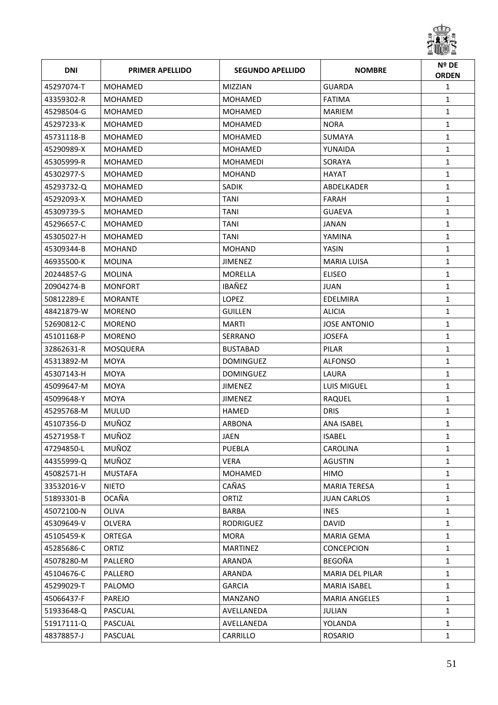

| <b>DNI</b> | <b>PRIMER APELLIDO</b> | <b>SEGUNDO APELLIDO</b> | <b>NOMBRE</b>        | Nº DE<br><b>ORDEN</b> |
|------------|------------------------|-------------------------|----------------------|-----------------------|
| 45297074-T | <b>MOHAMED</b>         | <b>MIZZIAN</b>          | <b>GUARDA</b>        | $\mathbf{1}$          |
| 43359302-R | MOHAMED                | <b>MOHAMED</b>          | <b>FATIMA</b>        | $\mathbf{1}$          |
| 45298504-G | MOHAMED                | <b>MOHAMED</b>          | <b>MARIEM</b>        | $\mathbf{1}$          |
| 45297233-K | MOHAMED                | <b>MOHAMED</b>          | <b>NORA</b>          | $\mathbf{1}$          |
| 45731118-B | MOHAMED                | <b>MOHAMED</b>          | <b>SUMAYA</b>        | $\mathbf{1}$          |
| 45290989-X | <b>MOHAMED</b>         | <b>MOHAMED</b>          | YUNAIDA              | $\mathbf{1}$          |
| 45305999-R | MOHAMED                | MOHAMEDI                | SORAYA               | $\mathbf{1}$          |
| 45302977-S | <b>MOHAMED</b>         | <b>MOHAND</b>           | HAYAT                | $\mathbf{1}$          |
| 45293732-Q | MOHAMED                | <b>SADIK</b>            | ABDELKADER           | $\mathbf{1}$          |
| 45292093-X | <b>MOHAMED</b>         | <b>TANI</b>             | FARAH                | $\mathbf{1}$          |
| 45309739-S | MOHAMED                | TANI                    | <b>GUAEVA</b>        | $\mathbf{1}$          |
| 45296657-C | MOHAMED                | <b>TANI</b>             | <b>JANAN</b>         | $\mathbf{1}$          |
| 45305027-H | MOHAMED                | TANI                    | YAMINA               | $\mathbf{1}$          |
| 45309344-B | <b>MOHAND</b>          | <b>MOHAND</b>           | YASIN                | $\mathbf{1}$          |
| 46935500-K | <b>MOLINA</b>          | <b>JIMENEZ</b>          | <b>MARIA LUISA</b>   | $\mathbf{1}$          |
| 20244857-G | <b>MOLINA</b>          | <b>MORELLA</b>          | <b>ELISEO</b>        | $\mathbf{1}$          |
| 20904274-B | <b>MONFORT</b>         | IBAÑEZ                  | <b>JUAN</b>          | $\mathbf{1}$          |
| 50812289-E | <b>MORANTE</b>         | LOPEZ                   | EDELMIRA             | $\mathbf{1}$          |
| 48421879-W | <b>MORENO</b>          | <b>GUILLEN</b>          | <b>ALICIA</b>        | $\mathbf{1}$          |
| 52690812-C | <b>MORENO</b>          | MARTI                   | <b>JOSE ANTONIO</b>  | $\mathbf{1}$          |
| 45101168-P | <b>MORENO</b>          | SERRANO                 | <b>JOSEFA</b>        | $\mathbf{1}$          |
| 32862631-R | MOSQUERA               | <b>BUSTABAD</b>         | PILAR                | $\mathbf{1}$          |
| 45313892-M | <b>MOYA</b>            | DOMINGUEZ               | <b>ALFONSO</b>       | $\mathbf{1}$          |
| 45307143-H | MOYA                   | <b>DOMINGUEZ</b>        | LAURA                | $\mathbf{1}$          |
| 45099647-M | <b>MOYA</b>            | <b>JIMENEZ</b>          | <b>LUIS MIGUEL</b>   | $\mathbf{1}$          |
| 45099648-Y | <b>MOYA</b>            | <b>JIMENEZ</b>          | RAQUEL               | $\mathbf{1}$          |
| 45295768-M | <b>MULUD</b>           | HAMED                   | <b>DRIS</b>          | $\mathbf{1}$          |
| 45107356-D | MUÑOZ                  | ARBONA                  | <b>ANA ISABEL</b>    | $\mathbf{1}$          |
| 45271958-T | MUÑOZ                  | JAEN                    | <b>ISABEL</b>        | $\mathbf{1}$          |
| 47294850-L | MUÑOZ                  | <b>PUEBLA</b>           | <b>CAROLINA</b>      | 1                     |
| 44355999-Q | MUÑOZ                  | VERA                    | <b>AGUSTIN</b>       | $\mathbf{1}$          |
| 45082571-H | <b>MUSTAFA</b>         | MOHAMED                 | HIMO                 | $\mathbf{1}$          |
| 33532016-V | <b>NIETO</b>           | CAÑAS                   | <b>MARIA TERESA</b>  | $\mathbf{1}$          |
| 51893301-B | OCAÑA                  | ORTIZ                   | <b>JUAN CARLOS</b>   | $\mathbf{1}$          |
| 45072100-N | OLIVA                  | <b>BARBA</b>            | <b>INES</b>          | $\mathbf{1}$          |
| 45309649-V | OLVERA                 | RODRIGUEZ               | DAVID                | $\mathbf{1}$          |
| 45105459-K | <b>ORTEGA</b>          | <b>MORA</b>             | <b>MARIA GEMA</b>    | $\mathbf{1}$          |
| 45285686-C | ORTIZ                  | <b>MARTINEZ</b>         | CONCEPCION           | $\mathbf{1}$          |
| 45078280-M | PALLERO                | ARANDA                  | BEGOÑA               | $\mathbf{1}$          |
| 45104676-C | PALLERO                | ARANDA                  | MARIA DEL PILAR      | $\mathbf{1}$          |
| 45299029-T | PALOMO                 | <b>GARCIA</b>           | <b>MARIA ISABEL</b>  | $\mathbf{1}$          |
| 45066437-F | <b>PAREJO</b>          | MANZANO                 | <b>MARIA ANGELES</b> | $\mathbf{1}$          |
| 51933648-Q | PASCUAL                | AVELLANEDA              | <b>JULIAN</b>        | $\mathbf{1}$          |
| 51917111-Q | PASCUAL                | AVELLANEDA              | YOLANDA              | $\mathbf{1}$          |
| 48378857-J | PASCUAL                | CARRILLO                | <b>ROSARIO</b>       | $\mathbf{1}$          |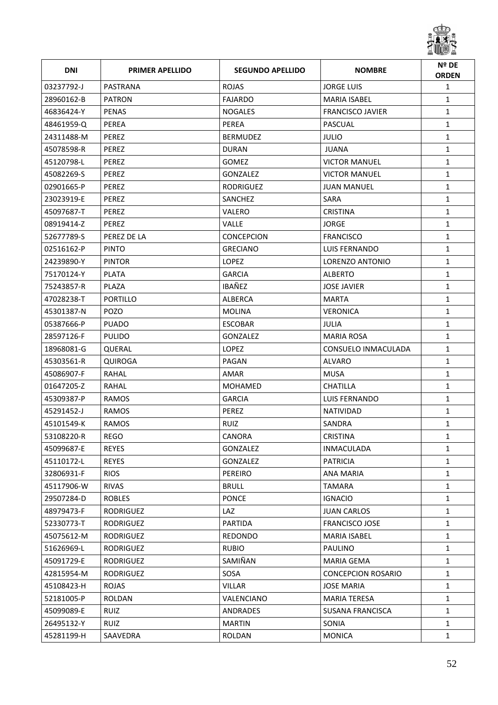

| <b>DNI</b> | <b>PRIMER APELLIDO</b> | <b>SEGUNDO APELLIDO</b> | <b>NOMBRE</b>             | Nº DE<br><b>ORDEN</b> |
|------------|------------------------|-------------------------|---------------------------|-----------------------|
| 03237792-J | PASTRANA               | <b>ROJAS</b>            | <b>JORGE LUIS</b>         | $\mathbf{1}$          |
| 28960162-B | <b>PATRON</b>          | <b>FAJARDO</b>          | <b>MARIA ISABEL</b>       | $\mathbf{1}$          |
| 46836424-Y | <b>PENAS</b>           | <b>NOGALES</b>          | <b>FRANCISCO JAVIER</b>   | $\mathbf{1}$          |
| 48461959-Q | PEREA                  | <b>PEREA</b>            | PASCUAL                   | $\mathbf{1}$          |
| 24311488-M | <b>PEREZ</b>           | <b>BERMUDEZ</b>         | <b>JULIO</b>              | $\mathbf{1}$          |
| 45078598-R | PEREZ                  | <b>DURAN</b>            | <b>JUANA</b>              | $\mathbf{1}$          |
| 45120798-L | <b>PEREZ</b>           | GOMEZ                   | <b>VICTOR MANUEL</b>      | $\mathbf{1}$          |
| 45082269-S | PEREZ                  | GONZALEZ                | <b>VICTOR MANUEL</b>      | $\mathbf{1}$          |
| 02901665-P | <b>PEREZ</b>           | <b>RODRIGUEZ</b>        | <b>JUAN MANUEL</b>        | $\mathbf{1}$          |
| 23023919-E | PEREZ                  | <b>SANCHEZ</b>          | SARA                      | $\mathbf{1}$          |
| 45097687-T | PEREZ                  | VALERO                  | <b>CRISTINA</b>           | $\mathbf{1}$          |
| 08919414-Z | PEREZ                  | <b>VALLE</b>            | <b>JORGE</b>              | $\mathbf{1}$          |
| 52677789-S | PEREZ DE LA            | CONCEPCION              | <b>FRANCISCO</b>          | $\mathbf{1}$          |
| 02516162-P | <b>PINTO</b>           | <b>GRECIANO</b>         | LUIS FERNANDO             | $\mathbf{1}$          |
| 24239890-Y | <b>PINTOR</b>          | LOPEZ                   | LORENZO ANTONIO           | $\mathbf{1}$          |
| 75170124-Y | <b>PLATA</b>           | <b>GARCIA</b>           | <b>ALBERTO</b>            | $\mathbf{1}$          |
| 75243857-R | PLAZA                  | IBAÑEZ                  | <b>JOSE JAVIER</b>        | $\mathbf{1}$          |
| 47028238-T | <b>PORTILLO</b>        | <b>ALBERCA</b>          | <b>MARTA</b>              | $\mathbf{1}$          |
| 45301387-N | <b>POZO</b>            | <b>MOLINA</b>           | <b>VERONICA</b>           | $\mathbf{1}$          |
| 05387666-P | <b>PUADO</b>           | <b>ESCOBAR</b>          | JULIA                     | $\mathbf{1}$          |
| 28597126-F | <b>PULIDO</b>          | GONZALEZ                | <b>MARIA ROSA</b>         | $\mathbf{1}$          |
| 18968081-G | QUERAL                 | <b>LOPEZ</b>            | CONSUELO INMACULADA       | $\mathbf{1}$          |
| 45303561-R | <b>QUIROGA</b>         | PAGAN                   | ALVARO                    | $\mathbf{1}$          |
| 45086907-F | RAHAL                  | AMAR                    | <b>MUSA</b>               | $\mathbf{1}$          |
| 01647205-Z | RAHAL                  | <b>MOHAMED</b>          | <b>CHATILLA</b>           | $\mathbf{1}$          |
| 45309387-P | <b>RAMOS</b>           | <b>GARCIA</b>           | LUIS FERNANDO             | $\mathbf{1}$          |
| 45291452-J | <b>RAMOS</b>           | PEREZ                   | <b>NATIVIDAD</b>          | $\mathbf{1}$          |
| 45101549-K | RAMOS                  | <b>RUIZ</b>             | SANDRA                    | $\mathbf{1}$          |
| 53108220-R | REGO                   | CANORA                  | <b>CRISTINA</b>           | $\mathbf{1}$          |
| 45099687-E | <b>REYES</b>           | GONZALEZ                | INMACULADA                | 1                     |
| 45110172-L | <b>REYES</b>           | <b>GONZALEZ</b>         | <b>PATRICIA</b>           | $\mathbf{1}$          |
| 32806931-F | <b>RIOS</b>            | <b>PEREIRO</b>          | <b>ANA MARIA</b>          | $\mathbf{1}$          |
| 45117906-W | <b>RIVAS</b>           | <b>BRULL</b>            | <b>TAMARA</b>             | $\mathbf{1}$          |
| 29507284-D | <b>ROBLES</b>          | <b>PONCE</b>            | <b>IGNACIO</b>            | $\mathbf{1}$          |
| 48979473-F | RODRIGUEZ              | LAZ                     | <b>JUAN CARLOS</b>        | $\mathbf{1}$          |
| 52330773-T | RODRIGUEZ              | PARTIDA                 | <b>FRANCISCO JOSE</b>     | $\mathbf{1}$          |
| 45075612-M | <b>RODRIGUEZ</b>       | <b>REDONDO</b>          | <b>MARIA ISABEL</b>       | $\mathbf{1}$          |
| 51626969-L | RODRIGUEZ              | <b>RUBIO</b>            | <b>PAULINO</b>            | $\mathbf{1}$          |
| 45091729-E | RODRIGUEZ              | SAMIÑAN                 | <b>MARIA GEMA</b>         | $\mathbf{1}$          |
| 42815954-M | RODRIGUEZ              | SOSA                    | <b>CONCEPCION ROSARIO</b> | $\mathbf{1}$          |
| 45108423-H | ROJAS                  | VILLAR                  | <b>JOSE MARIA</b>         | $\mathbf{1}$          |
| 52181005-P | ROLDAN                 | VALENCIANO              | <b>MARIA TERESA</b>       | $\mathbf{1}$          |
| 45099089-E | <b>RUIZ</b>            | ANDRADES                | SUSANA FRANCISCA          | $\mathbf{1}$          |
| 26495132-Y | <b>RUIZ</b>            | <b>MARTIN</b>           | SONIA                     | 1                     |
| 45281199-H | SAAVEDRA               | ROLDAN                  | <b>MONICA</b>             | $\mathbf{1}$          |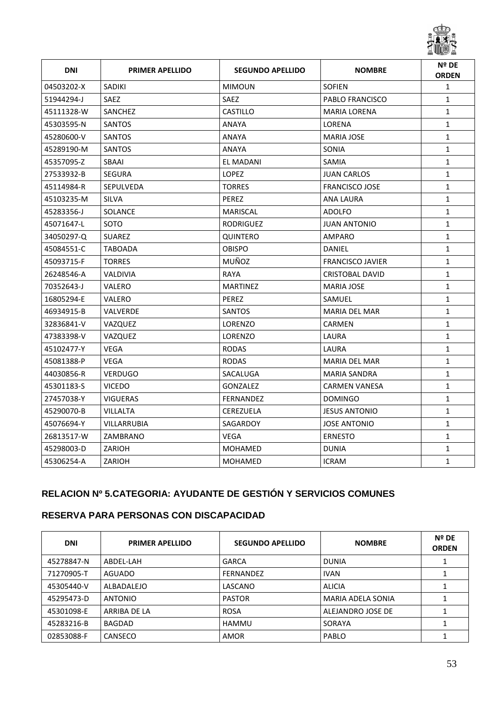

| <b>DNI</b> | <b>PRIMER APELLIDO</b> | <b>SEGUNDO APELLIDO</b> | <b>NOMBRE</b>           | Nº DE<br><b>ORDEN</b> |
|------------|------------------------|-------------------------|-------------------------|-----------------------|
| 04503202-X | SADIKI                 | <b>MIMOUN</b>           | <b>SOFIEN</b>           | $\mathbf{1}$          |
| 51944294-J | <b>SAEZ</b>            | <b>SAEZ</b>             | <b>PABLO FRANCISCO</b>  | $\mathbf{1}$          |
| 45111328-W | SANCHEZ                | <b>CASTILLO</b>         | <b>MARIA LORENA</b>     | $\mathbf{1}$          |
| 45303595-N | <b>SANTOS</b>          | <b>ANAYA</b>            | <b>LORENA</b>           | $\mathbf{1}$          |
| 45280600-V | <b>SANTOS</b>          | <b>ANAYA</b>            | <b>MARIA JOSE</b>       | $\mathbf{1}$          |
| 45289190-M | <b>SANTOS</b>          | <b>ANAYA</b>            | <b>SONIA</b>            | $\mathbf{1}$          |
| 45357095-Z | <b>SBAAI</b>           | EL MADANI               | <b>SAMIA</b>            | $\mathbf{1}$          |
| 27533932-B | <b>SEGURA</b>          | <b>LOPEZ</b>            | <b>JUAN CARLOS</b>      | $\mathbf{1}$          |
| 45114984-R | <b>SEPULVEDA</b>       | <b>TORRES</b>           | <b>FRANCISCO JOSE</b>   | $\mathbf{1}$          |
| 45103235-M | <b>SILVA</b>           | PEREZ                   | <b>ANA LAURA</b>        | $\mathbf{1}$          |
| 45283356-J | <b>SOLANCE</b>         | <b>MARISCAL</b>         | <b>ADOLFO</b>           | $\mathbf{1}$          |
| 45071647-L | SOTO                   | <b>RODRIGUEZ</b>        | <b>JUAN ANTONIO</b>     | $\mathbf{1}$          |
| 34050297-Q | <b>SUAREZ</b>          | QUINTERO                | AMPARO                  | $\mathbf{1}$          |
| 45084551-C | <b>TABOADA</b>         | <b>OBISPO</b>           | DANIEL                  | $\mathbf{1}$          |
| 45093715-F | <b>TORRES</b>          | MUÑOZ                   | <b>FRANCISCO JAVIER</b> | $\mathbf{1}$          |
| 26248546-A | <b>VALDIVIA</b>        | <b>RAYA</b>             | <b>CRISTOBAL DAVID</b>  | $\mathbf{1}$          |
| 70352643-J | VALERO                 | <b>MARTINEZ</b>         | <b>MARIA JOSE</b>       | $\mathbf{1}$          |
| 16805294-E | VALERO                 | <b>PEREZ</b>            | SAMUEL                  | $\mathbf{1}$          |
| 46934915-B | <b>VALVERDE</b>        | <b>SANTOS</b>           | <b>MARIA DEL MAR</b>    | $\mathbf{1}$          |
| 32836841-V | VAZQUEZ                | <b>LORENZO</b>          | CARMEN                  | $\mathbf{1}$          |
| 47383398-V | VAZQUEZ                | <b>LORENZO</b>          | LAURA                   | $\mathbf{1}$          |
| 45102477-Y | <b>VEGA</b>            | <b>RODAS</b>            | LAURA                   | $\mathbf{1}$          |
| 45081388-P | <b>VEGA</b>            | <b>RODAS</b>            | <b>MARIA DEL MAR</b>    | $\mathbf{1}$          |
| 44030856-R | <b>VERDUGO</b>         | SACALUGA                | <b>MARIA SANDRA</b>     | $\mathbf{1}$          |
| 45301183-S | <b>VICEDO</b>          | <b>GONZALEZ</b>         | <b>CARMEN VANESA</b>    | $\mathbf 1$           |
| 27457038-Y | <b>VIGUERAS</b>        | <b>FERNANDEZ</b>        | <b>DOMINGO</b>          | $\mathbf{1}$          |
| 45290070-B | <b>VILLALTA</b>        | <b>CEREZUELA</b>        | <b>JESUS ANTONIO</b>    | $\mathbf{1}$          |
| 45076694-Y | VILLARRUBIA            | SAGARDOY                | <b>JOSE ANTONIO</b>     | $\mathbf{1}$          |
| 26813517-W | ZAMBRANO               | <b>VEGA</b>             | <b>ERNESTO</b>          | $\mathbf{1}$          |
| 45298003-D | ZARIOH                 | <b>MOHAMED</b>          | <b>DUNIA</b>            | $\mathbf{1}$          |
| 45306254-A | ZARIOH                 | <b>MOHAMED</b>          | <b>ICRAM</b>            | $\mathbf{1}$          |

# **RELACION Nº 5.CATEGORIA: AYUDANTE DE GESTIÓN Y SERVICIOS COMUNES**

#### **RESERVA PARA PERSONAS CON DISCAPACIDAD**

| <b>DNI</b> | <b>PRIMER APELLIDO</b> | <b>SEGUNDO APELLIDO</b> | <b>NOMBRE</b>     | Nº DE<br><b>ORDEN</b> |
|------------|------------------------|-------------------------|-------------------|-----------------------|
| 45278847-N | ABDEL-LAH              | <b>GARCA</b>            | <b>DUNIA</b>      |                       |
| 71270905-T | AGUADO                 | <b>FERNANDEZ</b>        | <b>IVAN</b>       |                       |
| 45305440-V | ALBADALEJO             | LASCANO                 | <b>ALICIA</b>     |                       |
| 45295473-D | <b>ANTONIO</b>         | <b>PASTOR</b>           | MARIA ADELA SONIA |                       |
| 45301098-E | ARRIBA DE LA           | <b>ROSA</b>             | ALEJANDRO JOSE DE |                       |
| 45283216-B | BAGDAD                 | <b>HAMMU</b>            | SORAYA            |                       |
| 02853088-F | CANSECO                | <b>AMOR</b>             | PABLO             |                       |